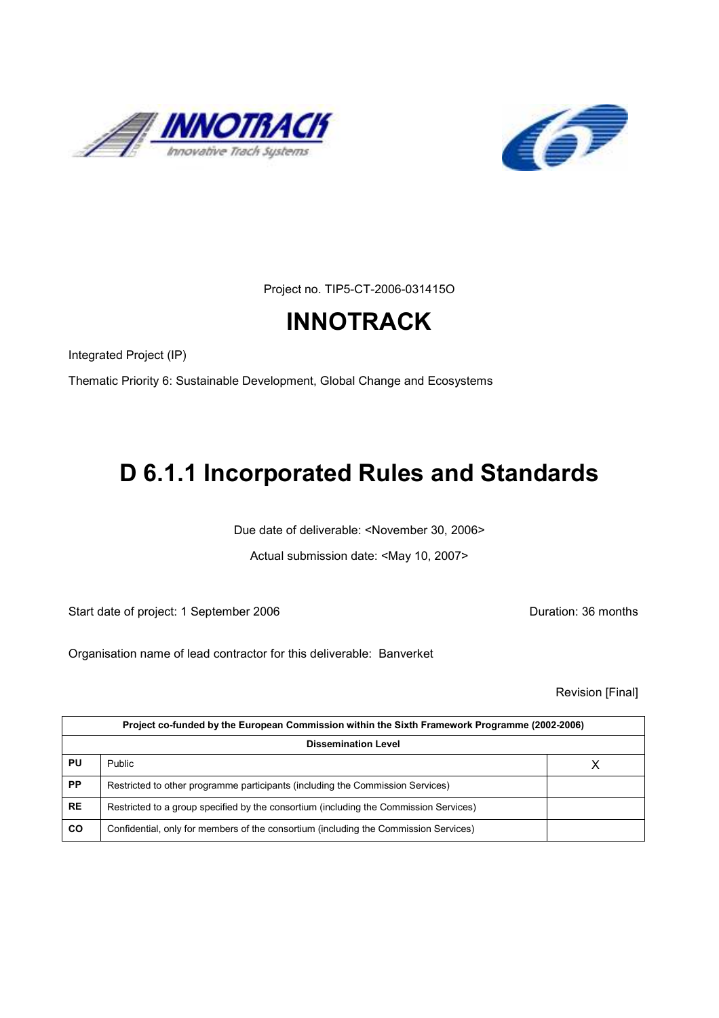



Project no. TIP5-CT-2006-031415O

# **INNOTRACK**

Integrated Project (IP)

Thematic Priority 6: Sustainable Development, Global Change and Ecosystems

# D 6.1.1 Incorporated Rules and Standards

Due date of deliverable: <November 30, 2006>

Actual submission date: <May 10, 2007>

Start date of project: 1 September 2006 **Duration: 36 months** 

Organisation name of lead contractor for this deliverable: Banverket

Revision [Final]

|           | Project co-funded by the European Commission within the Sixth Framework Programme (2002-2006) |  |  |
|-----------|-----------------------------------------------------------------------------------------------|--|--|
|           | <b>Dissemination Level</b>                                                                    |  |  |
| PU        | Public                                                                                        |  |  |
| <b>PP</b> | Restricted to other programme participants (including the Commission Services)                |  |  |
| <b>RE</b> | Restricted to a group specified by the consortium (including the Commission Services)         |  |  |
| CO        | Confidential, only for members of the consortium (including the Commission Services)          |  |  |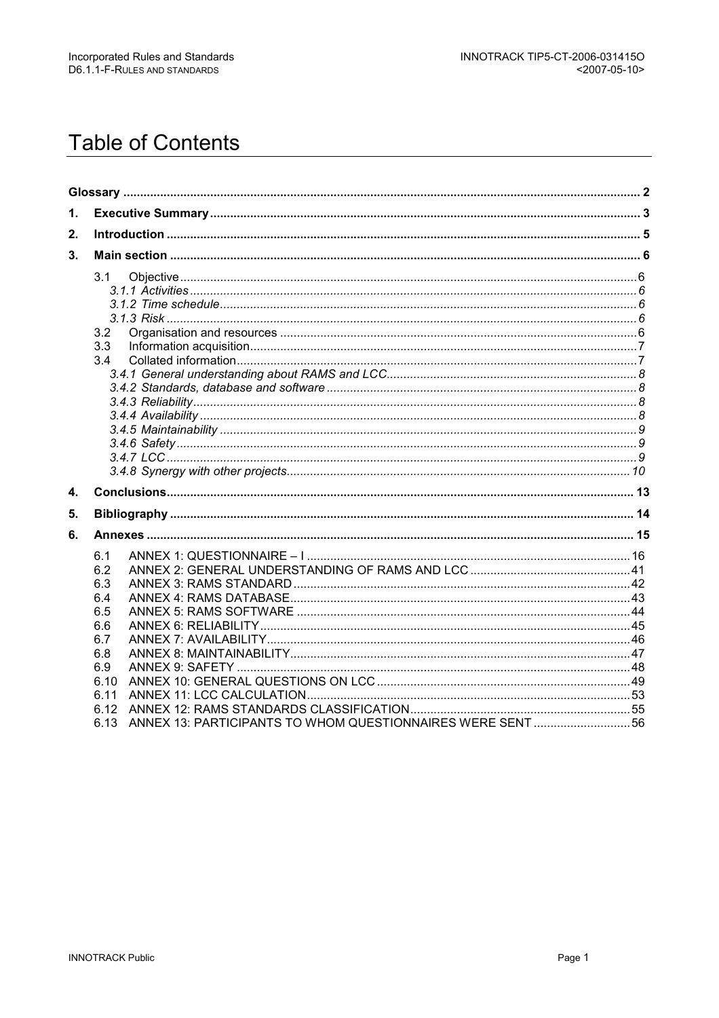# **Table of Contents**

| 3.1<br>3.2<br>3.3<br>3.4                                                                                                                           |  |
|----------------------------------------------------------------------------------------------------------------------------------------------------|--|
|                                                                                                                                                    |  |
|                                                                                                                                                    |  |
|                                                                                                                                                    |  |
| 6.1<br>6.2<br>6.3<br>6.4<br>6.5<br>6.6<br>6.7<br>6.8<br>6.9<br>6.10<br>6.11<br>6.12<br>ANNEX 13: PARTICIPANTS TO WHOM QUESTIONNAIRES WERE SENT  56 |  |
|                                                                                                                                                    |  |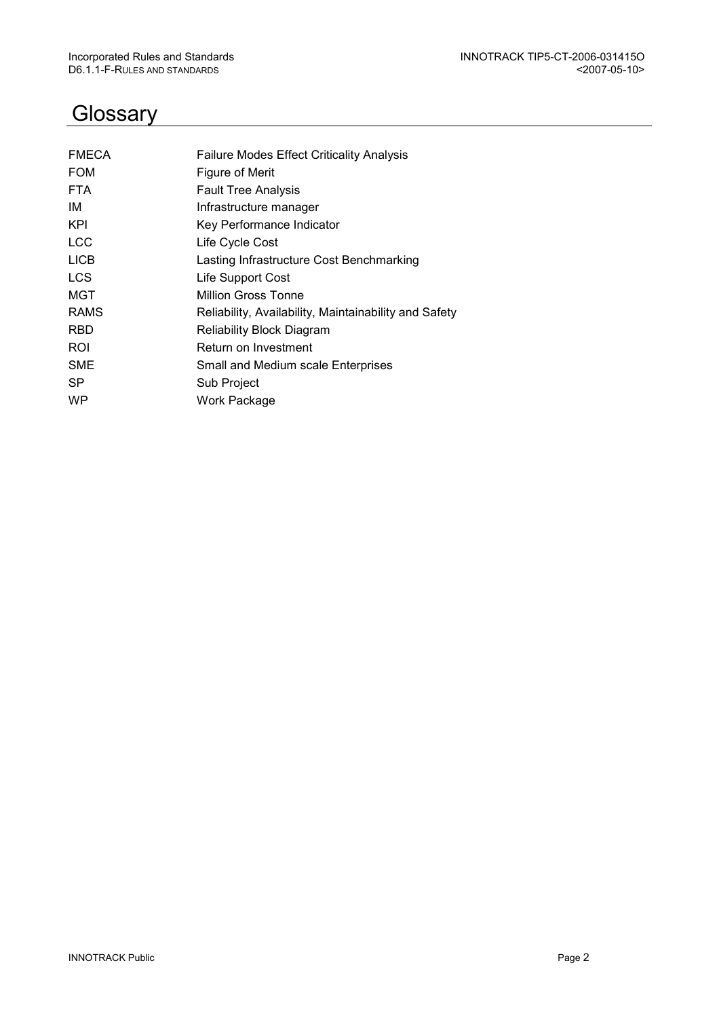# **Glossary**

| <b>FMECA</b> | <b>Failure Modes Effect Criticality Analysis</b>      |
|--------------|-------------------------------------------------------|
| <b>FOM</b>   | Figure of Merit                                       |
| <b>FTA</b>   | <b>Fault Tree Analysis</b>                            |
| IM           | Infrastructure manager                                |
| KPI          | Key Performance Indicator                             |
| <b>LCC</b>   | Life Cycle Cost                                       |
| <b>LICB</b>  | Lasting Infrastructure Cost Benchmarking              |
| <b>LCS</b>   | Life Support Cost                                     |
| MGT          | <b>Million Gross Tonne</b>                            |
| <b>RAMS</b>  | Reliability, Availability, Maintainability and Safety |
| RBD          | <b>Reliability Block Diagram</b>                      |
| ROI          | Return on Investment                                  |
| <b>SME</b>   | Small and Medium scale Enterprises                    |
| SP.          | Sub Project                                           |
| <b>WP</b>    | Work Package                                          |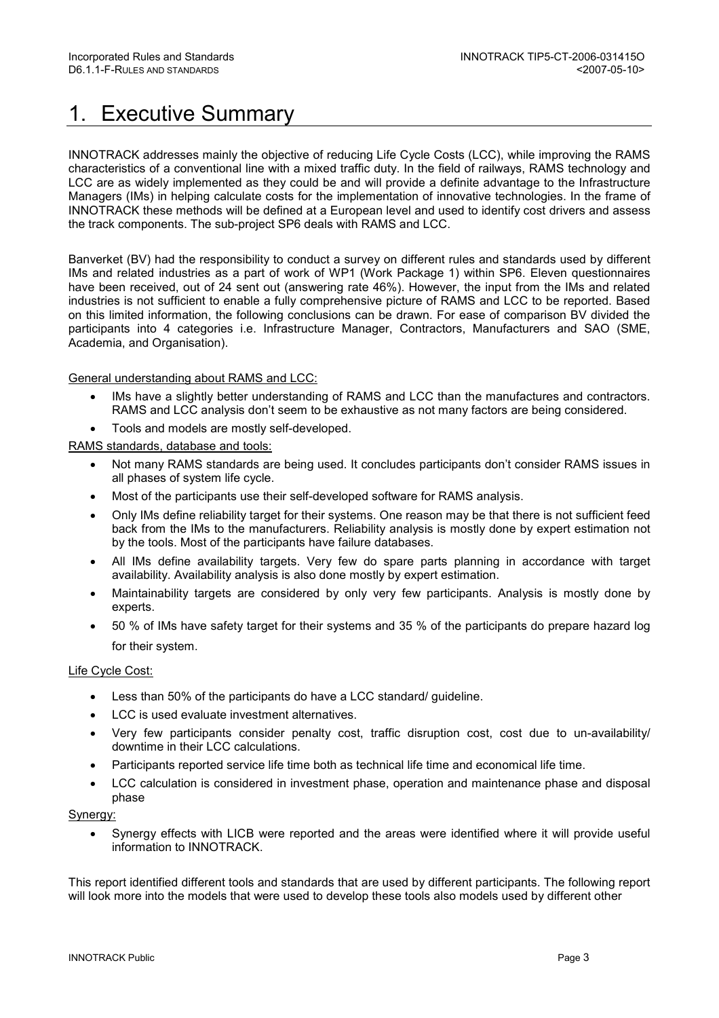# 1. Executive Summary

INNOTRACK addresses mainly the objective of reducing Life Cycle Costs (LCC), while improving the RAMS characteristics of a conventional line with a mixed traffic duty. In the field of railways, RAMS technology and LCC are as widely implemented as they could be and will provide a definite advantage to the Infrastructure Managers (IMs) in helping calculate costs for the implementation of innovative technologies. In the frame of INNOTRACK these methods will be defined at a European level and used to identify cost drivers and assess the track components. The sub-project SP6 deals with RAMS and LCC.

Banverket (BV) had the responsibility to conduct a survey on different rules and standards used by different IMs and related industries as a part of work of WP1 (Work Package 1) within SP6. Eleven questionnaires have been received, out of 24 sent out (answering rate 46%). However, the input from the IMs and related industries is not sufficient to enable a fully comprehensive picture of RAMS and LCC to be reported. Based on this limited information, the following conclusions can be drawn. For ease of comparison BV divided the participants into 4 categories i.e. Infrastructure Manager, Contractors, Manufacturers and SAO (SME, Academia, and Organisation).

## General understanding about RAMS and LCC:

- IMs have a slightly better understanding of RAMS and LCC than the manufactures and contractors. RAMS and LCC analysis don't seem to be exhaustive as not many factors are being considered.
- Tools and models are mostly self-developed.

RAMS standards, database and tools:

- Not many RAMS standards are being used. It concludes participants don't consider RAMS issues in all phases of system life cycle.
- Most of the participants use their self-developed software for RAMS analysis.
- Only IMs define reliability target for their systems. One reason may be that there is not sufficient feed back from the IMs to the manufacturers. Reliability analysis is mostly done by expert estimation not by the tools. Most of the participants have failure databases.
- All IMs define availability targets. Very few do spare parts planning in accordance with target availability. Availability analysis is also done mostly by expert estimation.
- Maintainability targets are considered by only very few participants. Analysis is mostly done by experts.
- 50 % of IMs have safety target for their systems and 35 % of the participants do prepare hazard log for their system.

#### Life Cycle Cost:

- Less than 50% of the participants do have a LCC standard/ guideline.
- LCC is used evaluate investment alternatives.
- Very few participants consider penalty cost, traffic disruption cost, cost due to un-availability/ downtime in their LCC calculations.
- Participants reported service life time both as technical life time and economical life time.
- LCC calculation is considered in investment phase, operation and maintenance phase and disposal phase

#### Synergy:

• Synergy effects with LICB were reported and the areas were identified where it will provide useful information to INNOTRACK.

This report identified different tools and standards that are used by different participants. The following report will look more into the models that were used to develop these tools also models used by different other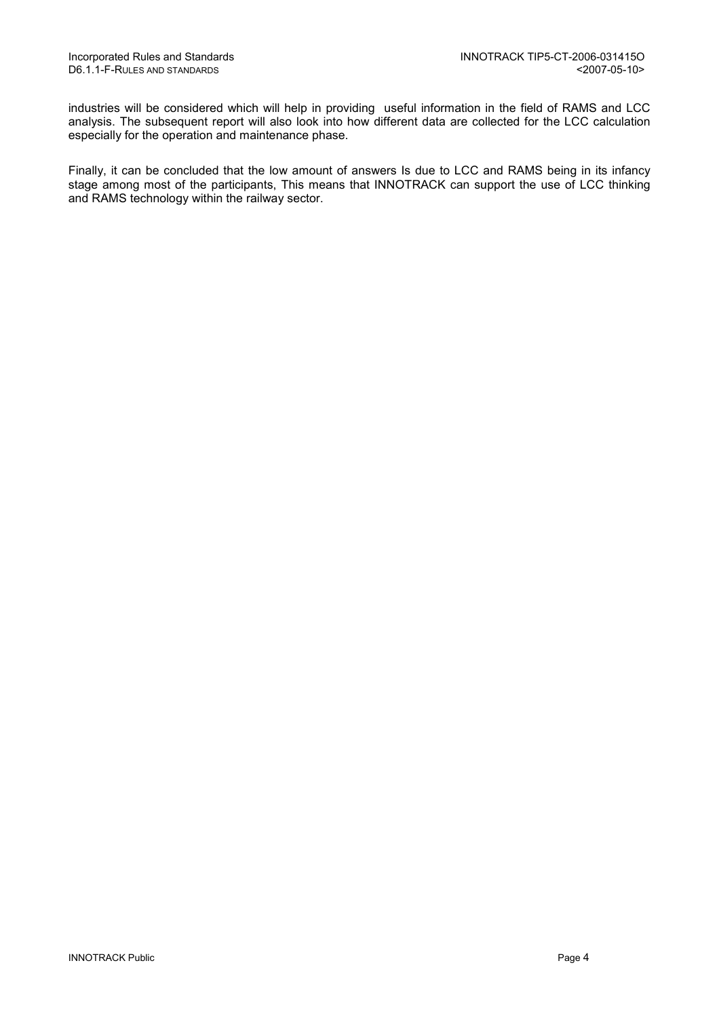industries will be considered which will help in providing useful information in the field of RAMS and LCC analysis. The subsequent report will also look into how different data are collected for the LCC calculation especially for the operation and maintenance phase.

Finally, it can be concluded that the low amount of answers Is due to LCC and RAMS being in its infancy stage among most of the participants, This means that INNOTRACK can support the use of LCC thinking and RAMS technology within the railway sector.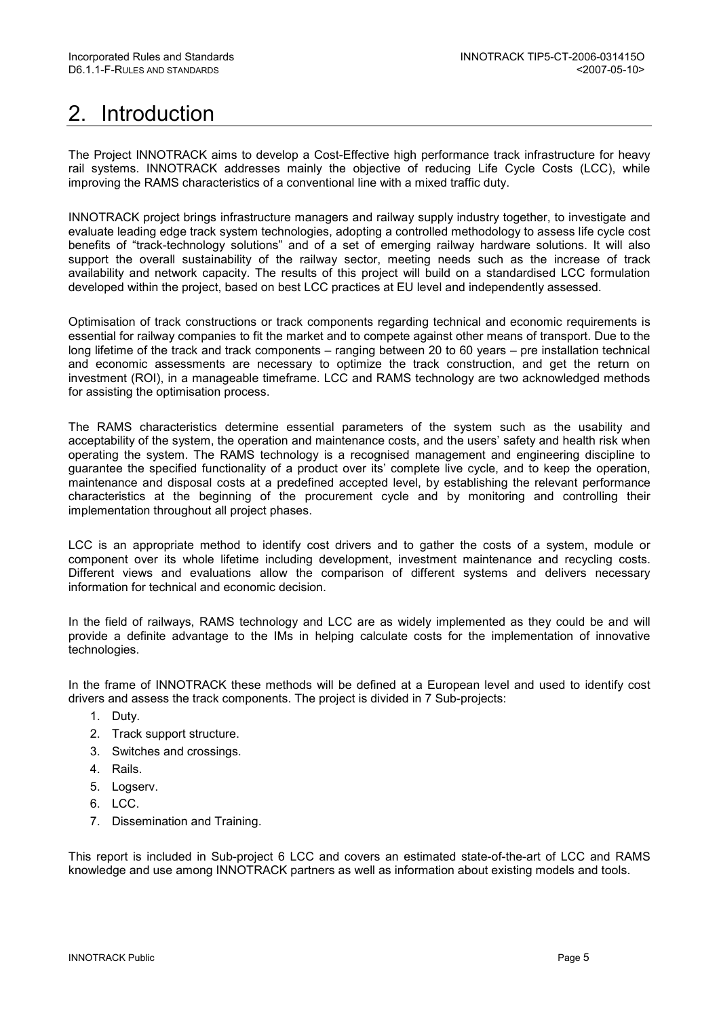# 2. Introduction

The Project INNOTRACK aims to develop a Cost-Effective high performance track infrastructure for heavy rail systems. INNOTRACK addresses mainly the objective of reducing Life Cycle Costs (LCC), while improving the RAMS characteristics of a conventional line with a mixed traffic duty.

INNOTRACK project brings infrastructure managers and railway supply industry together, to investigate and evaluate leading edge track system technologies, adopting a controlled methodology to assess life cycle cost benefits of "track-technology solutions" and of a set of emerging railway hardware solutions. It will also support the overall sustainability of the railway sector, meeting needs such as the increase of track availability and network capacity. The results of this project will build on a standardised LCC formulation developed within the project, based on best LCC practices at EU level and independently assessed.

Optimisation of track constructions or track components regarding technical and economic requirements is essential for railway companies to fit the market and to compete against other means of transport. Due to the long lifetime of the track and track components – ranging between 20 to 60 years – pre installation technical and economic assessments are necessary to optimize the track construction, and get the return on investment (ROI), in a manageable timeframe. LCC and RAMS technology are two acknowledged methods for assisting the optimisation process.

The RAMS characteristics determine essential parameters of the system such as the usability and acceptability of the system, the operation and maintenance costs, and the users' safety and health risk when operating the system. The RAMS technology is a recognised management and engineering discipline to guarantee the specified functionality of a product over its' complete live cycle, and to keep the operation, maintenance and disposal costs at a predefined accepted level, by establishing the relevant performance characteristics at the beginning of the procurement cycle and by monitoring and controlling their implementation throughout all project phases.

LCC is an appropriate method to identify cost drivers and to gather the costs of a system, module or component over its whole lifetime including development, investment maintenance and recycling costs. Different views and evaluations allow the comparison of different systems and delivers necessary information for technical and economic decision.

In the field of railways, RAMS technology and LCC are as widely implemented as they could be and will provide a definite advantage to the IMs in helping calculate costs for the implementation of innovative technologies.

In the frame of INNOTRACK these methods will be defined at a European level and used to identify cost drivers and assess the track components. The project is divided in 7 Sub-projects:

- 1. Duty.
- 2. Track support structure.
- 3. Switches and crossings.
- 4. Rails.
- 5. Logserv.
- 6. LCC.
- 7. Dissemination and Training.

This report is included in Sub-project 6 LCC and covers an estimated state-of-the-art of LCC and RAMS knowledge and use among INNOTRACK partners as well as information about existing models and tools.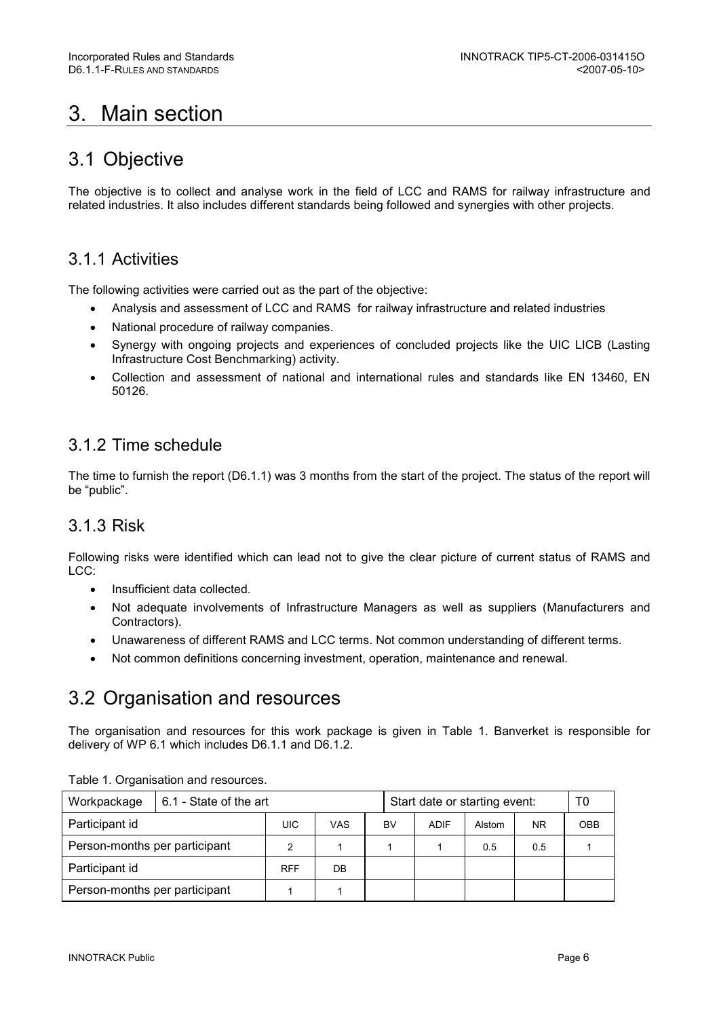# 3. Main section

## 3.1 Objective

The objective is to collect and analyse work in the field of LCC and RAMS for railway infrastructure and related industries. It also includes different standards being followed and synergies with other projects.

## 3.1.1 Activities

The following activities were carried out as the part of the objective:

- Analysis and assessment of LCC and RAMS for railway infrastructure and related industries
- National procedure of railway companies.
- Synergy with ongoing projects and experiences of concluded projects like the UIC LICB (Lasting Infrastructure Cost Benchmarking) activity.
- Collection and assessment of national and international rules and standards like EN 13460, EN 50126.

## 3.1.2 Time schedule

The time to furnish the report (D6.1.1) was 3 months from the start of the project. The status of the report will be "public".

## 3.1.3 Risk

Following risks were identified which can lead not to give the clear picture of current status of RAMS and LCC:

- Insufficient data collected.
- Not adequate involvements of Infrastructure Managers as well as suppliers (Manufacturers and Contractors).
- Unawareness of different RAMS and LCC terms. Not common understanding of different terms.
- Not common definitions concerning investment, operation, maintenance and renewal.

## 3.2 Organisation and resources

The organisation and resources for this work package is given in Table 1. Banverket is responsible for delivery of WP 6.1 which includes D6.1.1 and D6.1.2.

| Workpackage                   | 6.1 - State of the art |            |     |    |             | Start date or starting event: |           | T0         |
|-------------------------------|------------------------|------------|-----|----|-------------|-------------------------------|-----------|------------|
| Participant id                |                        | UIC        | VAS | BV | <b>ADIF</b> | Alstom                        | <b>NR</b> | <b>OBB</b> |
| Person-months per participant |                        |            |     |    |             | 0.5                           | 0.5       |            |
| Participant id                |                        | <b>RFF</b> | DB  |    |             |                               |           |            |
| Person-months per participant |                        |            |     |    |             |                               |           |            |

Table 1. Organisation and resources.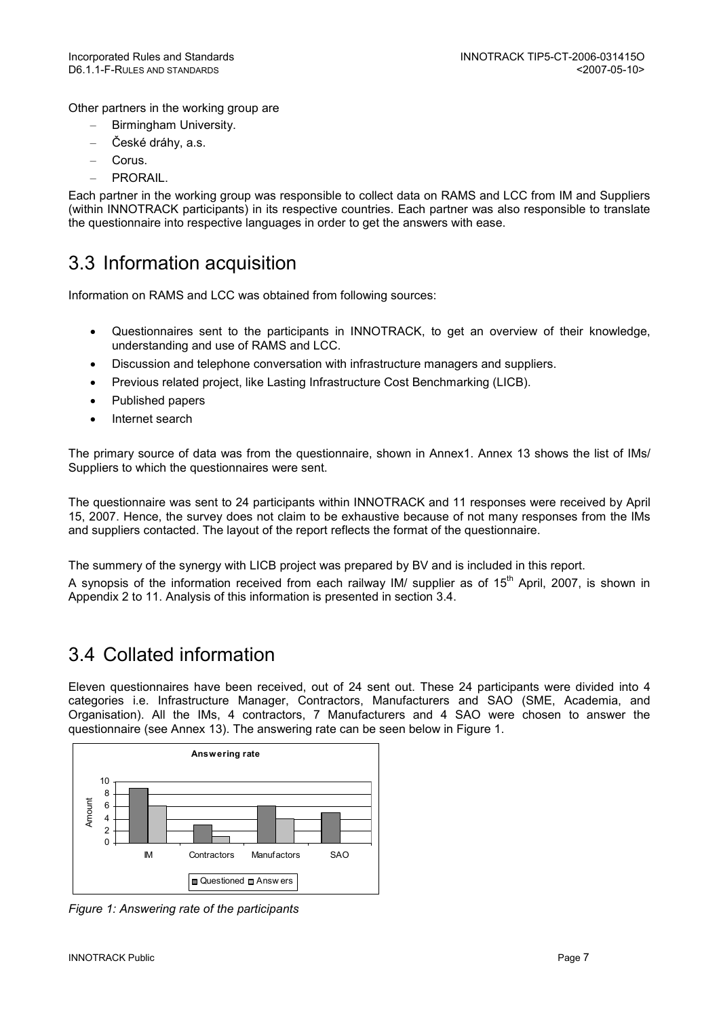Other partners in the working group are

- Birmingham University.
- České dráhy, a.s.
- Corus.
- PRORAIL.

Each partner in the working group was responsible to collect data on RAMS and LCC from IM and Suppliers (within INNOTRACK participants) in its respective countries. Each partner was also responsible to translate the questionnaire into respective languages in order to get the answers with ease.

# 3.3 Information acquisition

Information on RAMS and LCC was obtained from following sources:

- Questionnaires sent to the participants in INNOTRACK, to get an overview of their knowledge, understanding and use of RAMS and LCC.
- Discussion and telephone conversation with infrastructure managers and suppliers.
- Previous related project, like Lasting Infrastructure Cost Benchmarking (LICB).
- Published papers
- Internet search

The primary source of data was from the questionnaire, shown in Annex1. Annex 13 shows the list of IMs/ Suppliers to which the questionnaires were sent.

The questionnaire was sent to 24 participants within INNOTRACK and 11 responses were received by April 15, 2007. Hence, the survey does not claim to be exhaustive because of not many responses from the IMs and suppliers contacted. The layout of the report reflects the format of the questionnaire.

The summery of the synergy with LICB project was prepared by BV and is included in this report.

A synopsis of the information received from each railway IM/ supplier as of 15<sup>th</sup> April, 2007, is shown in Appendix 2 to 11. Analysis of this information is presented in section 3.4.

# 3.4 Collated information

Eleven questionnaires have been received, out of 24 sent out. These 24 participants were divided into 4 categories i.e. Infrastructure Manager, Contractors, Manufacturers and SAO (SME, Academia, and Organisation). All the IMs, 4 contractors, 7 Manufacturers and 4 SAO were chosen to answer the questionnaire (see Annex 13). The answering rate can be seen below in Figure 1.



Figure 1: Answering rate of the participants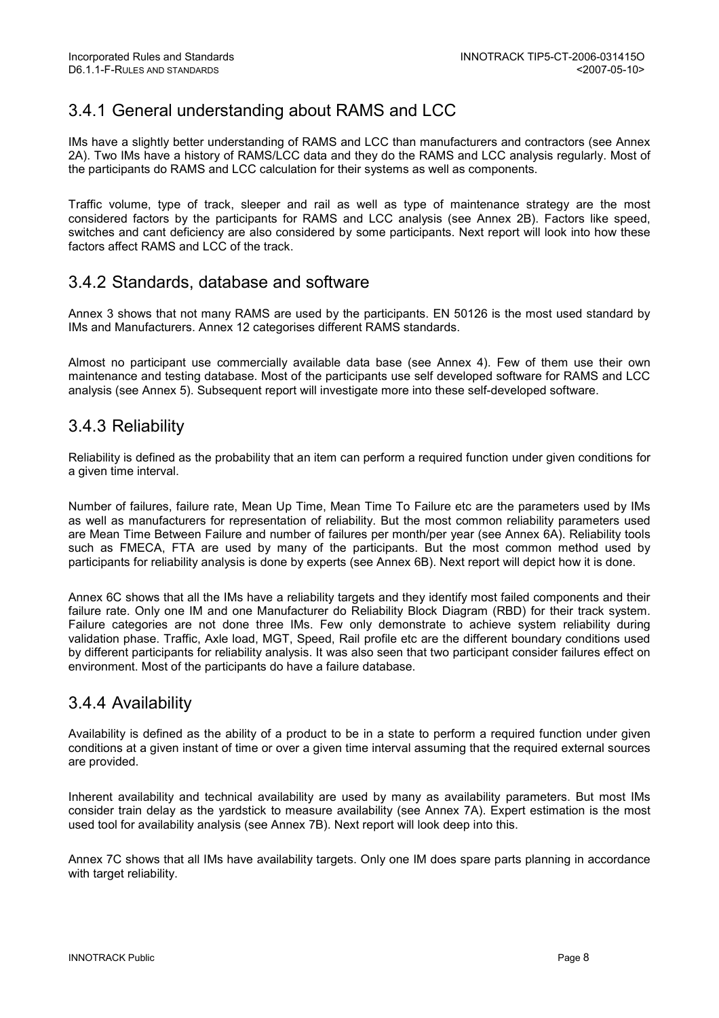## 3.4.1 General understanding about RAMS and LCC

IMs have a slightly better understanding of RAMS and LCC than manufacturers and contractors (see Annex 2A). Two IMs have a history of RAMS/LCC data and they do the RAMS and LCC analysis regularly. Most of the participants do RAMS and LCC calculation for their systems as well as components.

Traffic volume, type of track, sleeper and rail as well as type of maintenance strategy are the most considered factors by the participants for RAMS and LCC analysis (see Annex 2B). Factors like speed, switches and cant deficiency are also considered by some participants. Next report will look into how these factors affect RAMS and LCC of the track.

## 3.4.2 Standards, database and software

Annex 3 shows that not many RAMS are used by the participants. EN 50126 is the most used standard by IMs and Manufacturers. Annex 12 categorises different RAMS standards.

Almost no participant use commercially available data base (see Annex 4). Few of them use their own maintenance and testing database. Most of the participants use self developed software for RAMS and LCC analysis (see Annex 5). Subsequent report will investigate more into these self-developed software.

## 3.4.3 Reliability

Reliability is defined as the probability that an item can perform a required function under given conditions for a given time interval.

Number of failures, failure rate, Mean Up Time, Mean Time To Failure etc are the parameters used by IMs as well as manufacturers for representation of reliability. But the most common reliability parameters used are Mean Time Between Failure and number of failures per month/per year (see Annex 6A). Reliability tools such as FMECA, FTA are used by many of the participants. But the most common method used by participants for reliability analysis is done by experts (see Annex 6B). Next report will depict how it is done.

Annex 6C shows that all the IMs have a reliability targets and they identify most failed components and their failure rate. Only one IM and one Manufacturer do Reliability Block Diagram (RBD) for their track system. Failure categories are not done three IMs. Few only demonstrate to achieve system reliability during validation phase. Traffic, Axle load, MGT, Speed, Rail profile etc are the different boundary conditions used by different participants for reliability analysis. It was also seen that two participant consider failures effect on environment. Most of the participants do have a failure database.

## 3.4.4 Availability

Availability is defined as the ability of a product to be in a state to perform a required function under given conditions at a given instant of time or over a given time interval assuming that the required external sources are provided.

Inherent availability and technical availability are used by many as availability parameters. But most IMs consider train delay as the yardstick to measure availability (see Annex 7A). Expert estimation is the most used tool for availability analysis (see Annex 7B). Next report will look deep into this.

Annex 7C shows that all IMs have availability targets. Only one IM does spare parts planning in accordance with target reliability.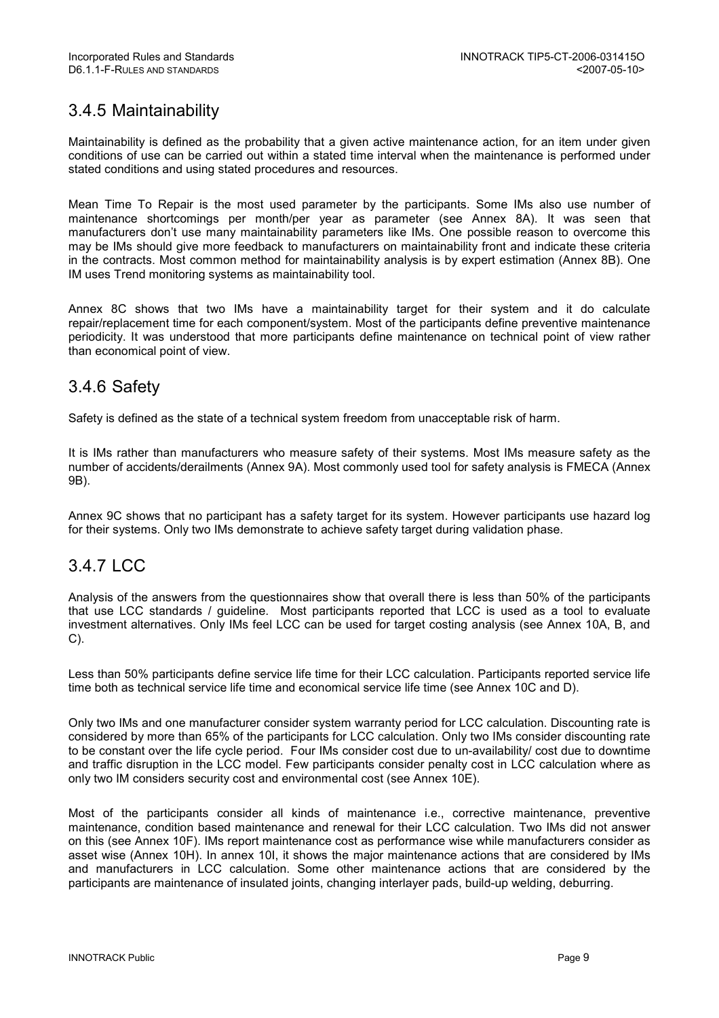## 3.4.5 Maintainability

Maintainability is defined as the probability that a given active maintenance action, for an item under given conditions of use can be carried out within a stated time interval when the maintenance is performed under stated conditions and using stated procedures and resources.

Mean Time To Repair is the most used parameter by the participants. Some IMs also use number of maintenance shortcomings per month/per year as parameter (see Annex 8A). It was seen that manufacturers don't use many maintainability parameters like IMs. One possible reason to overcome this may be IMs should give more feedback to manufacturers on maintainability front and indicate these criteria in the contracts. Most common method for maintainability analysis is by expert estimation (Annex 8B). One IM uses Trend monitoring systems as maintainability tool.

Annex 8C shows that two IMs have a maintainability target for their system and it do calculate repair/replacement time for each component/system. Most of the participants define preventive maintenance periodicity. It was understood that more participants define maintenance on technical point of view rather than economical point of view.

## 3.4.6 Safety

Safety is defined as the state of a technical system freedom from unacceptable risk of harm.

It is IMs rather than manufacturers who measure safety of their systems. Most IMs measure safety as the number of accidents/derailments (Annex 9A). Most commonly used tool for safety analysis is FMECA (Annex 9B).

Annex 9C shows that no participant has a safety target for its system. However participants use hazard log for their systems. Only two IMs demonstrate to achieve safety target during validation phase.

## 3.4.7 LCC

Analysis of the answers from the questionnaires show that overall there is less than 50% of the participants that use LCC standards / guideline. Most participants reported that LCC is used as a tool to evaluate investment alternatives. Only IMs feel LCC can be used for target costing analysis (see Annex 10A, B, and C).

Less than 50% participants define service life time for their LCC calculation. Participants reported service life time both as technical service life time and economical service life time (see Annex 10C and D).

Only two IMs and one manufacturer consider system warranty period for LCC calculation. Discounting rate is considered by more than 65% of the participants for LCC calculation. Only two IMs consider discounting rate to be constant over the life cycle period. Four IMs consider cost due to un-availability/ cost due to downtime and traffic disruption in the LCC model. Few participants consider penalty cost in LCC calculation where as only two IM considers security cost and environmental cost (see Annex 10E).

Most of the participants consider all kinds of maintenance i.e., corrective maintenance, preventive maintenance, condition based maintenance and renewal for their LCC calculation. Two IMs did not answer on this (see Annex 10F). IMs report maintenance cost as performance wise while manufacturers consider as asset wise (Annex 10H). In annex 10I, it shows the major maintenance actions that are considered by IMs and manufacturers in LCC calculation. Some other maintenance actions that are considered by the participants are maintenance of insulated joints, changing interlayer pads, build-up welding, deburring.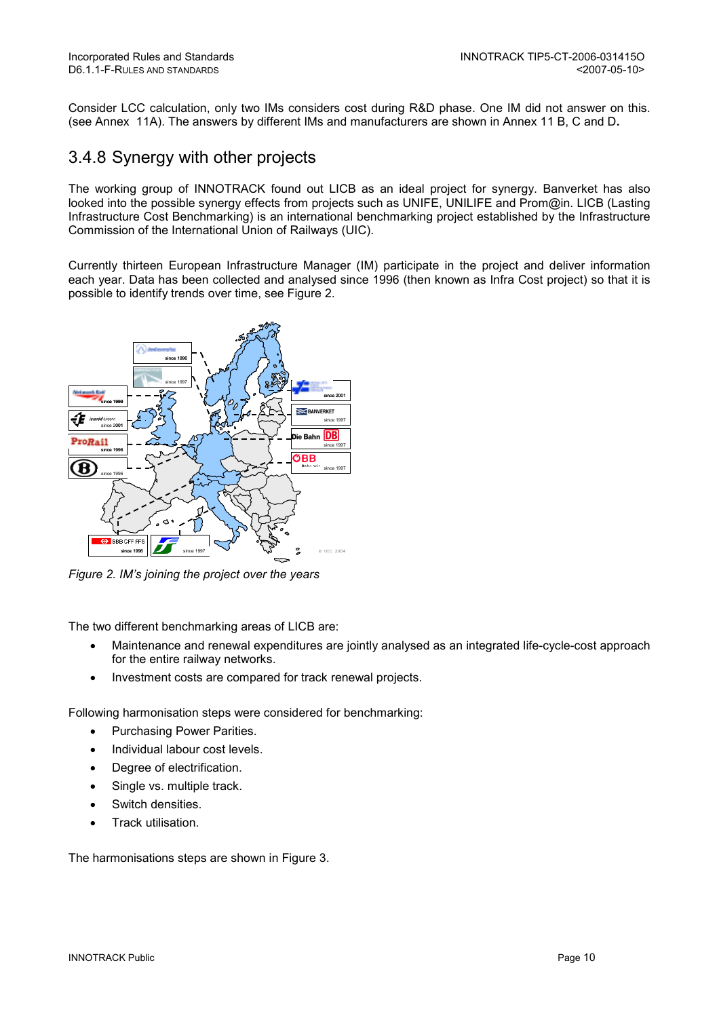Consider LCC calculation, only two IMs considers cost during R&D phase. One IM did not answer on this. (see Annex 11A). The answers by different IMs and manufacturers are shown in Annex 11 B, C and D.

## 3.4.8 Synergy with other projects

The working group of INNOTRACK found out LICB as an ideal project for synergy. Banverket has also looked into the possible synergy effects from projects such as UNIFE, UNILIFE and Prom@in. LICB (Lasting Infrastructure Cost Benchmarking) is an international benchmarking project established by the Infrastructure Commission of the International Union of Railways (UIC).

Currently thirteen European Infrastructure Manager (IM) participate in the project and deliver information each year. Data has been collected and analysed since 1996 (then known as Infra Cost project) so that it is possible to identify trends over time, see Figure 2.



Figure 2. IM's joining the project over the years

The two different benchmarking areas of LICB are:

- Maintenance and renewal expenditures are jointly analysed as an integrated life-cycle-cost approach for the entire railway networks.
- Investment costs are compared for track renewal projects.

Following harmonisation steps were considered for benchmarking:

- Purchasing Power Parities.
- Individual labour cost levels.
- Degree of electrification.
- Single vs. multiple track.
- Switch densities.
- Track utilisation.

The harmonisations steps are shown in Figure 3.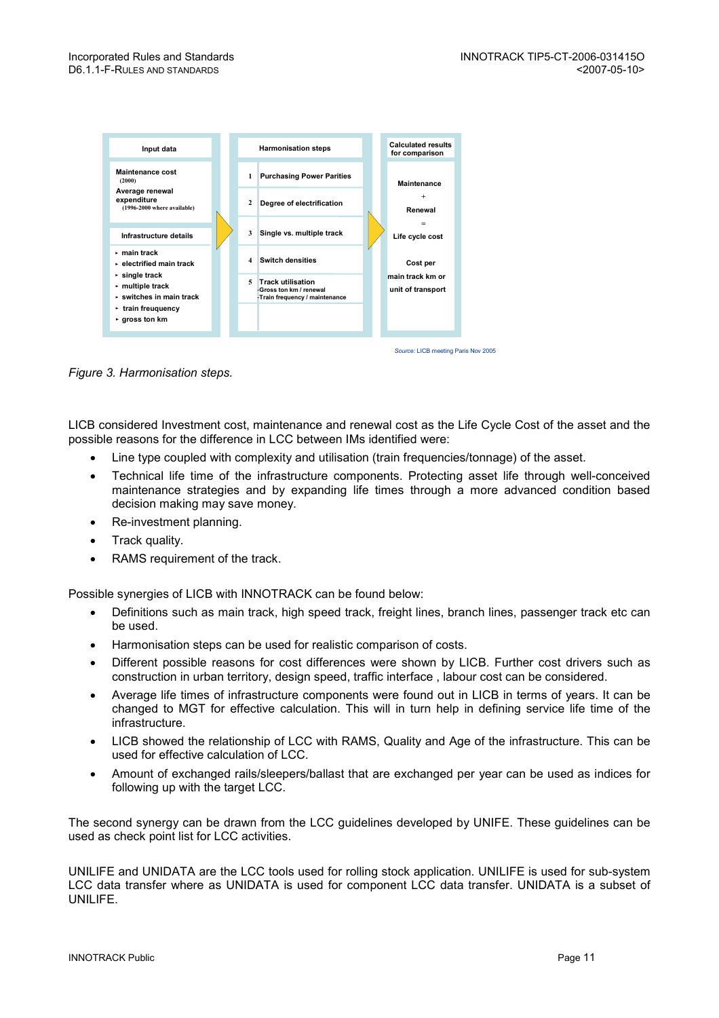

Figure 3. Harmonisation steps.

LICB considered Investment cost, maintenance and renewal cost as the Life Cycle Cost of the asset and the possible reasons for the difference in LCC between IMs identified were:

- Line type coupled with complexity and utilisation (train frequencies/tonnage) of the asset.
- Technical life time of the infrastructure components. Protecting asset life through well-conceived maintenance strategies and by expanding life times through a more advanced condition based decision making may save money.
- Re-investment planning.
- Track quality.
- RAMS requirement of the track.

Possible synergies of LICB with INNOTRACK can be found below:

- Definitions such as main track, high speed track, freight lines, branch lines, passenger track etc can be used.
- Harmonisation steps can be used for realistic comparison of costs.
- Different possible reasons for cost differences were shown by LICB. Further cost drivers such as construction in urban territory, design speed, traffic interface , labour cost can be considered.
- Average life times of infrastructure components were found out in LICB in terms of years. It can be changed to MGT for effective calculation. This will in turn help in defining service life time of the infrastructure.
- LICB showed the relationship of LCC with RAMS, Quality and Age of the infrastructure. This can be used for effective calculation of LCC.
- Amount of exchanged rails/sleepers/ballast that are exchanged per year can be used as indices for following up with the target LCC.

The second synergy can be drawn from the LCC guidelines developed by UNIFE. These guidelines can be used as check point list for LCC activities.

UNILIFE and UNIDATA are the LCC tools used for rolling stock application. UNILIFE is used for sub-system LCC data transfer where as UNIDATA is used for component LCC data transfer. UNIDATA is a subset of UNILIFE.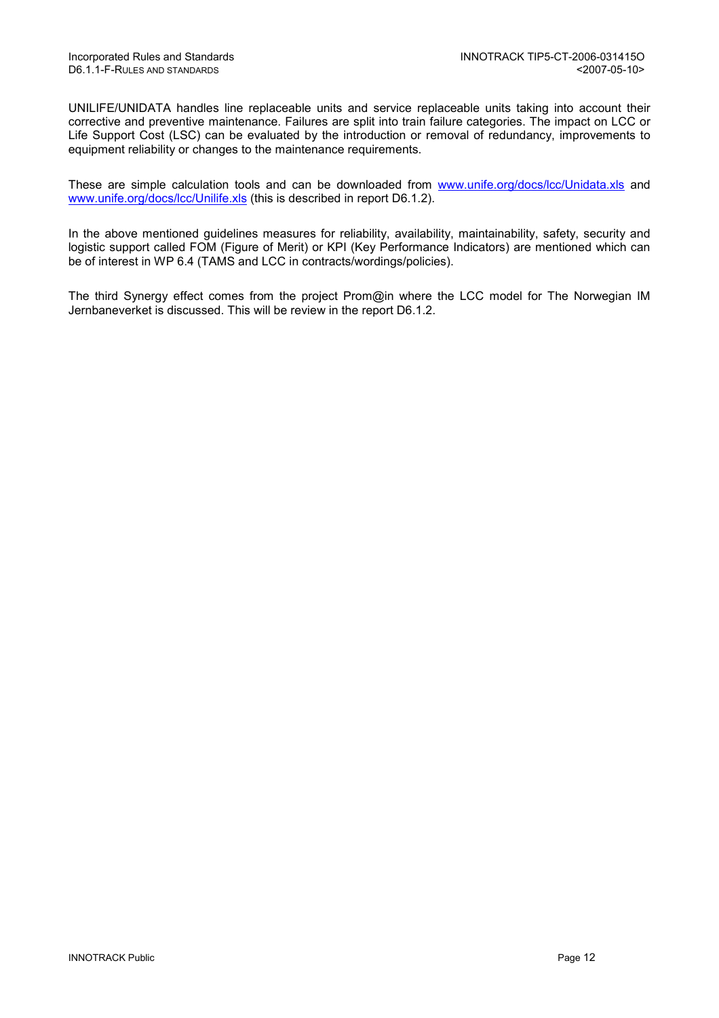UNILIFE/UNIDATA handles line replaceable units and service replaceable units taking into account their corrective and preventive maintenance. Failures are split into train failure categories. The impact on LCC or Life Support Cost (LSC) can be evaluated by the introduction or removal of redundancy, improvements to equipment reliability or changes to the maintenance requirements.

These are simple calculation tools and can be downloaded from www.unife.org/docs/lcc/Unidata.xls and www.unife.org/docs/lcc/Unilife.xls (this is described in report D6.1.2).

In the above mentioned guidelines measures for reliability, availability, maintainability, safety, security and logistic support called FOM (Figure of Merit) or KPI (Key Performance Indicators) are mentioned which can be of interest in WP 6.4 (TAMS and LCC in contracts/wordings/policies).

The third Synergy effect comes from the project Prom@in where the LCC model for The Norwegian IM Jernbaneverket is discussed. This will be review in the report D6.1.2.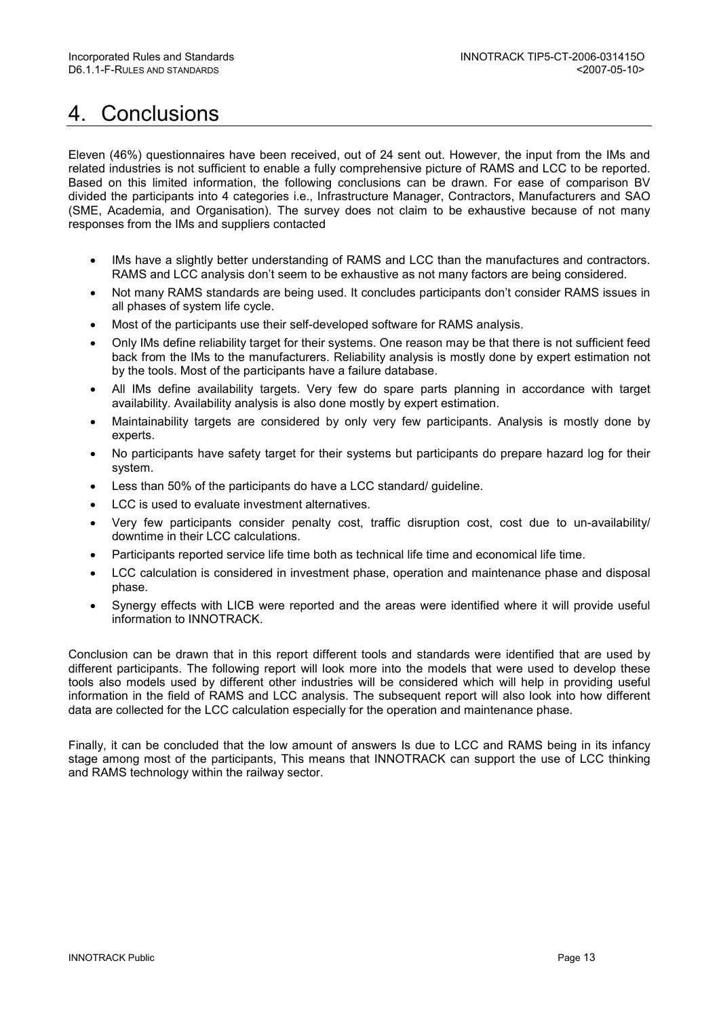# 4. Conclusions

Eleven (46%) questionnaires have been received, out of 24 sent out. However, the input from the IMs and related industries is not sufficient to enable a fully comprehensive picture of RAMS and LCC to be reported. Based on this limited information, the following conclusions can be drawn. For ease of comparison BV divided the participants into 4 categories i.e., Infrastructure Manager, Contractors, Manufacturers and SAO (SME, Academia, and Organisation). The survey does not claim to be exhaustive because of not many responses from the IMs and suppliers contacted

- IMs have a slightly better understanding of RAMS and LCC than the manufactures and contractors. RAMS and LCC analysis don't seem to be exhaustive as not many factors are being considered.
- Not many RAMS standards are being used. It concludes participants don't consider RAMS issues in all phases of system life cycle.
- Most of the participants use their self-developed software for RAMS analysis.
- Only IMs define reliability target for their systems. One reason may be that there is not sufficient feed back from the IMs to the manufacturers. Reliability analysis is mostly done by expert estimation not by the tools. Most of the participants have a failure database.
- All IMs define availability targets. Very few do spare parts planning in accordance with target availability. Availability analysis is also done mostly by expert estimation.
- Maintainability targets are considered by only very few participants. Analysis is mostly done by experts.
- No participants have safety target for their systems but participants do prepare hazard log for their system.
- Less than 50% of the participants do have a LCC standard/ guideline.
- LCC is used to evaluate investment alternatives.
- Very few participants consider penalty cost, traffic disruption cost, cost due to un-availability/ downtime in their LCC calculations.
- Participants reported service life time both as technical life time and economical life time.
- LCC calculation is considered in investment phase, operation and maintenance phase and disposal phase.
- Synergy effects with LICB were reported and the areas were identified where it will provide useful information to INNOTRACK.

Conclusion can be drawn that in this report different tools and standards were identified that are used by different participants. The following report will look more into the models that were used to develop these tools also models used by different other industries will be considered which will help in providing useful information in the field of RAMS and LCC analysis. The subsequent report will also look into how different data are collected for the LCC calculation especially for the operation and maintenance phase.

Finally, it can be concluded that the low amount of answers Is due to LCC and RAMS being in its infancy stage among most of the participants, This means that INNOTRACK can support the use of LCC thinking and RAMS technology within the railway sector.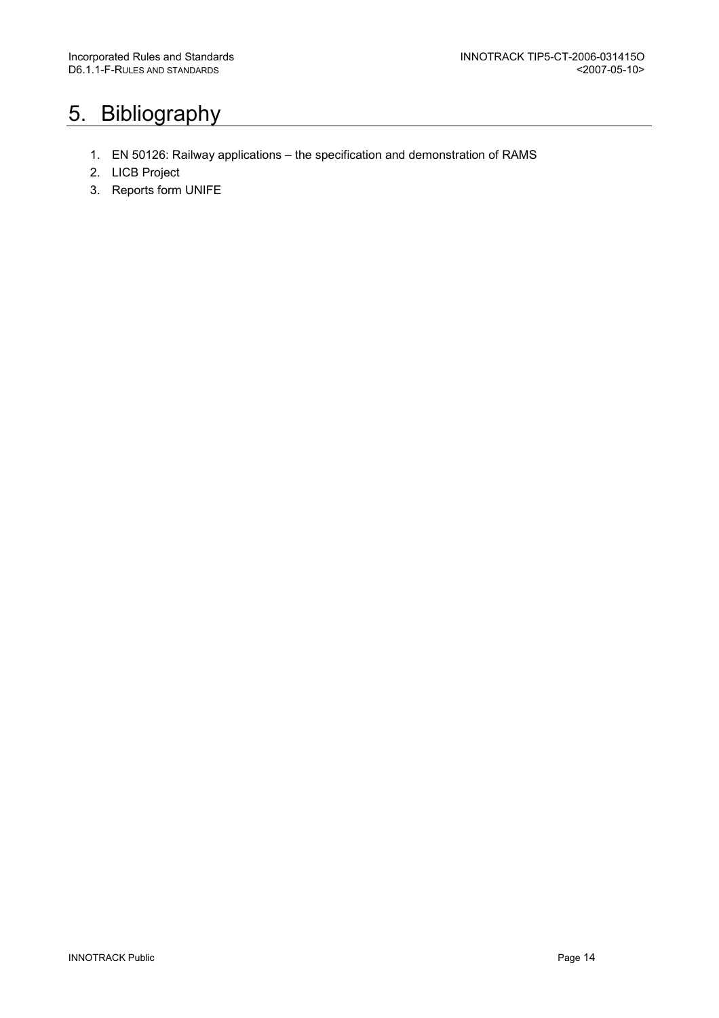# 5. Bibliography

- 1. EN 50126: Railway applications the specification and demonstration of RAMS
- 2. LICB Project
- 3. Reports form UNIFE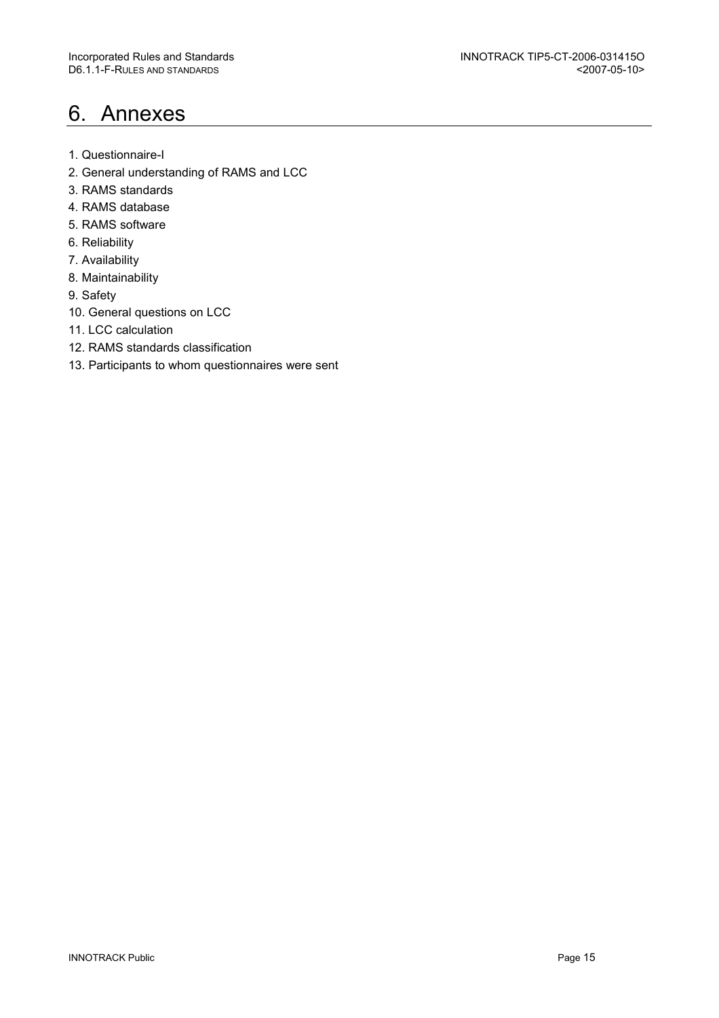# 6. Annexes

- 1. Questionnaire-I
- 2. General understanding of RAMS and LCC
- 3. RAMS standards
- 4. RAMS database
- 5. RAMS software
- 6. Reliability
- 7. Availability
- 8. Maintainability
- 9. Safety
- 10. General questions on LCC
- 11. LCC calculation
- 12. RAMS standards classification
- 13. Participants to whom questionnaires were sent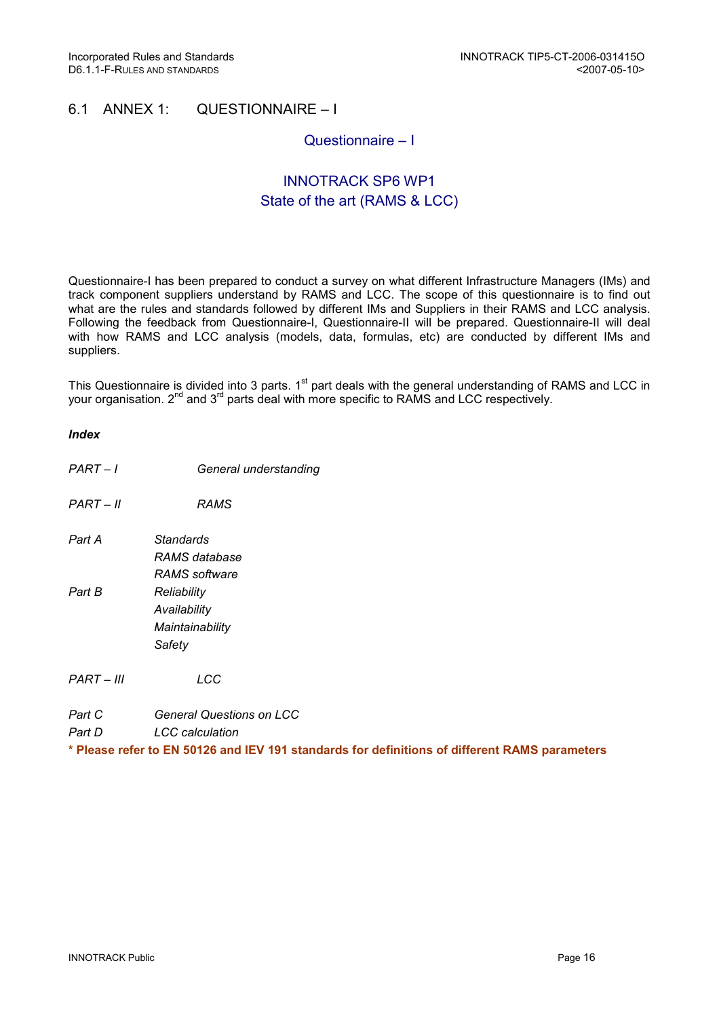## 6.1 ANNEX 1: QUESTIONNAIRE – I

## Questionnaire – I

## INNOTRACK SP6 WP1 State of the art (RAMS & LCC)

Questionnaire-I has been prepared to conduct a survey on what different Infrastructure Managers (IMs) and track component suppliers understand by RAMS and LCC. The scope of this questionnaire is to find out what are the rules and standards followed by different IMs and Suppliers in their RAMS and LCC analysis. Following the feedback from Questionnaire-I, Questionnaire-II will be prepared. Questionnaire-II will deal with how RAMS and LCC analysis (models, data, formulas, etc) are conducted by different IMs and suppliers.

This Questionnaire is divided into 3 parts. 1<sup>st</sup> part deals with the general understanding of RAMS and LCC in your organisation. 2<sup>nd</sup> and 3<sup>rd</sup> parts deal with more specific to RAMS and LCC respectively.

#### Index

- PART I General understanding
- PART II RAMS
- Part A Standards RAMS database RAMS software Part B Reliability **Availability Maintainability Safety**

PART – III LCC

Part C **General Questions on LCC** 

Part D LCC calculation

\* Please refer to EN 50126 and IEV 191 standards for definitions of different RAMS parameters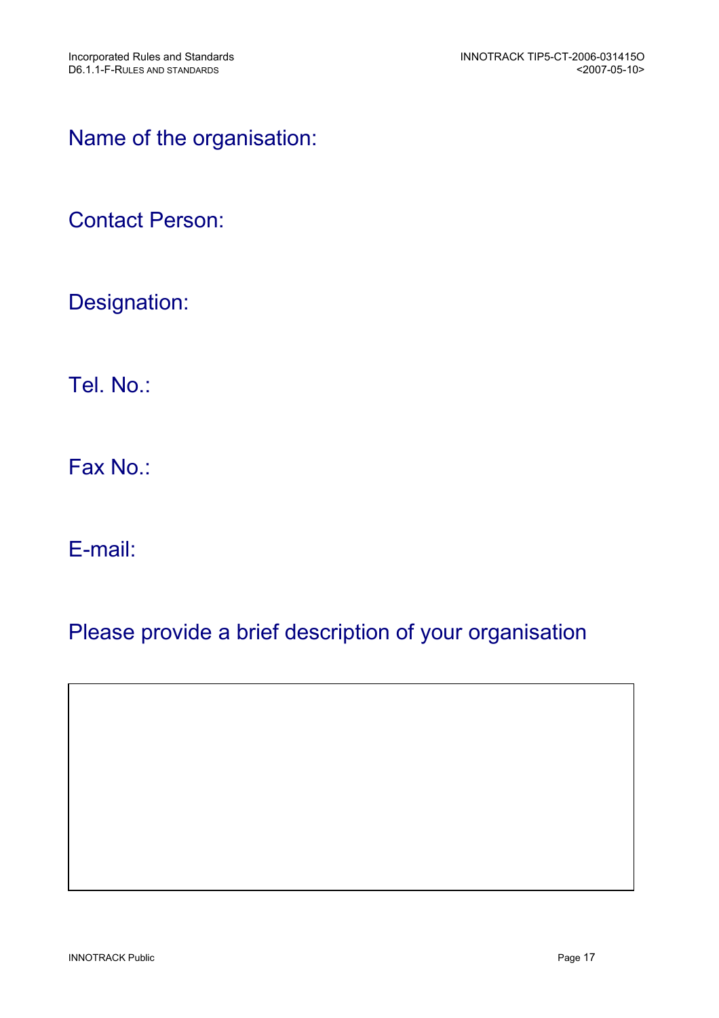# Name of the organisation:

# Contact Person:

# Designation:

Tel. No.:

Fax No.:

E-mail:

# Please provide a brief description of your organisation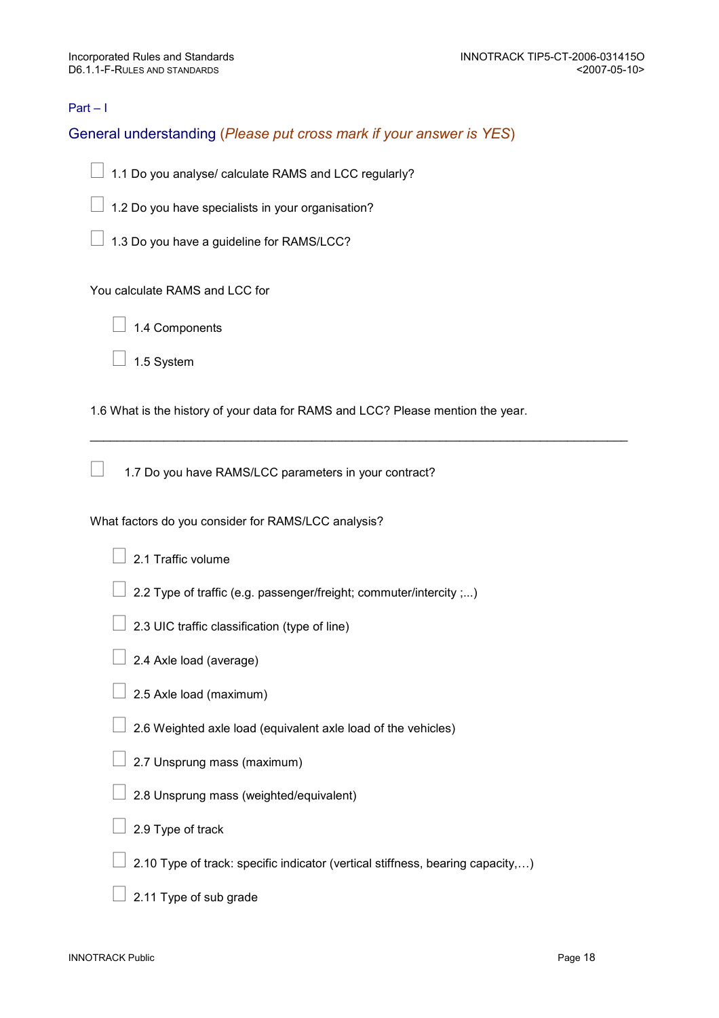## Part – I

## General understanding (Please put cross mark if your answer is YES)

- 1.1 Do you analyse/ calculate RAMS and LCC regularly?
- 1.2 Do you have specialists in your organisation?
- 1.3 Do you have a guideline for RAMS/LCC?

You calculate RAMS and LCC for

- 1.4 Components
- 1.5 System

1.6 What is the history of your data for RAMS and LCC? Please mention the year.

\_\_\_\_\_\_\_\_\_\_\_\_\_\_\_\_\_\_\_\_\_\_\_\_\_\_\_\_\_\_\_\_\_\_\_\_\_\_\_\_\_\_\_\_\_\_\_\_\_\_\_\_\_\_\_\_\_\_\_\_\_\_\_\_\_\_\_\_\_\_\_\_\_\_\_\_\_\_\_\_

1.7 Do you have RAMS/LCC parameters in your contract?

What factors do you consider for RAMS/LCC analysis?

- 2.1 Traffic volume
- 2.2 Type of traffic (e.g. passenger/freight; commuter/intercity ;...)
- 2.3 UIC traffic classification (type of line)
- 2.4 Axle load (average)
- 2.5 Axle load (maximum)
- 2.6 Weighted axle load (equivalent axle load of the vehicles)
- 2.7 Unsprung mass (maximum)
- 2.8 Unsprung mass (weighted/equivalent)
- 2.9 Type of track
- 2.10 Type of track: specific indicator (vertical stiffness, bearing capacity,…)
- 2.11 Type of sub grade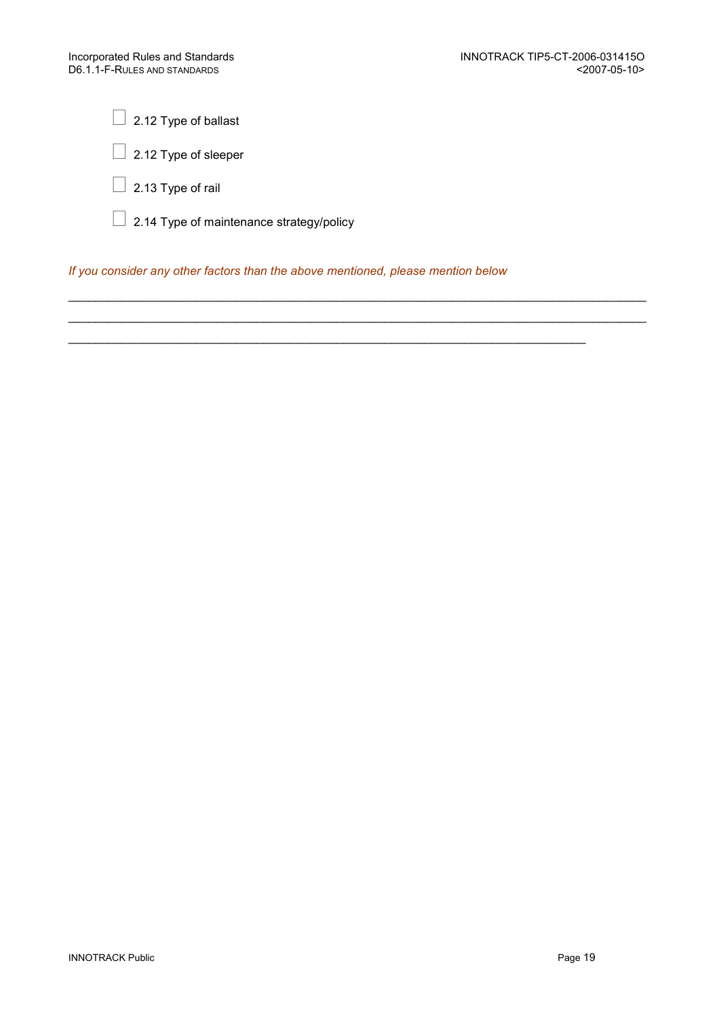2.12 Type of ballast

2.12 Type of sleeper

2.13 Type of rail

2.14 Type of maintenance strategy/policy

If you consider any other factors than the above mentioned, please mention below

 $\_$  ,  $\_$  ,  $\_$  ,  $\_$  ,  $\_$  ,  $\_$  ,  $\_$  ,  $\_$  ,  $\_$  ,  $\_$  ,  $\_$  ,  $\_$  ,  $\_$  ,  $\_$  ,  $\_$  ,  $\_$  ,  $\_$  ,  $\_$  ,  $\_$  ,  $\_$  ,  $\_$  ,  $\_$  ,  $\_$  ,  $\_$  ,  $\_$  ,  $\_$  ,  $\_$  ,  $\_$  ,  $\_$  ,  $\_$  ,  $\_$  ,  $\_$  ,  $\_$  ,  $\_$  ,  $\_$  ,  $\_$  ,  $\_$  , \_\_\_\_\_\_\_\_\_\_\_\_\_\_\_\_\_\_\_\_\_\_\_\_\_\_\_\_\_\_\_\_\_\_\_\_\_\_\_\_\_\_\_\_\_\_\_\_\_\_\_\_\_\_\_\_\_\_\_\_\_\_\_\_\_\_\_\_\_\_\_\_\_\_\_\_\_\_\_\_\_\_\_\_\_\_

 $\mathcal{L}_\text{max} = \mathcal{L}_\text{max} = \mathcal{L}_\text{max} = \mathcal{L}_\text{max} = \mathcal{L}_\text{max} = \mathcal{L}_\text{max} = \mathcal{L}_\text{max} = \mathcal{L}_\text{max} = \mathcal{L}_\text{max} = \mathcal{L}_\text{max} = \mathcal{L}_\text{max} = \mathcal{L}_\text{max} = \mathcal{L}_\text{max} = \mathcal{L}_\text{max} = \mathcal{L}_\text{max} = \mathcal{L}_\text{max} = \mathcal{L}_\text{max} = \mathcal{L}_\text{max} = \mathcal{$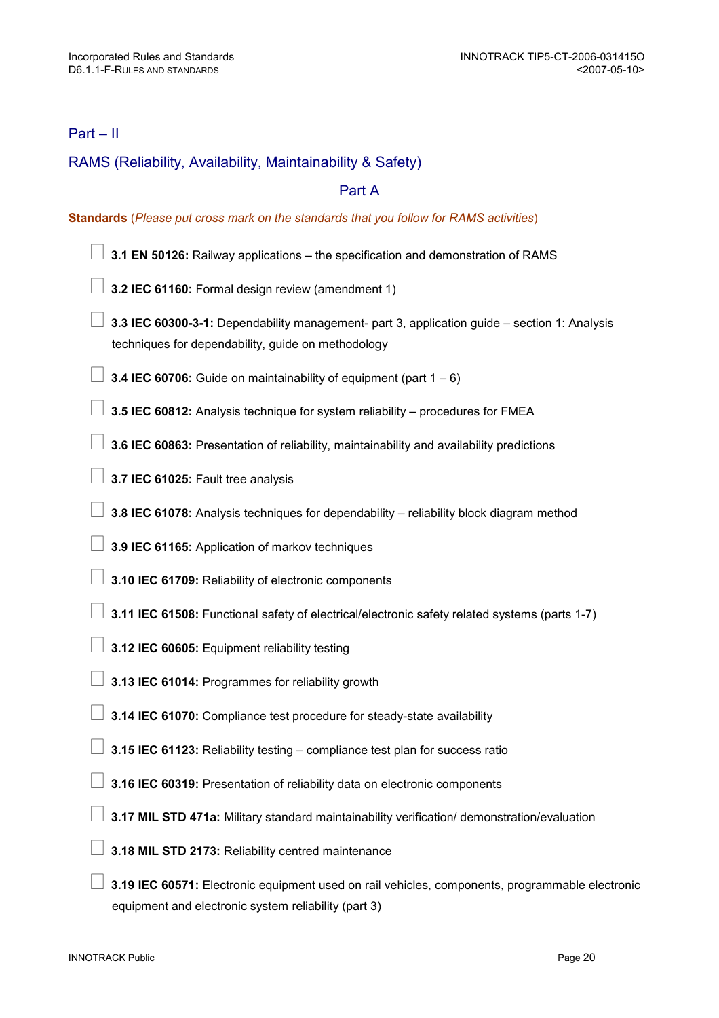## Part – II

## RAMS (Reliability, Availability, Maintainability & Safety)

## Part A

#### Standards (Please put cross mark on the standards that you follow for RAMS activities)

- 3.1 EN 50126: Railway applications the specification and demonstration of RAMS
- 3.2 IEC 61160: Formal design review (amendment 1)

 3.3 IEC 60300-3-1: Dependability management- part 3, application guide – section 1: Analysis techniques for dependability, guide on methodology

**3.4 IEC 60706:** Guide on maintainability of equipment (part  $1 - 6$ )

3.5 IEC 60812: Analysis technique for system reliability – procedures for FMEA

3.6 IEC 60863: Presentation of reliability, maintainability and availability predictions

3.7 IEC 61025: Fault tree analysis

3.8 IEC 61078: Analysis techniques for dependability – reliability block diagram method

3.9 IEC 61165: Application of markov techniques

3.10 IEC 61709: Reliability of electronic components

3.11 IEC 61508: Functional safety of electrical/electronic safety related systems (parts 1-7)

3.12 IEC 60605: Equipment reliability testing

3.13 IEC 61014: Programmes for reliability growth

3.14 IEC 61070: Compliance test procedure for steady-state availability

3.15 IEC 61123: Reliability testing – compliance test plan for success ratio

3.16 IEC 60319: Presentation of reliability data on electronic components

3.17 MIL STD 471a: Military standard maintainability verification/ demonstration/evaluation

3.18 MIL STD 2173: Reliability centred maintenance

 3.19 IEC 60571: Electronic equipment used on rail vehicles, components, programmable electronic equipment and electronic system reliability (part 3)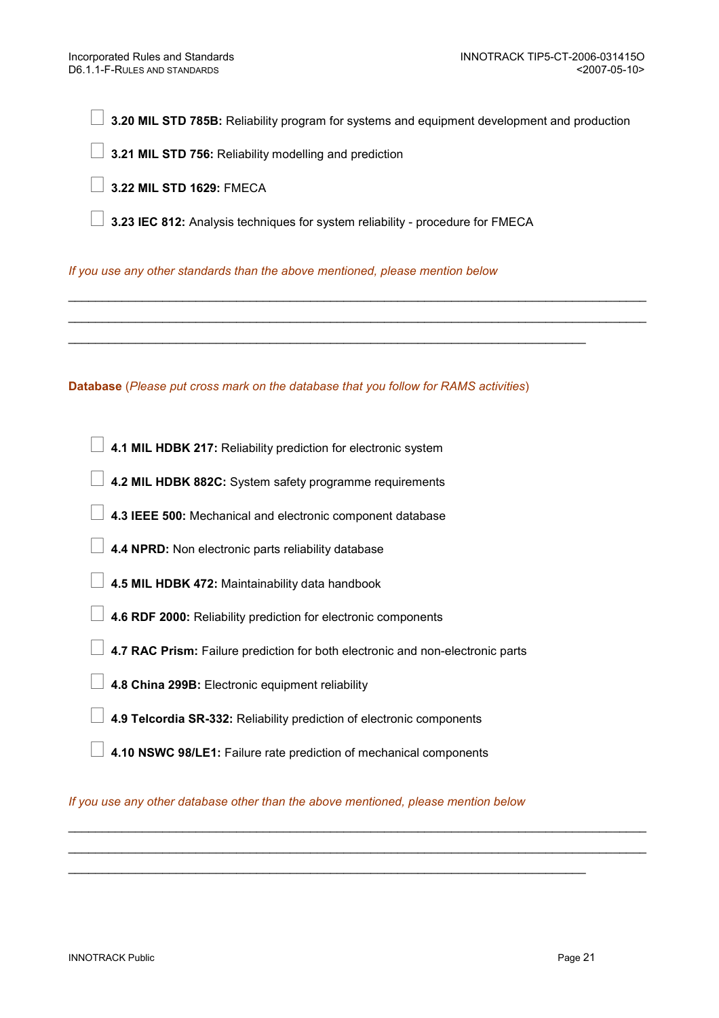3.20 MIL STD 785B: Reliability program for systems and equipment development and production

 $\_$  ,  $\_$  ,  $\_$  ,  $\_$  ,  $\_$  ,  $\_$  ,  $\_$  ,  $\_$  ,  $\_$  ,  $\_$  ,  $\_$  ,  $\_$  ,  $\_$  ,  $\_$  ,  $\_$  ,  $\_$  ,  $\_$  ,  $\_$  ,  $\_$  ,  $\_$  ,  $\_$  ,  $\_$  ,  $\_$  ,  $\_$  ,  $\_$  ,  $\_$  ,  $\_$  ,  $\_$  ,  $\_$  ,  $\_$  ,  $\_$  ,  $\_$  ,  $\_$  ,  $\_$  ,  $\_$  ,  $\_$  ,  $\_$  , \_\_\_\_\_\_\_\_\_\_\_\_\_\_\_\_\_\_\_\_\_\_\_\_\_\_\_\_\_\_\_\_\_\_\_\_\_\_\_\_\_\_\_\_\_\_\_\_\_\_\_\_\_\_\_\_\_\_\_\_\_\_\_\_\_\_\_\_\_\_\_\_\_\_\_\_\_\_\_\_\_\_\_\_\_\_

3.21 MIL STD 756: Reliability modelling and prediction

3.22 MIL STD 1629: FMECA

3.23 IEC 812: Analysis techniques for system reliability - procedure for FMECA

 $\mathcal{L}_\text{max} = \mathcal{L}_\text{max} = \mathcal{L}_\text{max} = \mathcal{L}_\text{max} = \mathcal{L}_\text{max} = \mathcal{L}_\text{max} = \mathcal{L}_\text{max} = \mathcal{L}_\text{max} = \mathcal{L}_\text{max} = \mathcal{L}_\text{max} = \mathcal{L}_\text{max} = \mathcal{L}_\text{max} = \mathcal{L}_\text{max} = \mathcal{L}_\text{max} = \mathcal{L}_\text{max} = \mathcal{L}_\text{max} = \mathcal{L}_\text{max} = \mathcal{L}_\text{max} = \mathcal{$ 

If you use any other standards than the above mentioned, please mention below

Database (Please put cross mark on the database that you follow for RAMS activities)

4.1 MIL HDBK 217: Reliability prediction for electronic system

- 4.2 MIL HDBK 882C: System safety programme requirements
- 4.3 IEEE 500: Mechanical and electronic component database
- 4.4 NPRD: Non electronic parts reliability database
- 4.5 MIL HDBK 472: Maintainability data handbook
- 4.6 RDF 2000: Reliability prediction for electronic components
- 4.7 RAC Prism: Failure prediction for both electronic and non-electronic parts
- 4.8 China 299B: Electronic equipment reliability
- 4.9 Telcordia SR-332: Reliability prediction of electronic components
- 4.10 NSWC 98/LE1: Failure rate prediction of mechanical components

If you use any other database other than the above mentioned, please mention below

 $\_$  ,  $\_$  ,  $\_$  ,  $\_$  ,  $\_$  ,  $\_$  ,  $\_$  ,  $\_$  ,  $\_$  ,  $\_$  ,  $\_$  ,  $\_$  ,  $\_$  ,  $\_$  ,  $\_$  ,  $\_$  ,  $\_$  ,  $\_$  ,  $\_$  ,  $\_$  ,  $\_$  ,  $\_$  ,  $\_$  ,  $\_$  ,  $\_$  ,  $\_$  ,  $\_$  ,  $\_$  ,  $\_$  ,  $\_$  ,  $\_$  ,  $\_$  ,  $\_$  ,  $\_$  ,  $\_$  ,  $\_$  ,  $\_$  ,  $\_$  ,  $\_$  ,  $\_$  ,  $\_$  ,  $\_$  ,  $\_$  ,  $\_$  ,  $\_$  ,  $\_$  ,  $\_$  ,  $\_$  ,  $\_$  ,  $\_$  ,  $\_$  ,  $\_$  ,  $\_$  ,  $\_$  ,  $\_$  ,  $\_$  ,  $\_$  ,  $\_$  ,  $\_$  ,  $\_$  ,  $\_$  ,  $\_$  ,  $\_$  ,  $\_$  ,  $\_$  ,  $\_$  ,  $\_$  ,  $\_$  ,  $\_$  ,  $\_$  ,  $\_$  ,  $\_$  ,  $\_$  ,  $\_$  ,

 $\mathcal{L}_\text{max} = \frac{1}{2} \sum_{i=1}^{n} \frac{1}{2} \sum_{i=1}^{n} \frac{1}{2} \sum_{i=1}^{n} \frac{1}{2} \sum_{i=1}^{n} \frac{1}{2} \sum_{i=1}^{n} \frac{1}{2} \sum_{i=1}^{n} \frac{1}{2} \sum_{i=1}^{n} \frac{1}{2} \sum_{i=1}^{n} \frac{1}{2} \sum_{i=1}^{n} \frac{1}{2} \sum_{i=1}^{n} \frac{1}{2} \sum_{i=1}^{n} \frac{1}{2} \sum_{i=1}^{n} \frac{1$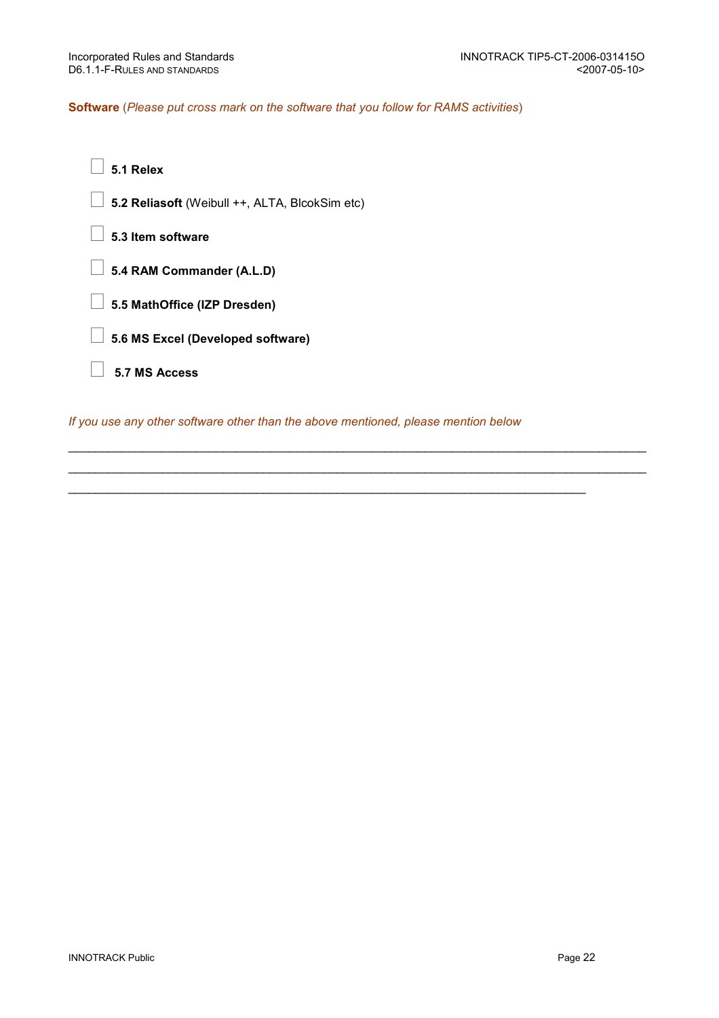## Software (Please put cross mark on the software that you follow for RAMS activities)

- 5.1 Relex
- 5.2 Reliasoft (Weibull ++, ALTA, BlcokSim etc)
- 5.3 Item software
- 5.4 RAM Commander (A.L.D)
- 5.5 MathOffice (IZP Dresden)
- 5.6 MS Excel (Developed software)
- 5.7 MS Access

If you use any other software other than the above mentioned, please mention below

\_\_\_\_\_\_\_\_\_\_\_\_\_\_\_\_\_\_\_\_\_\_\_\_\_\_\_\_\_\_\_\_\_\_\_\_\_\_\_\_\_\_\_\_\_\_\_\_\_\_\_\_\_\_\_\_\_\_\_\_\_\_\_\_\_\_\_\_\_\_\_\_\_\_\_\_\_\_\_\_\_\_\_\_\_\_ \_\_\_\_\_\_\_\_\_\_\_\_\_\_\_\_\_\_\_\_\_\_\_\_\_\_\_\_\_\_\_\_\_\_\_\_\_\_\_\_\_\_\_\_\_\_\_\_\_\_\_\_\_\_\_\_\_\_\_\_\_\_\_\_\_\_\_\_\_\_\_\_\_\_\_\_\_\_\_\_\_\_\_\_\_\_

\_\_\_\_\_\_\_\_\_\_\_\_\_\_\_\_\_\_\_\_\_\_\_\_\_\_\_\_\_\_\_\_\_\_\_\_\_\_\_\_\_\_\_\_\_\_\_\_\_\_\_\_\_\_\_\_\_\_\_\_\_\_\_\_\_\_\_\_\_\_\_\_\_\_\_\_\_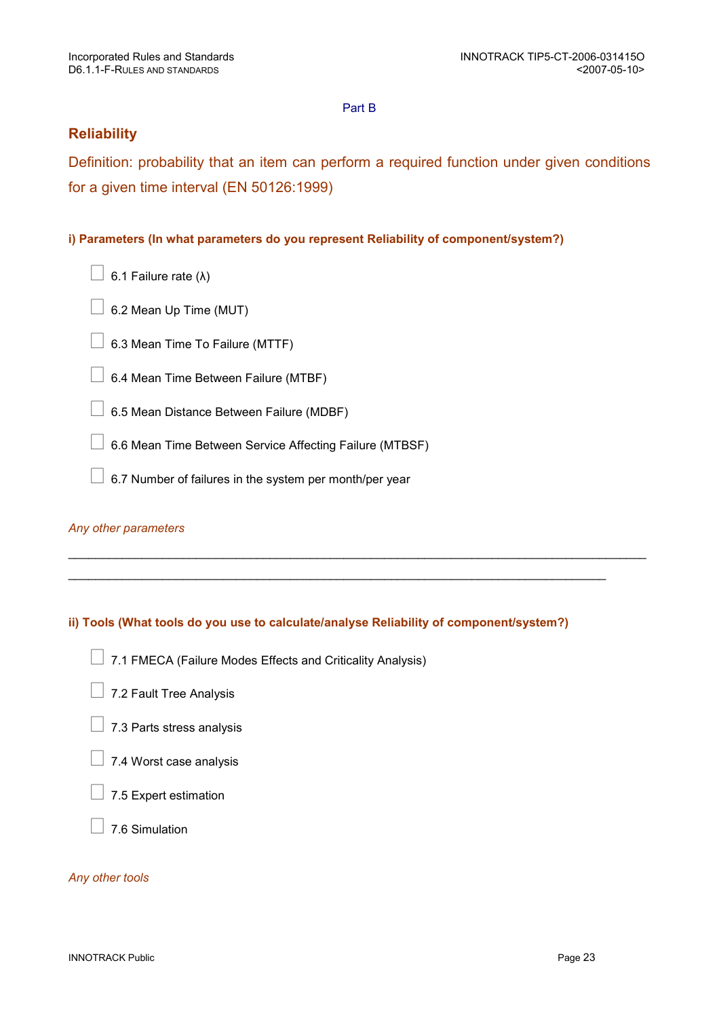## Part B

## **Reliability**

Definition: probability that an item can perform a required function under given conditions for a given time interval (EN 50126:1999)

## i) Parameters (In what parameters do you represent Reliability of component/system?)

- 6.1 Failure rate (λ)
- 6.2 Mean Up Time (MUT)
- 6.3 Mean Time To Failure (MTTF)
- 6.4 Mean Time Between Failure (MTBF)
- 6.5 Mean Distance Between Failure (MDBF)
- 6.6 Mean Time Between Service Affecting Failure (MTBSF)
- 6.7 Number of failures in the system per month/per year

## Any other parameters

## ii) Tools (What tools do you use to calculate/analyse Reliability of component/system?)

\_\_\_\_\_\_\_\_\_\_\_\_\_\_\_\_\_\_\_\_\_\_\_\_\_\_\_\_\_\_\_\_\_\_\_\_\_\_\_\_\_\_\_\_\_\_\_\_\_\_\_\_\_\_\_\_\_\_\_\_\_\_\_\_\_\_\_\_\_\_\_\_\_\_\_\_\_\_\_\_\_\_\_\_\_\_

 $\_$  ,  $\_$  ,  $\_$  ,  $\_$  ,  $\_$  ,  $\_$  ,  $\_$  ,  $\_$  ,  $\_$  ,  $\_$  ,  $\_$  ,  $\_$  ,  $\_$  ,  $\_$  ,  $\_$  ,  $\_$  ,  $\_$  ,  $\_$  ,  $\_$  ,  $\_$  ,  $\_$  ,  $\_$  ,  $\_$  ,  $\_$  ,  $\_$  ,  $\_$  ,  $\_$  ,  $\_$  ,  $\_$  ,  $\_$  ,  $\_$  ,  $\_$  ,  $\_$  ,  $\_$  ,  $\_$  ,  $\_$  ,  $\_$  ,

- 7.1 FMECA (Failure Modes Effects and Criticality Analysis)
- 7.2 Fault Tree Analysis
- 7.3 Parts stress analysis
- 7.4 Worst case analysis
- 7.5 Expert estimation
- 7.6 Simulation

## Any other tools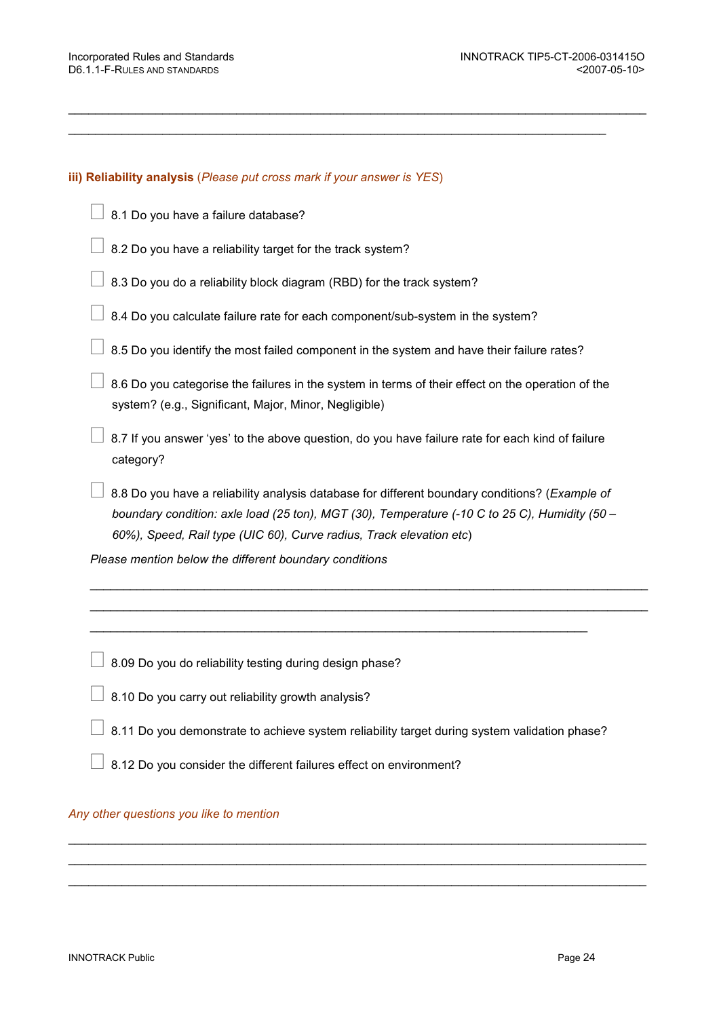#### iii) Reliability analysis (Please put cross mark if your answer is YES)

- 8.1 Do you have a failure database?
- 8.2 Do you have a reliability target for the track system?
- 8.3 Do you do a reliability block diagram (RBD) for the track system?
- 8.4 Do you calculate failure rate for each component/sub-system in the system?
- 8.5 Do you identify the most failed component in the system and have their failure rates?

\_\_\_\_\_\_\_\_\_\_\_\_\_\_\_\_\_\_\_\_\_\_\_\_\_\_\_\_\_\_\_\_\_\_\_\_\_\_\_\_\_\_\_\_\_\_\_\_\_\_\_\_\_\_\_\_\_\_\_\_\_\_\_\_\_\_\_\_\_\_\_\_\_\_\_\_\_\_\_\_\_\_\_\_\_\_

 $\_$  ,  $\_$  ,  $\_$  ,  $\_$  ,  $\_$  ,  $\_$  ,  $\_$  ,  $\_$  ,  $\_$  ,  $\_$  ,  $\_$  ,  $\_$  ,  $\_$  ,  $\_$  ,  $\_$  ,  $\_$  ,  $\_$  ,  $\_$  ,  $\_$  ,  $\_$  ,  $\_$  ,  $\_$  ,  $\_$  ,  $\_$  ,  $\_$  ,  $\_$  ,  $\_$  ,  $\_$  ,  $\_$  ,  $\_$  ,  $\_$  ,  $\_$  ,  $\_$  ,  $\_$  ,  $\_$  ,  $\_$  ,  $\_$  ,

 8.6 Do you categorise the failures in the system in terms of their effect on the operation of the system? (e.g., Significant, Major, Minor, Negligible)

 8.7 If you answer 'yes' to the above question, do you have failure rate for each kind of failure category?

8.8 Do you have a reliability analysis database for different boundary conditions? (Example of boundary condition: axle load (25 ton), MGT (30), Temperature (-10 C to 25 C), Humidity (50 – 60%), Speed, Rail type (UIC 60), Curve radius, Track elevation etc)

 $\mathcal{L}_\text{G} = \mathcal{L}_\text{G} = \mathcal{L}_\text{G} = \mathcal{L}_\text{G} = \mathcal{L}_\text{G} = \mathcal{L}_\text{G} = \mathcal{L}_\text{G} = \mathcal{L}_\text{G} = \mathcal{L}_\text{G} = \mathcal{L}_\text{G} = \mathcal{L}_\text{G} = \mathcal{L}_\text{G} = \mathcal{L}_\text{G} = \mathcal{L}_\text{G} = \mathcal{L}_\text{G} = \mathcal{L}_\text{G} = \mathcal{L}_\text{G} = \mathcal{L}_\text{G} = \mathcal{$ \_\_\_\_\_\_\_\_\_\_\_\_\_\_\_\_\_\_\_\_\_\_\_\_\_\_\_\_\_\_\_\_\_\_\_\_\_\_\_\_\_\_\_\_\_\_\_\_\_\_\_\_\_\_\_\_\_\_\_\_\_\_\_\_\_\_\_\_\_\_\_\_\_\_\_\_\_\_\_\_\_\_\_

\_\_\_\_\_\_\_\_\_\_\_\_\_\_\_\_\_\_\_\_\_\_\_\_\_\_\_\_\_\_\_\_\_\_\_\_\_\_\_\_\_\_\_\_\_\_\_\_\_\_\_\_\_\_\_\_\_\_\_\_\_\_\_\_\_\_\_\_\_\_\_\_\_\_

Please mention below the different boundary conditions

8.09 Do you do reliability testing during design phase?

- 8.10 Do you carry out reliability growth analysis?
- 8.11 Do you demonstrate to achieve system reliability target during system validation phase?

 $\_$  ,  $\_$  ,  $\_$  ,  $\_$  ,  $\_$  ,  $\_$  ,  $\_$  ,  $\_$  ,  $\_$  ,  $\_$  ,  $\_$  ,  $\_$  ,  $\_$  ,  $\_$  ,  $\_$  ,  $\_$  ,  $\_$  ,  $\_$  ,  $\_$  ,  $\_$  ,  $\_$  ,  $\_$  ,  $\_$  ,  $\_$  ,  $\_$  ,  $\_$  ,  $\_$  ,  $\_$  ,  $\_$  ,  $\_$  ,  $\_$  ,  $\_$  ,  $\_$  ,  $\_$  ,  $\_$  ,  $\_$  ,  $\_$  ,  $\_$  ,  $\_$  ,  $\_$  ,  $\_$  ,  $\_$  ,  $\_$  ,  $\_$  ,  $\_$  ,  $\_$  ,  $\_$  ,  $\_$  ,  $\_$  ,  $\_$  ,  $\_$  ,  $\_$  ,  $\_$  ,  $\_$  ,  $\_$  ,  $\_$  ,  $\_$  ,  $\_$  ,  $\_$  ,  $\_$  ,  $\_$  ,  $\_$  ,  $\_$  ,  $\_$  ,  $\_$  ,  $\_$  ,  $\_$  ,  $\_$  ,  $\_$  ,  $\_$  ,  $\_$  ,  $\_$  ,  $\_$  ,  $\_$  ,  $\_$  ,  $\_$  ,  $\_$  ,  $\_$  ,  $\_$  ,  $\_$  ,  $\_$  ,  $\_$  ,  $\_$  ,  $\_$  ,  $\_$  ,  $\_$  ,  $\_$  ,  $\_$  ,  $\_$  ,  $\_$  ,  $\_$  ,  $\_$  ,  $\_$  ,  $\_$  ,  $\_$  ,  $\_$  ,  $\_$  ,  $\_$  ,  $\_$  ,  $\_$  ,  $\_$  ,  $\_$  ,  $\_$  ,  $\_$  ,  $\_$  ,  $\_$  ,  $\_$  ,  $\_$  ,  $\_$  ,  $\_$  ,  $\_$  ,

8.12 Do you consider the different failures effect on environment?

#### Any other questions you like to mention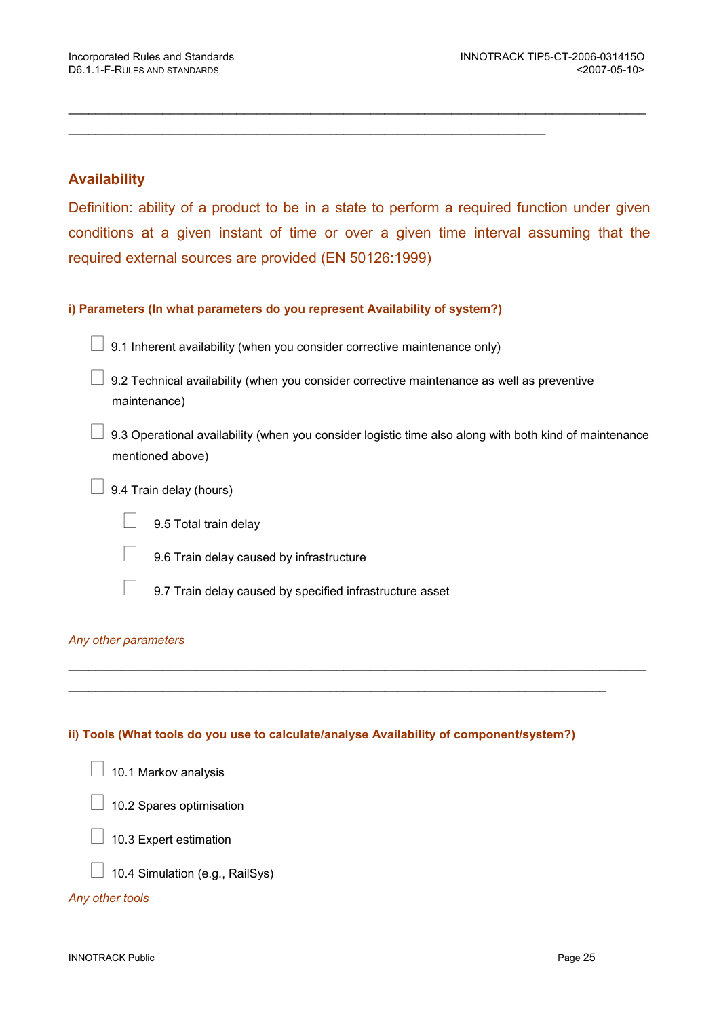## Availability

Definition: ability of a product to be in a state to perform a required function under given conditions at a given instant of time or over a given time interval assuming that the required external sources are provided (EN 50126:1999)

\_\_\_\_\_\_\_\_\_\_\_\_\_\_\_\_\_\_\_\_\_\_\_\_\_\_\_\_\_\_\_\_\_\_\_\_\_\_\_\_\_\_\_\_\_\_\_\_\_\_\_\_\_\_\_\_\_\_\_\_\_\_\_\_\_\_\_\_\_\_\_\_\_\_\_\_\_\_\_\_\_\_\_\_\_\_

## i) Parameters (In what parameters do you represent Availability of system?)

9.1 Inherent availability (when you consider corrective maintenance only)

\_\_\_\_\_\_\_\_\_\_\_\_\_\_\_\_\_\_\_\_\_\_\_\_\_\_\_\_\_\_\_\_\_\_\_\_\_\_\_\_\_\_\_\_\_\_\_\_\_\_\_\_\_\_\_\_\_\_\_\_\_\_\_\_\_\_\_\_\_\_\_

 9.2 Technical availability (when you consider corrective maintenance as well as preventive maintenance)

 9.3 Operational availability (when you consider logistic time also along with both kind of maintenance mentioned above)

9.4 Train delay (hours)

9.5 Total train delay

9.6 Train delay caused by infrastructure

9.7 Train delay caused by specified infrastructure asset

## Any other parameters

## ii) Tools (What tools do you use to calculate/analyse Availability of component/system?)

\_\_\_\_\_\_\_\_\_\_\_\_\_\_\_\_\_\_\_\_\_\_\_\_\_\_\_\_\_\_\_\_\_\_\_\_\_\_\_\_\_\_\_\_\_\_\_\_\_\_\_\_\_\_\_\_\_\_\_\_\_\_\_\_\_\_\_\_\_\_\_\_\_\_\_\_\_\_\_\_\_\_\_\_\_\_

\_\_\_\_\_\_\_\_\_\_\_\_\_\_\_\_\_\_\_\_\_\_\_\_\_\_\_\_\_\_\_\_\_\_\_\_\_\_\_\_\_\_\_\_\_\_\_\_\_\_\_\_\_\_\_\_\_\_\_\_\_\_\_\_\_\_\_\_\_\_\_\_\_\_\_\_\_\_\_\_

- 10.1 Markov analysis
- 10.2 Spares optimisation
- 10.3 Expert estimation
- 10.4 Simulation (e.g., RailSys)

## Any other tools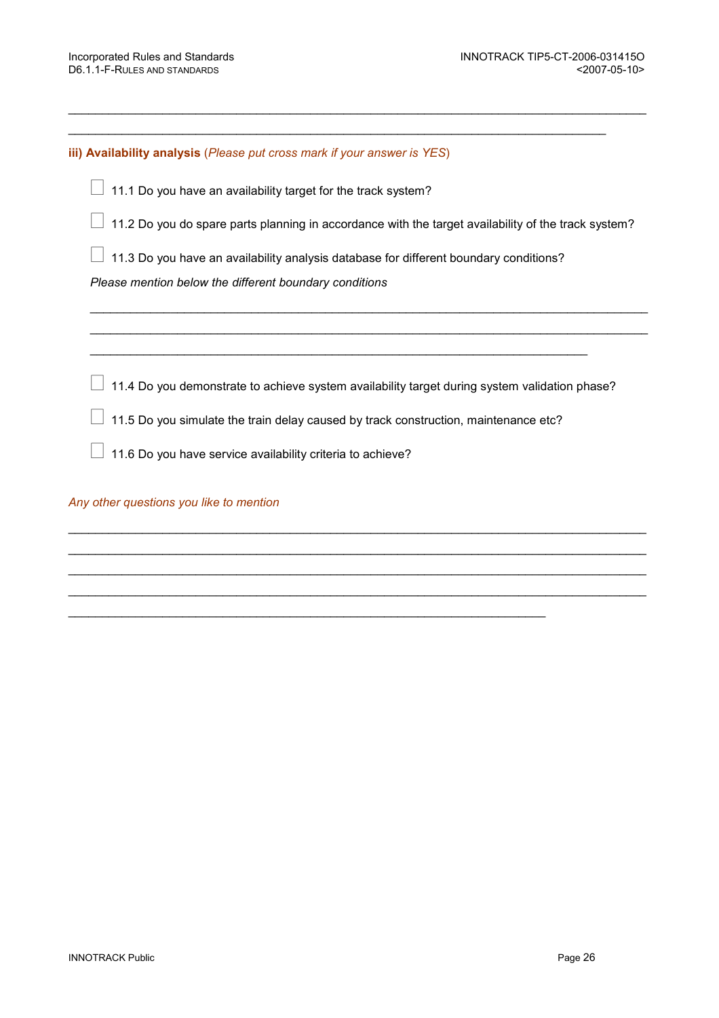iii) Availability analysis (Please put cross mark if your answer is YES)

11.1 Do you have an availability target for the track system?

11.2 Do you do spare parts planning in accordance with the target availability of the track system?

 $\mathcal{L}_\text{G} = \mathcal{L}_\text{G} = \mathcal{L}_\text{G} = \mathcal{L}_\text{G} = \mathcal{L}_\text{G} = \mathcal{L}_\text{G} = \mathcal{L}_\text{G} = \mathcal{L}_\text{G} = \mathcal{L}_\text{G} = \mathcal{L}_\text{G} = \mathcal{L}_\text{G} = \mathcal{L}_\text{G} = \mathcal{L}_\text{G} = \mathcal{L}_\text{G} = \mathcal{L}_\text{G} = \mathcal{L}_\text{G} = \mathcal{L}_\text{G} = \mathcal{L}_\text{G} = \mathcal{$  $\mathcal{L}_\text{G} = \mathcal{L}_\text{G} = \mathcal{L}_\text{G} = \mathcal{L}_\text{G} = \mathcal{L}_\text{G} = \mathcal{L}_\text{G} = \mathcal{L}_\text{G} = \mathcal{L}_\text{G} = \mathcal{L}_\text{G} = \mathcal{L}_\text{G} = \mathcal{L}_\text{G} = \mathcal{L}_\text{G} = \mathcal{L}_\text{G} = \mathcal{L}_\text{G} = \mathcal{L}_\text{G} = \mathcal{L}_\text{G} = \mathcal{L}_\text{G} = \mathcal{L}_\text{G} = \mathcal{$ 

\_\_\_\_\_\_\_\_\_\_\_\_\_\_\_\_\_\_\_\_\_\_\_\_\_\_\_\_\_\_\_\_\_\_\_\_\_\_\_\_\_\_\_\_\_\_\_\_\_\_\_\_\_\_\_\_\_\_\_\_\_\_\_\_\_\_\_\_\_\_\_\_\_\_\_\_\_\_\_\_\_\_\_\_\_\_

 $\_$  ,  $\_$  ,  $\_$  ,  $\_$  ,  $\_$  ,  $\_$  ,  $\_$  ,  $\_$  ,  $\_$  ,  $\_$  ,  $\_$  ,  $\_$  ,  $\_$  ,  $\_$  ,  $\_$  ,  $\_$  ,  $\_$  ,  $\_$  ,  $\_$  ,  $\_$  ,  $\_$  ,  $\_$  ,  $\_$  ,  $\_$  ,  $\_$  ,  $\_$  ,  $\_$  ,  $\_$  ,  $\_$  ,  $\_$  ,  $\_$  ,  $\_$  ,  $\_$  ,  $\_$  ,  $\_$  ,  $\_$  ,  $\_$  ,

11.3 Do you have an availability analysis database for different boundary conditions?

Please mention below the different boundary conditions

11.4 Do you demonstrate to achieve system availability target during system validation phase?

 $\_$  ,  $\_$  ,  $\_$  ,  $\_$  ,  $\_$  ,  $\_$  ,  $\_$  ,  $\_$  ,  $\_$  ,  $\_$  ,  $\_$  ,  $\_$  ,  $\_$  ,  $\_$  ,  $\_$  ,  $\_$  ,  $\_$  ,  $\_$  ,  $\_$  ,  $\_$  ,  $\_$  ,  $\_$  ,  $\_$  ,  $\_$  ,  $\_$  ,  $\_$  ,  $\_$  ,  $\_$  ,  $\_$  ,  $\_$  ,  $\_$  ,  $\_$  ,  $\_$  ,  $\_$  ,  $\_$  ,  $\_$  ,  $\_$  ,  $\_$  ,  $\_$  ,  $\_$  ,  $\_$  ,  $\_$  ,  $\_$  ,  $\_$  ,  $\_$  ,  $\_$  ,  $\_$  ,  $\_$  ,  $\_$  ,  $\_$  ,  $\_$  ,  $\_$  ,  $\_$  ,  $\_$  ,  $\_$  ,  $\_$  ,  $\_$  ,  $\_$  ,  $\_$  ,  $\_$  ,  $\_$  ,  $\_$  ,  $\_$  ,  $\_$  ,  $\_$  ,  $\_$  ,  $\_$  ,  $\_$  ,  $\_$  ,  $\_$  ,  $\_$  ,  $\_$  ,  $\_$  ,  $\_$  ,  $\_$  ,  $\_$  ,  $\_$  ,  $\_$  ,  $\_$  ,  $\_$  ,  $\_$  ,  $\_$  ,  $\_$  ,  $\_$  ,  $\_$  ,  $\_$  ,  $\_$  ,  $\_$  ,  $\_$  ,  $\_$  ,  $\_$  ,  $\_$  ,  $\_$  ,  $\_$  ,  $\_$  ,  $\_$  ,  $\_$  ,  $\_$  ,  $\_$  ,  $\_$  ,  $\_$  ,  $\_$  ,  $\_$  ,  $\_$  ,  $\_$  ,  $\_$  ,  $\_$  ,  $\_$  ,  $\_$  ,  $\_$  ,  $\_$  ,  $\_$  ,  $\_$  ,  $\_$  ,  $\_$  ,  $\_$  ,  $\_$  ,  $\_$  ,  $\_$  ,  $\_$  ,  $\_$  ,  $\_$  ,  $\_$  ,  $\_$  ,  $\_$  ,  $\_$  ,  $\_$  ,  $\_$  ,  $\_$  ,  $\_$  ,  $\_$  ,  $\_$  ,  $\_$  ,  $\_$  ,  $\_$  ,  $\_$  ,  $\_$  ,  $\_$  ,  $\_$  ,  $\_$  ,  $\_$  ,  $\_$  ,  $\_$  ,  $\_$  ,  $\_$  ,  $\_$  ,  $\_$  ,  $\_$  ,

\_\_\_\_\_\_\_\_\_\_\_\_\_\_\_\_\_\_\_\_\_\_\_\_\_\_\_\_\_\_\_\_\_\_\_\_\_\_\_\_\_\_\_\_\_\_\_\_\_\_\_\_\_\_\_\_\_\_\_\_\_\_\_\_\_\_\_\_\_\_\_

11.5 Do you simulate the train delay caused by track construction, maintenance etc?

 $\_$  ,  $\_$  ,  $\_$  ,  $\_$  ,  $\_$  ,  $\_$  ,  $\_$  ,  $\_$  ,  $\_$  ,  $\_$  ,  $\_$  ,  $\_$  ,  $\_$  ,  $\_$  ,  $\_$  ,  $\_$  ,  $\_$  ,  $\_$  ,  $\_$  ,  $\_$ 

11.6 Do you have service availability criteria to achieve?

Any other questions you like to mention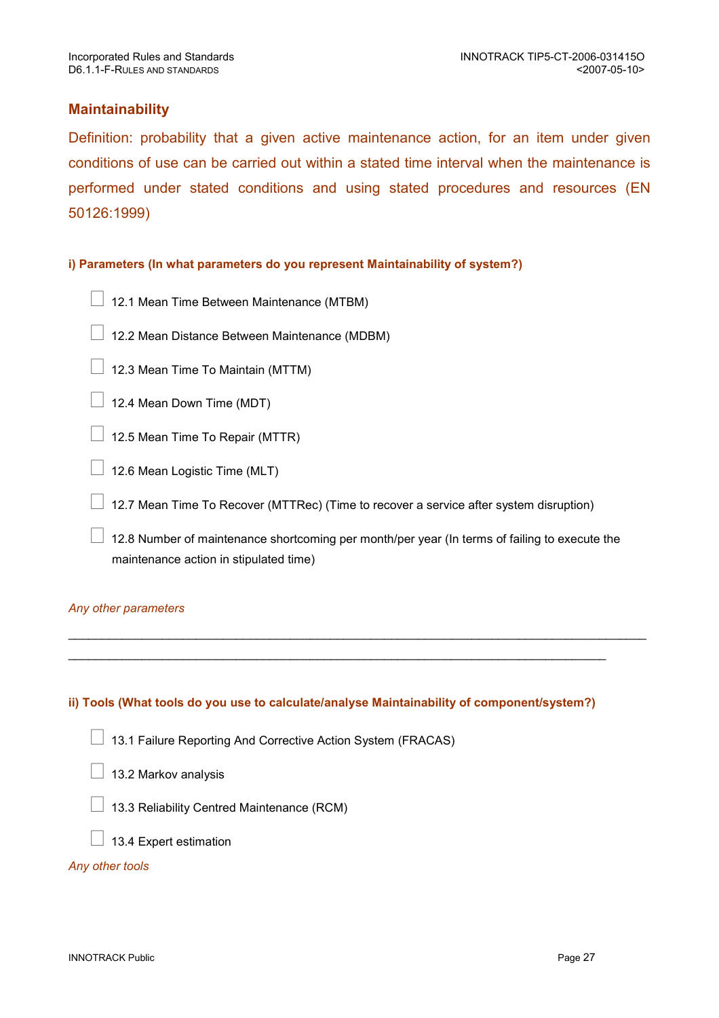## **Maintainability**

Definition: probability that a given active maintenance action, for an item under given conditions of use can be carried out within a stated time interval when the maintenance is performed under stated conditions and using stated procedures and resources (EN 50126:1999)

## i) Parameters (In what parameters do you represent Maintainability of system?)

- 12.1 Mean Time Between Maintenance (MTBM)
- 12.2 Mean Distance Between Maintenance (MDBM)
- 12.3 Mean Time To Maintain (MTTM)
- 12.4 Mean Down Time (MDT)
- 12.5 Mean Time To Repair (MTTR)
- 12.6 Mean Logistic Time (MLT)

12.7 Mean Time To Recover (MTTRec) (Time to recover a service after system disruption)

 12.8 Number of maintenance shortcoming per month/per year (In terms of failing to execute the maintenance action in stipulated time)

\_\_\_\_\_\_\_\_\_\_\_\_\_\_\_\_\_\_\_\_\_\_\_\_\_\_\_\_\_\_\_\_\_\_\_\_\_\_\_\_\_\_\_\_\_\_\_\_\_\_\_\_\_\_\_\_\_\_\_\_\_\_\_\_\_\_\_\_\_\_\_\_\_\_\_\_\_\_\_\_\_\_\_\_\_\_

## Any other parameters

## ii) Tools (What tools do you use to calculate/analyse Maintainability of component/system?)

\_\_\_\_\_\_\_\_\_\_\_\_\_\_\_\_\_\_\_\_\_\_\_\_\_\_\_\_\_\_\_\_\_\_\_\_\_\_\_\_\_\_\_\_\_\_\_\_\_\_\_\_\_\_\_\_\_\_\_\_\_\_\_\_\_\_\_\_\_\_\_\_\_\_\_\_\_\_\_\_

- 13.1 Failure Reporting And Corrective Action System (FRACAS)
- 13.2 Markov analysis
- 13.3 Reliability Centred Maintenance (RCM)
- 13.4 Expert estimation

## Any other tools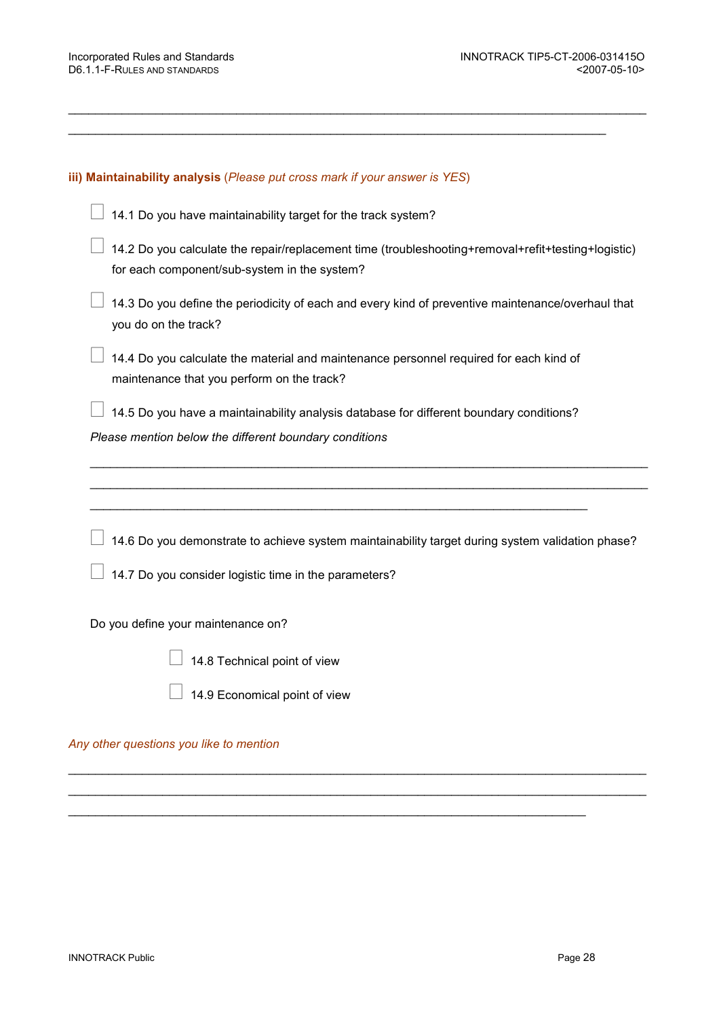### iii) Maintainability analysis (Please put cross mark if your answer is YES)

14.1 Do you have maintainability target for the track system?

 14.2 Do you calculate the repair/replacement time (troubleshooting+removal+refit+testing+logistic) for each component/sub-system in the system?

\_\_\_\_\_\_\_\_\_\_\_\_\_\_\_\_\_\_\_\_\_\_\_\_\_\_\_\_\_\_\_\_\_\_\_\_\_\_\_\_\_\_\_\_\_\_\_\_\_\_\_\_\_\_\_\_\_\_\_\_\_\_\_\_\_\_\_\_\_\_\_\_\_\_\_\_\_\_\_\_\_\_\_\_\_\_

 $\_$  ,  $\_$  ,  $\_$  ,  $\_$  ,  $\_$  ,  $\_$  ,  $\_$  ,  $\_$  ,  $\_$  ,  $\_$  ,  $\_$  ,  $\_$  ,  $\_$  ,  $\_$  ,  $\_$  ,  $\_$  ,  $\_$  ,  $\_$  ,  $\_$  ,  $\_$  ,  $\_$  ,  $\_$  ,  $\_$  ,  $\_$  ,  $\_$  ,  $\_$  ,  $\_$  ,  $\_$  ,  $\_$  ,  $\_$  ,  $\_$  ,  $\_$  ,  $\_$  ,  $\_$  ,  $\_$  ,  $\_$  ,  $\_$  ,

 14.3 Do you define the periodicity of each and every kind of preventive maintenance/overhaul that you do on the track?

 14.4 Do you calculate the material and maintenance personnel required for each kind of maintenance that you perform on the track?

 14.5 Do you have a maintainability analysis database for different boundary conditions? Please mention below the different boundary conditions

\_\_\_\_\_\_\_\_\_\_\_\_\_\_\_\_\_\_\_\_\_\_\_\_\_\_\_\_\_\_\_\_\_\_\_\_\_\_\_\_\_\_\_\_\_\_\_\_\_\_\_\_\_\_\_\_\_\_\_\_\_\_\_\_\_\_\_\_\_\_\_\_\_\_

14.6 Do you demonstrate to achieve system maintainability target during system validation phase?

 $\_$  ,  $\_$  ,  $\_$  ,  $\_$  ,  $\_$  ,  $\_$  ,  $\_$  ,  $\_$  ,  $\_$  ,  $\_$  ,  $\_$  ,  $\_$  ,  $\_$  ,  $\_$  ,  $\_$  ,  $\_$  ,  $\_$  ,  $\_$  ,  $\_$  ,  $\_$  ,  $\_$  ,  $\_$  ,  $\_$  ,  $\_$  ,  $\_$  ,  $\_$  ,  $\_$  ,  $\_$  ,  $\_$  ,  $\_$  ,  $\_$  ,  $\_$  ,  $\_$  ,  $\_$  ,  $\_$  ,  $\_$  ,  $\_$  ,  $\_$  ,  $\_$  ,  $\_$  ,  $\_$  ,  $\_$  ,  $\_$  ,  $\_$  ,  $\_$  ,  $\_$  ,  $\_$  ,  $\_$  ,  $\_$  ,  $\_$  ,  $\_$  ,  $\_$  ,  $\_$  ,  $\_$  ,  $\_$  ,  $\_$  ,  $\_$  ,  $\_$  ,  $\_$  ,  $\_$  ,  $\_$  ,  $\_$  ,  $\_$  ,  $\_$  ,  $\_$  ,  $\_$  ,  $\_$  ,  $\_$  ,  $\_$  ,  $\_$  ,  $\_$  ,  $\_$  ,  $\_$  ,  $\_$  ,

 $\mathcal{L}_\text{max} = \frac{1}{2} \sum_{i=1}^{n} \frac{1}{2} \sum_{i=1}^{n} \frac{1}{2} \sum_{i=1}^{n} \frac{1}{2} \sum_{i=1}^{n} \frac{1}{2} \sum_{i=1}^{n} \frac{1}{2} \sum_{i=1}^{n} \frac{1}{2} \sum_{i=1}^{n} \frac{1}{2} \sum_{i=1}^{n} \frac{1}{2} \sum_{i=1}^{n} \frac{1}{2} \sum_{i=1}^{n} \frac{1}{2} \sum_{i=1}^{n} \frac{1}{2} \sum_{i=1}^{n} \frac{1$ 

\_\_\_\_\_\_\_\_\_\_\_\_\_\_\_\_\_\_\_\_\_\_\_\_\_\_\_\_\_\_\_\_\_\_\_\_\_\_\_\_\_\_\_\_\_\_\_\_\_\_\_\_\_\_\_\_\_\_\_\_\_\_\_\_\_\_\_\_\_\_\_\_\_\_\_\_\_\_\_\_\_\_\_ \_\_\_\_\_\_\_\_\_\_\_\_\_\_\_\_\_\_\_\_\_\_\_\_\_\_\_\_\_\_\_\_\_\_\_\_\_\_\_\_\_\_\_\_\_\_\_\_\_\_\_\_\_\_\_\_\_\_\_\_\_\_\_\_\_\_\_\_\_\_\_\_\_\_\_\_\_\_\_\_\_\_\_

14.7 Do you consider logistic time in the parameters?

Do you define your maintenance on?

14.8 Technical point of view

14.9 Economical point of view

Any other questions you like to mention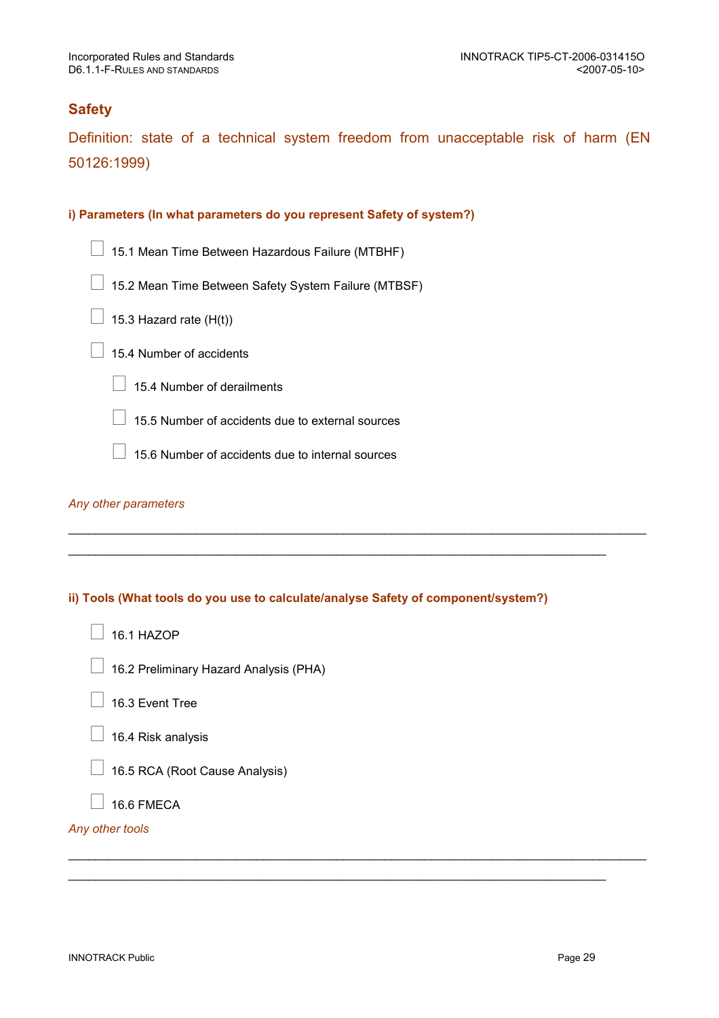## **Safety**

Definition: state of a technical system freedom from unacceptable risk of harm (EN 50126:1999)

### i) Parameters (In what parameters do you represent Safety of system?)

- 15.1 Mean Time Between Hazardous Failure (MTBHF)
- 15.2 Mean Time Between Safety System Failure (MTBSF)
- 15.3 Hazard rate (H(t))
- 15.4 Number of accidents
	- 15.4 Number of derailments
	- 15.5 Number of accidents due to external sources
	- 15.6 Number of accidents due to internal sources

#### Any other parameters

## ii) Tools (What tools do you use to calculate/analyse Safety of component/system?)

\_\_\_\_\_\_\_\_\_\_\_\_\_\_\_\_\_\_\_\_\_\_\_\_\_\_\_\_\_\_\_\_\_\_\_\_\_\_\_\_\_\_\_\_\_\_\_\_\_\_\_\_\_\_\_\_\_\_\_\_\_\_\_\_\_\_\_\_\_\_\_\_\_\_\_\_\_\_\_\_\_\_\_\_\_\_

 $\_$  ,  $\_$  ,  $\_$  ,  $\_$  ,  $\_$  ,  $\_$  ,  $\_$  ,  $\_$  ,  $\_$  ,  $\_$  ,  $\_$  ,  $\_$  ,  $\_$  ,  $\_$  ,  $\_$  ,  $\_$  ,  $\_$  ,  $\_$  ,  $\_$  ,  $\_$  ,  $\_$  ,  $\_$  ,  $\_$  ,  $\_$  ,  $\_$  ,  $\_$  ,  $\_$  ,  $\_$  ,  $\_$  ,  $\_$  ,  $\_$  ,  $\_$  ,  $\_$  ,  $\_$  ,  $\_$  ,  $\_$  ,  $\_$  ,

 $\_$  ,  $\_$  ,  $\_$  ,  $\_$  ,  $\_$  ,  $\_$  ,  $\_$  ,  $\_$  ,  $\_$  ,  $\_$  ,  $\_$  ,  $\_$  ,  $\_$  ,  $\_$  ,  $\_$  ,  $\_$  ,  $\_$  ,  $\_$  ,  $\_$  ,  $\_$  ,  $\_$  ,  $\_$  ,  $\_$  ,  $\_$  ,  $\_$  ,  $\_$  ,  $\_$  ,  $\_$  ,  $\_$  ,  $\_$  ,  $\_$  ,  $\_$  ,  $\_$  ,  $\_$  ,  $\_$  ,  $\_$  ,  $\_$  ,

\_\_\_\_\_\_\_\_\_\_\_\_\_\_\_\_\_\_\_\_\_\_\_\_\_\_\_\_\_\_\_\_\_\_\_\_\_\_\_\_\_\_\_\_\_\_\_\_\_\_\_\_\_\_\_\_\_\_\_\_\_\_\_\_\_\_\_\_\_\_\_\_\_\_\_\_\_\_\_\_

- 16.1 HAZOP
- 16.2 Preliminary Hazard Analysis (PHA)
- 16.3 Event Tree
- 16.4 Risk analysis
- 16.5 RCA (Root Cause Analysis)
- 16.6 FMECA

### Any other tools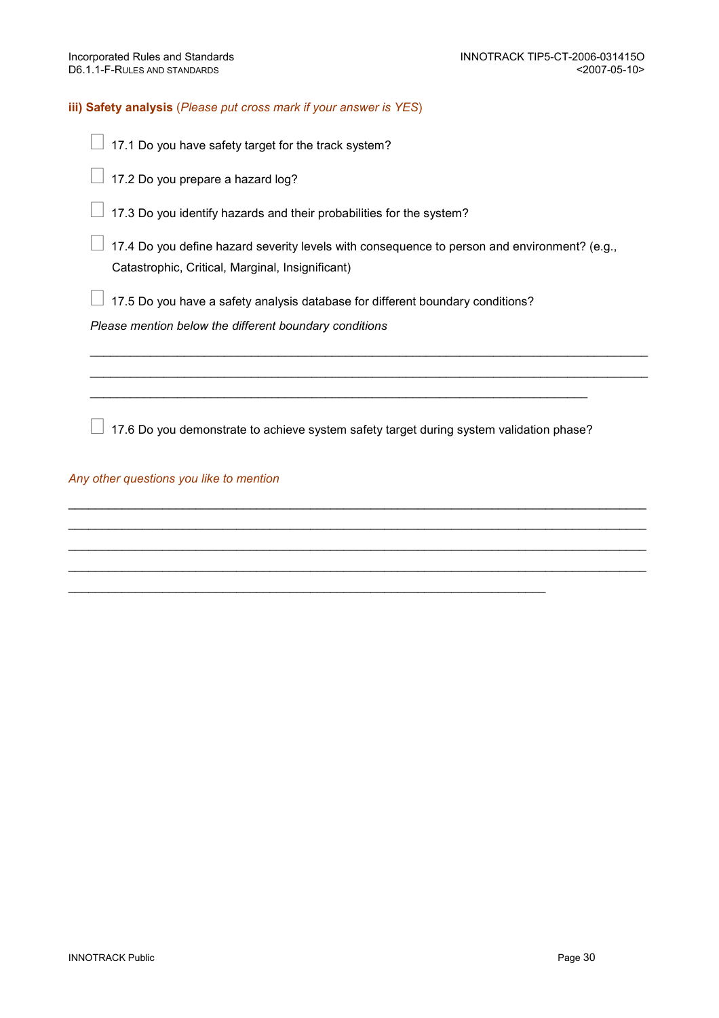### iii) Safety analysis (Please put cross mark if your answer is YES)

- 17.1 Do you have safety target for the track system?
- 17.2 Do you prepare a hazard log?
- 17.3 Do you identify hazards and their probabilities for the system?

 17.4 Do you define hazard severity levels with consequence to person and environment? (e.g., Catastrophic, Critical, Marginal, Insignificant)

 $\mathcal{L}_\text{G} = \mathcal{L}_\text{G} = \mathcal{L}_\text{G} = \mathcal{L}_\text{G} = \mathcal{L}_\text{G} = \mathcal{L}_\text{G} = \mathcal{L}_\text{G} = \mathcal{L}_\text{G} = \mathcal{L}_\text{G} = \mathcal{L}_\text{G} = \mathcal{L}_\text{G} = \mathcal{L}_\text{G} = \mathcal{L}_\text{G} = \mathcal{L}_\text{G} = \mathcal{L}_\text{G} = \mathcal{L}_\text{G} = \mathcal{L}_\text{G} = \mathcal{L}_\text{G} = \mathcal{$ \_\_\_\_\_\_\_\_\_\_\_\_\_\_\_\_\_\_\_\_\_\_\_\_\_\_\_\_\_\_\_\_\_\_\_\_\_\_\_\_\_\_\_\_\_\_\_\_\_\_\_\_\_\_\_\_\_\_\_\_\_\_\_\_\_\_\_\_\_\_\_\_\_\_\_\_\_\_\_\_\_\_\_

17.5 Do you have a safety analysis database for different boundary conditions?

Please mention below the different boundary conditions

17.6 Do you demonstrate to achieve system safety target during system validation phase?

 $\_$  ,  $\_$  ,  $\_$  ,  $\_$  ,  $\_$  ,  $\_$  ,  $\_$  ,  $\_$  ,  $\_$  ,  $\_$  ,  $\_$  ,  $\_$  ,  $\_$  ,  $\_$  ,  $\_$  ,  $\_$  ,  $\_$  ,  $\_$  ,  $\_$  ,  $\_$  ,  $\_$  ,  $\_$  ,  $\_$  ,  $\_$  ,  $\_$  ,  $\_$  ,  $\_$  ,  $\_$  ,  $\_$  ,  $\_$  ,  $\_$  ,  $\_$  ,  $\_$  ,  $\_$  ,  $\_$  ,  $\_$  ,  $\_$  ,  $\_$  ,  $\_$  ,  $\_$  ,  $\_$  ,  $\_$  ,  $\_$  ,  $\_$  ,  $\_$  ,  $\_$  ,  $\_$  ,  $\_$  ,  $\_$  ,  $\_$  ,  $\_$  ,  $\_$  ,  $\_$  ,  $\_$  ,  $\_$  ,  $\_$  ,  $\_$  ,  $\_$  ,  $\_$  ,  $\_$  ,  $\_$  ,  $\_$  ,  $\_$  ,  $\_$  ,  $\_$  ,  $\_$  ,  $\_$  ,  $\_$  ,  $\_$  ,  $\_$  ,  $\_$  ,  $\_$  ,  $\_$  ,  $\_$  ,  $\_$  ,  $\_$  ,  $\_$  ,  $\_$  ,  $\_$  ,  $\_$  ,  $\_$  ,  $\_$  ,  $\_$  ,  $\_$  ,  $\_$  ,  $\_$  ,  $\_$  ,  $\_$  ,  $\_$  ,  $\_$  ,  $\_$  ,  $\_$  ,  $\_$  ,  $\_$  ,  $\_$  ,  $\_$  ,  $\_$  ,  $\_$  ,  $\_$  ,  $\_$  ,  $\_$  ,  $\_$  ,  $\_$  ,  $\_$  ,  $\_$  ,  $\_$  ,  $\_$  ,  $\_$  ,  $\_$  ,  $\_$  ,  $\_$  ,  $\_$  ,  $\_$  ,  $\_$  ,  $\_$  ,  $\_$  ,  $\_$  ,  $\_$  ,  $\_$  ,  $\_$  ,  $\_$  ,  $\_$  ,  $\_$  ,  $\_$  ,  $\_$  ,  $\_$  ,  $\_$  ,  $\_$  ,  $\_$  ,  $\_$  ,  $\_$  ,  $\_$  ,  $\_$  ,  $\_$  ,  $\_$  ,  $\_$  ,  $\_$  ,  $\_$  ,  $\_$  ,  $\_$  ,  $\_$  ,  $\_$  ,  $\_$  ,  $\_$  ,  $\_$  ,  $\_$  ,  $\_$  ,  $\_$  ,

\_\_\_\_\_\_\_\_\_\_\_\_\_\_\_\_\_\_\_\_\_\_\_\_\_\_\_\_\_\_\_\_\_\_\_\_\_\_\_\_\_\_\_\_\_\_\_\_\_\_\_\_\_\_\_\_\_\_\_\_\_\_\_\_\_\_\_\_\_\_\_

\_\_\_\_\_\_\_\_\_\_\_\_\_\_\_\_\_\_\_\_\_\_\_\_\_\_\_\_\_\_\_\_\_\_\_\_\_\_\_\_\_\_\_\_\_\_\_\_\_\_\_\_\_\_\_\_\_\_\_\_\_\_\_\_\_\_\_\_\_\_\_\_\_\_

Any other questions you like to mention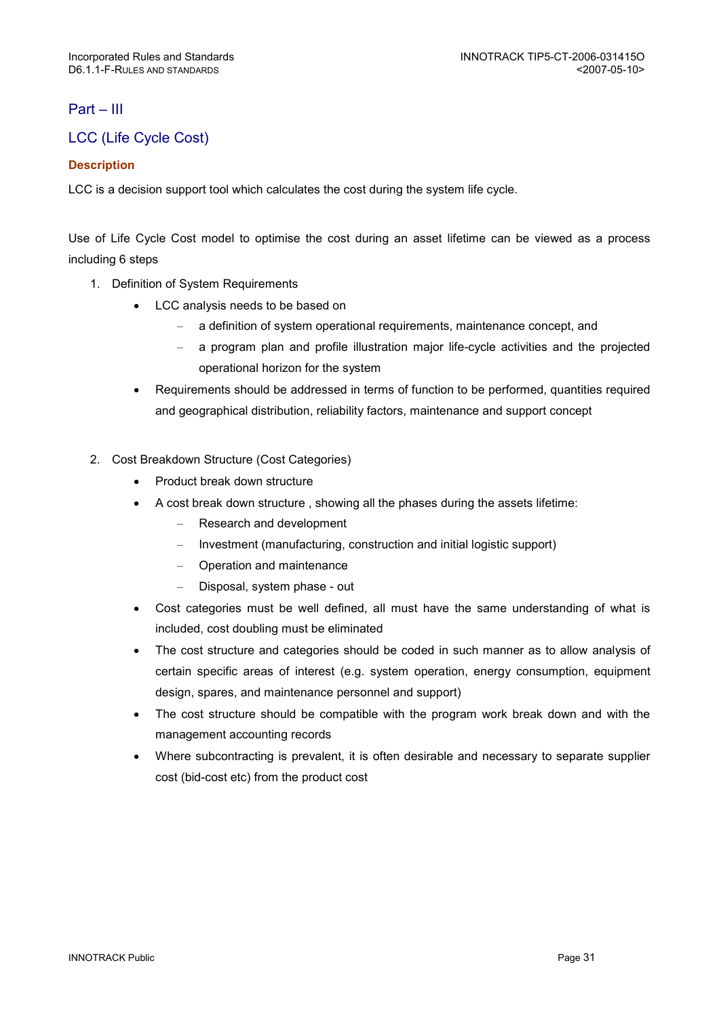## Part – III

## LCC (Life Cycle Cost)

## **Description**

LCC is a decision support tool which calculates the cost during the system life cycle.

Use of Life Cycle Cost model to optimise the cost during an asset lifetime can be viewed as a process including 6 steps

- 1. Definition of System Requirements
	- LCC analysis needs to be based on
		- a definition of system operational requirements, maintenance concept, and
		- a program plan and profile illustration major life-cycle activities and the projected operational horizon for the system
	- Requirements should be addressed in terms of function to be performed, quantities required and geographical distribution, reliability factors, maintenance and support concept
- 2. Cost Breakdown Structure (Cost Categories)
	- Product break down structure
	- A cost break down structure , showing all the phases during the assets lifetime:
		- Research and development
		- Investment (manufacturing, construction and initial logistic support)
		- Operation and maintenance
		- Disposal, system phase out
	- Cost categories must be well defined, all must have the same understanding of what is included, cost doubling must be eliminated
	- The cost structure and categories should be coded in such manner as to allow analysis of certain specific areas of interest (e.g. system operation, energy consumption, equipment design, spares, and maintenance personnel and support)
	- The cost structure should be compatible with the program work break down and with the management accounting records
	- Where subcontracting is prevalent, it is often desirable and necessary to separate supplier cost (bid-cost etc) from the product cost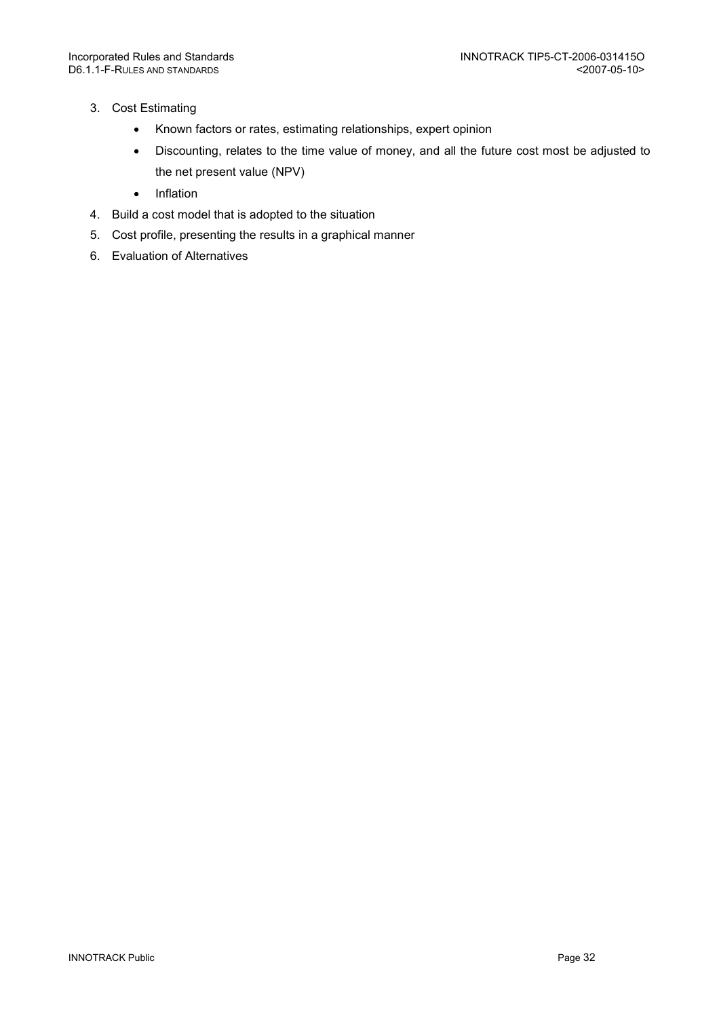- 3. Cost Estimating
	- Known factors or rates, estimating relationships, expert opinion
	- Discounting, relates to the time value of money, and all the future cost most be adjusted to the net present value (NPV)
	- Inflation
- 4. Build a cost model that is adopted to the situation
- 5. Cost profile, presenting the results in a graphical manner
- 6. Evaluation of Alternatives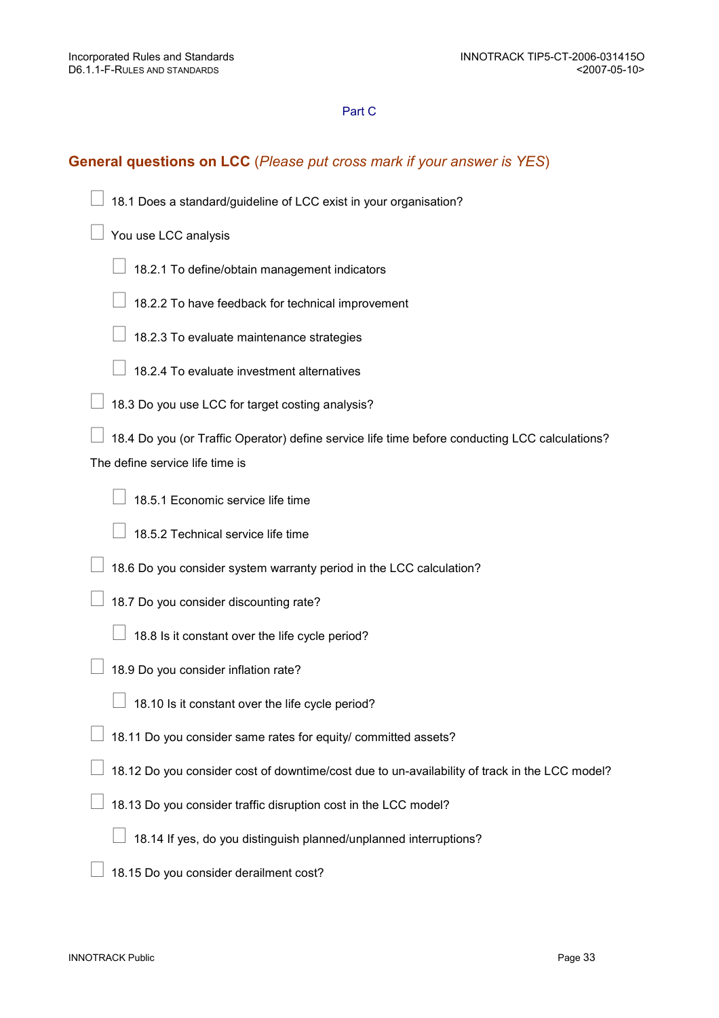## Part C

## General questions on LCC (Please put cross mark if your answer is YES)

18.1 Does a standard/guideline of LCC exist in your organisation?

You use LCC analysis

- 18.2.1 To define/obtain management indicators
- 18.2.2 To have feedback for technical improvement
- 18.2.3 To evaluate maintenance strategies
- 18.2.4 To evaluate investment alternatives
- 18.3 Do you use LCC for target costing analysis?

 18.4 Do you (or Traffic Operator) define service life time before conducting LCC calculations? The define service life time is

- 18.5.1 Economic service life time
- 18.5.2 Technical service life time
- 18.6 Do you consider system warranty period in the LCC calculation?
- 18.7 Do you consider discounting rate?
	- 18.8 Is it constant over the life cycle period?
- 18.9 Do you consider inflation rate?
	- 18.10 Is it constant over the life cycle period?
- 18.11 Do you consider same rates for equity/ committed assets?
- 18.12 Do you consider cost of downtime/cost due to un-availability of track in the LCC model?
- 18.13 Do you consider traffic disruption cost in the LCC model?
	- 18.14 If yes, do you distinguish planned/unplanned interruptions?
- 18.15 Do you consider derailment cost?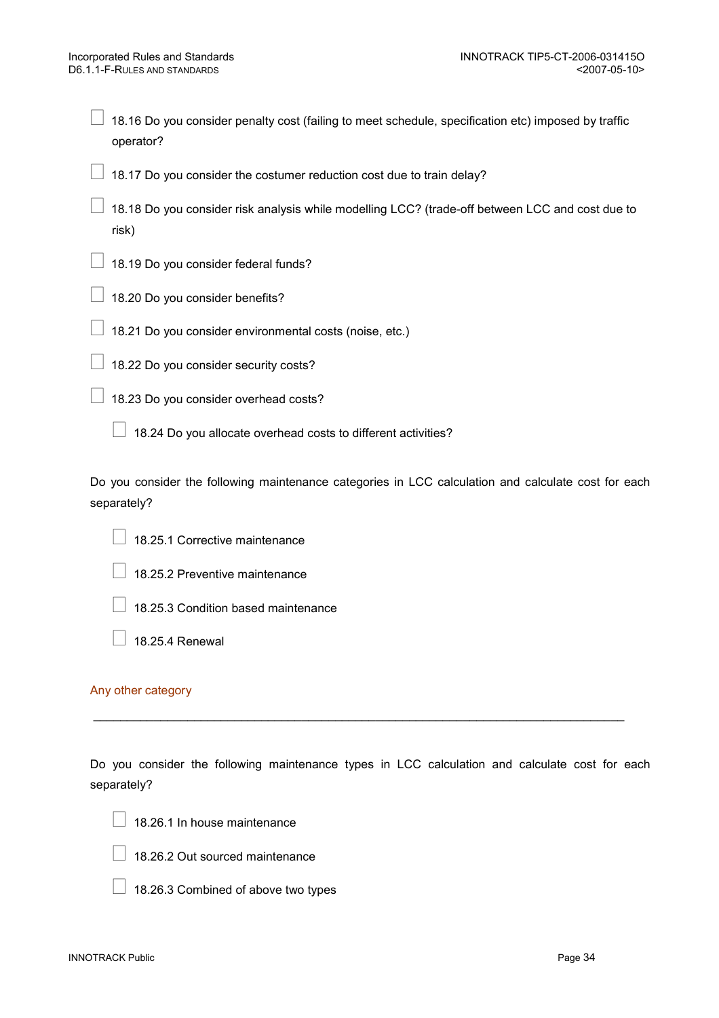18.16 Do you consider penalty cost (failing to meet schedule, specification etc) imposed by traffic operator?

18.17 Do you consider the costumer reduction cost due to train delay?

 18.18 Do you consider risk analysis while modelling LCC? (trade-off between LCC and cost due to risk)

18.19 Do you consider federal funds?

18.20 Do you consider benefits?

18.21 Do you consider environmental costs (noise, etc.)

18.22 Do you consider security costs?

18.23 Do you consider overhead costs?

18.24 Do you allocate overhead costs to different activities?

Do you consider the following maintenance categories in LCC calculation and calculate cost for each separately?

18.25.1 Corrective maintenance

18.25.2 Preventive maintenance

18.25.3 Condition based maintenance

18.25.4 Renewal

#### Any other category

Do you consider the following maintenance types in LCC calculation and calculate cost for each separately?

\_\_\_\_\_\_\_\_\_\_\_\_\_\_\_\_\_\_\_\_\_\_\_\_\_\_\_\_\_\_\_\_\_\_\_\_\_\_\_\_\_\_\_\_\_\_\_\_\_\_\_\_\_\_\_\_\_\_\_\_\_\_\_\_\_\_\_\_\_\_\_\_\_\_\_\_\_\_\_

18.26.1 In house maintenance

18.26.2 Out sourced maintenance

18.26.3 Combined of above two types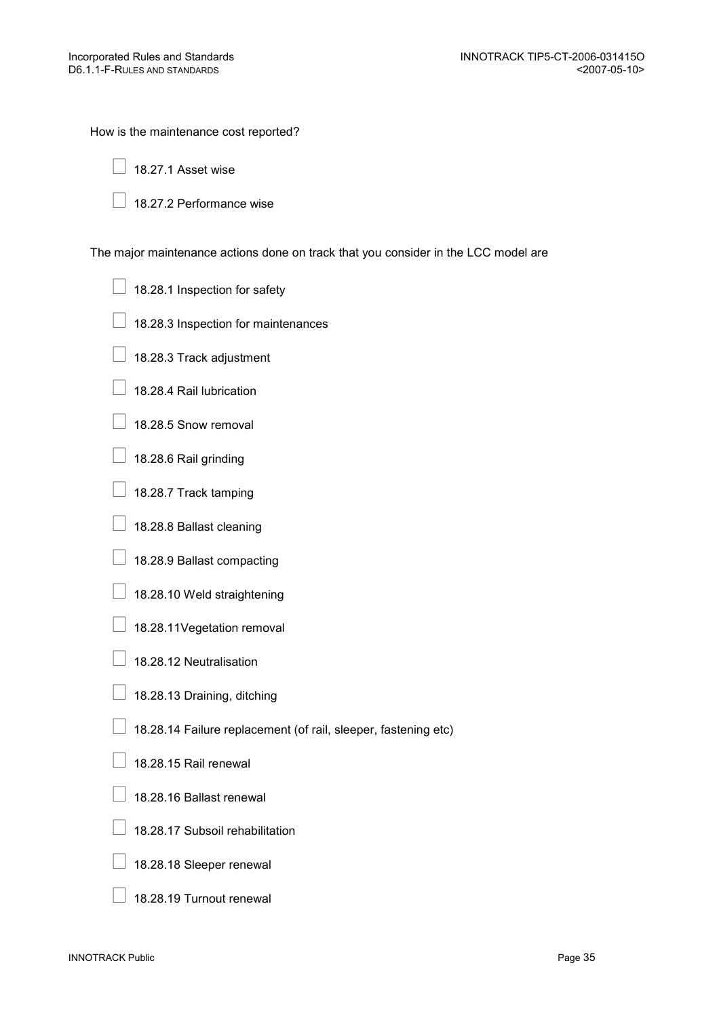How is the maintenance cost reported?

18.27.1 Asset wise

18.27.2 Performance wise

The major maintenance actions done on track that you consider in the LCC model are

18.28.1 Inspection for safety

- 18.28.3 Inspection for maintenances
- 18.28.3 Track adjustment
- 18.28.4 Rail lubrication
- 18.28.5 Snow removal
- 18.28.6 Rail grinding
- 18.28.7 Track tamping
- 18.28.8 Ballast cleaning
- 18.28.9 Ballast compacting
- 18.28.10 Weld straightening
- 18.28.11Vegetation removal
- 18.28.12 Neutralisation
- 18.28.13 Draining, ditching
- 18.28.14 Failure replacement (of rail, sleeper, fastening etc)
- 18.28.15 Rail renewal
- 18.28.16 Ballast renewal
- 18.28.17 Subsoil rehabilitation
- 18.28.18 Sleeper renewal
- 18.28.19 Turnout renewal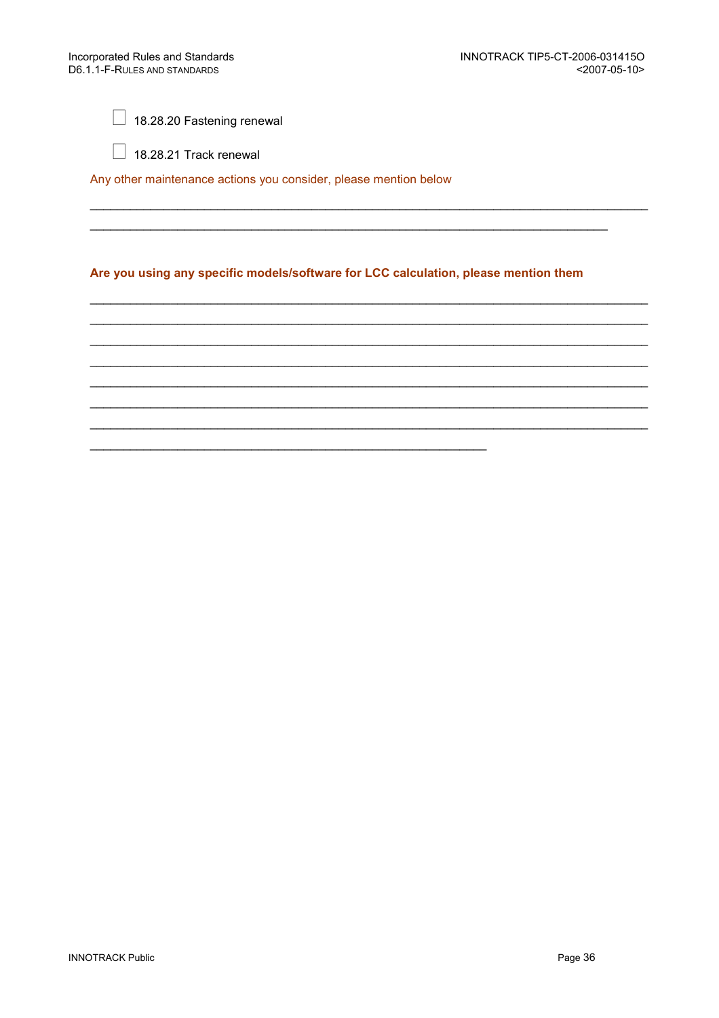18.28.20 Fastening renewal

18.28.21 Track renewal

Any other maintenance actions you consider, please mention below

## Are you using any specific models/software for LCC calculation, please mention them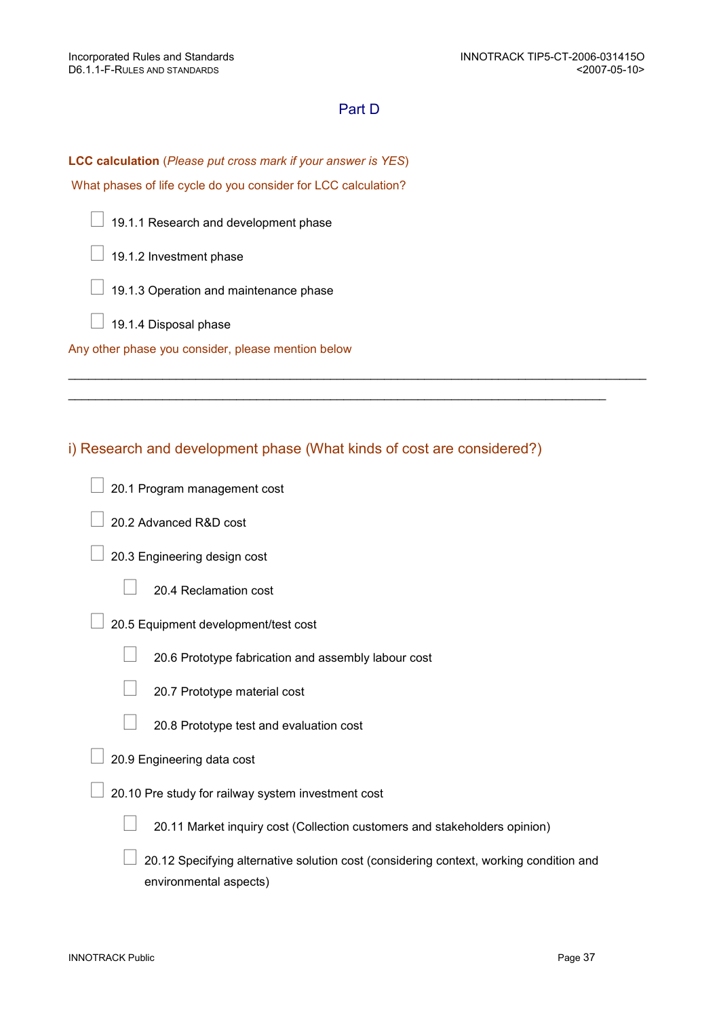## Part D

 $\_$  ,  $\_$  ,  $\_$  ,  $\_$  ,  $\_$  ,  $\_$  ,  $\_$  ,  $\_$  ,  $\_$  ,  $\_$  ,  $\_$  ,  $\_$  ,  $\_$  ,  $\_$  ,  $\_$  ,  $\_$  ,  $\_$  ,  $\_$  ,  $\_$  ,  $\_$  ,  $\_$  ,  $\_$  ,  $\_$  ,  $\_$  ,  $\_$  ,  $\_$  ,  $\_$  ,  $\_$  ,  $\_$  ,  $\_$  ,  $\_$  ,  $\_$  ,  $\_$  ,  $\_$  ,  $\_$  ,  $\_$  ,  $\_$  ,

 $\_$  ,  $\_$  ,  $\_$  ,  $\_$  ,  $\_$  ,  $\_$  ,  $\_$  ,  $\_$  ,  $\_$  ,  $\_$  ,  $\_$  ,  $\_$  ,  $\_$  ,  $\_$  ,  $\_$  ,  $\_$  ,  $\_$  ,  $\_$  ,  $\_$  ,  $\_$  ,  $\_$  ,  $\_$  ,  $\_$  ,  $\_$  ,  $\_$  ,  $\_$  ,  $\_$  ,  $\_$  ,  $\_$  ,  $\_$  ,  $\_$  ,  $\_$  ,  $\_$  ,  $\_$  ,  $\_$  ,  $\_$  ,  $\_$  ,

LCC calculation (Please put cross mark if your answer is YES)

What phases of life cycle do you consider for LCC calculation?

19.1.1 Research and development phase

19.1.2 Investment phase

19.1.3 Operation and maintenance phase

19.1.4 Disposal phase

Any other phase you consider, please mention below

## i) Research and development phase (What kinds of cost are considered?)

- 20.1 Program management cost
- 20.2 Advanced R&D cost
- 20.3 Engineering design cost

20.4 Reclamation cost

20.5 Equipment development/test cost

20.6 Prototype fabrication and assembly labour cost

20.7 Prototype material cost

20.8 Prototype test and evaluation cost

- 20.9 Engineering data cost
- 20.10 Pre study for railway system investment cost

20.11 Market inquiry cost (Collection customers and stakeholders opinion)

 20.12 Specifying alternative solution cost (considering context, working condition and environmental aspects)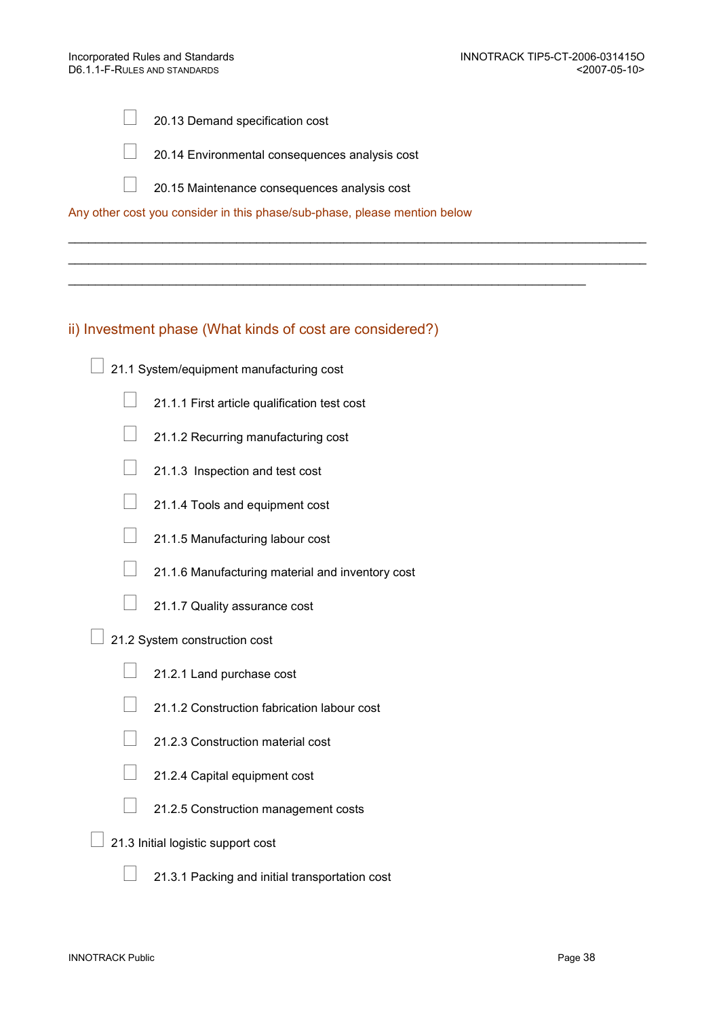20.13 Demand specification cost

20.14 Environmental consequences analysis cost

20.15 Maintenance consequences analysis cost

 $\_$  ,  $\_$  ,  $\_$  ,  $\_$  ,  $\_$  ,  $\_$  ,  $\_$  ,  $\_$  ,  $\_$  ,  $\_$  ,  $\_$  ,  $\_$  ,  $\_$  ,  $\_$  ,  $\_$  ,  $\_$  ,  $\_$  ,  $\_$  ,  $\_$  ,  $\_$  ,  $\_$  ,  $\_$  ,  $\_$  ,  $\_$  ,  $\_$  ,  $\_$  ,  $\_$  ,  $\_$  ,  $\_$  ,  $\_$  ,  $\_$  ,  $\_$  ,  $\_$  ,  $\_$  ,  $\_$  ,  $\_$  ,  $\_$  ,  $\_$  ,  $\_$  ,  $\_$  ,  $\_$  ,  $\_$  ,  $\_$  ,  $\_$  ,  $\_$  ,  $\_$  ,  $\_$  ,  $\_$  ,  $\_$  ,  $\_$  ,  $\_$  ,  $\_$  ,  $\_$  ,  $\_$  ,  $\_$  ,  $\_$  ,  $\_$  ,  $\_$  ,  $\_$  ,  $\_$  ,  $\_$  ,  $\_$  ,  $\_$  ,  $\_$  ,  $\_$  ,  $\_$  ,  $\_$  ,  $\_$  ,  $\_$  ,  $\_$  ,  $\_$  ,  $\_$  ,  $\_$  ,  $\_$  ,

 $\mathcal{L}_\text{max} = \frac{1}{2} \sum_{i=1}^{n} \frac{1}{2} \sum_{i=1}^{n} \frac{1}{2} \sum_{i=1}^{n} \frac{1}{2} \sum_{i=1}^{n} \frac{1}{2} \sum_{i=1}^{n} \frac{1}{2} \sum_{i=1}^{n} \frac{1}{2} \sum_{i=1}^{n} \frac{1}{2} \sum_{i=1}^{n} \frac{1}{2} \sum_{i=1}^{n} \frac{1}{2} \sum_{i=1}^{n} \frac{1}{2} \sum_{i=1}^{n} \frac{1}{2} \sum_{i=1}^{n} \frac{1$ 

Any other cost you consider in this phase/sub-phase, please mention below

## ii) Investment phase (What kinds of cost are considered?)

- 21.1 System/equipment manufacturing cost
	- 21.1.1 First article qualification test cost
	- 21.1.2 Recurring manufacturing cost
	- 21.1.3 Inspection and test cost
	- 21.1.4 Tools and equipment cost
	- 21.1.5 Manufacturing labour cost
	- 21.1.6 Manufacturing material and inventory cost
	- 21.1.7 Quality assurance cost
- 21.2 System construction cost
	- 21.2.1 Land purchase cost
	- 21.1.2 Construction fabrication labour cost
	- 21.2.3 Construction material cost
	- 21.2.4 Capital equipment cost
	- 21.2.5 Construction management costs
- 21.3 Initial logistic support cost
	- 21.3.1 Packing and initial transportation cost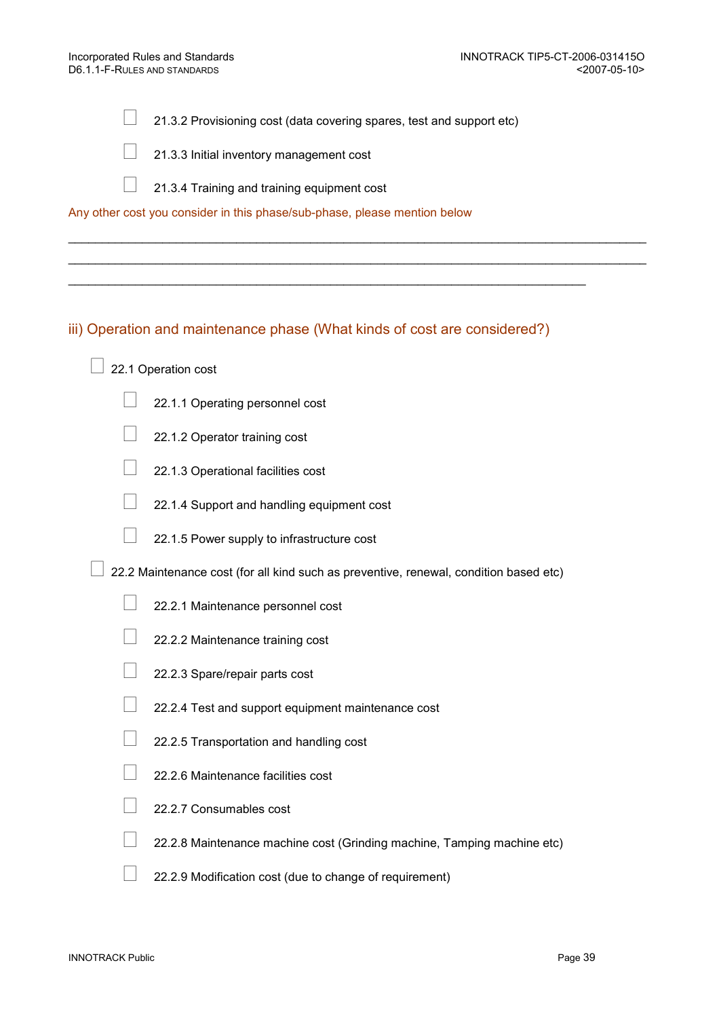21.3.2 Provisioning cost (data covering spares, test and support etc)

 $\_$  ,  $\_$  ,  $\_$  ,  $\_$  ,  $\_$  ,  $\_$  ,  $\_$  ,  $\_$  ,  $\_$  ,  $\_$  ,  $\_$  ,  $\_$  ,  $\_$  ,  $\_$  ,  $\_$  ,  $\_$  ,  $\_$  ,  $\_$  ,  $\_$  ,  $\_$  ,  $\_$  ,  $\_$  ,  $\_$  ,  $\_$  ,  $\_$  ,  $\_$  ,  $\_$  ,  $\_$  ,  $\_$  ,  $\_$  ,  $\_$  ,  $\_$  ,  $\_$  ,  $\_$  ,  $\_$  ,  $\_$  ,  $\_$  ,  $\_$  ,  $\_$  ,  $\_$  ,  $\_$  ,  $\_$  ,  $\_$  ,  $\_$  ,  $\_$  ,  $\_$  ,  $\_$  ,  $\_$  ,  $\_$  ,  $\_$  ,  $\_$  ,  $\_$  ,  $\_$  ,  $\_$  ,  $\_$  ,  $\_$  ,  $\_$  ,  $\_$  ,  $\_$  ,  $\_$  ,  $\_$  ,  $\_$  ,  $\_$  ,  $\_$  ,  $\_$  ,  $\_$  ,  $\_$  ,  $\_$  ,  $\_$  ,  $\_$  ,  $\_$  ,  $\_$  ,  $\_$  ,  $\_$  ,

21.3.3 Initial inventory management cost

21.3.4 Training and training equipment cost

Any other cost you consider in this phase/sub-phase, please mention below

## iii) Operation and maintenance phase (What kinds of cost are considered?)

 $\mathcal{L}_\text{max} = \mathcal{L}_\text{max} = \mathcal{L}_\text{max} = \mathcal{L}_\text{max} = \mathcal{L}_\text{max} = \mathcal{L}_\text{max} = \mathcal{L}_\text{max} = \mathcal{L}_\text{max} = \mathcal{L}_\text{max} = \mathcal{L}_\text{max} = \mathcal{L}_\text{max} = \mathcal{L}_\text{max} = \mathcal{L}_\text{max} = \mathcal{L}_\text{max} = \mathcal{L}_\text{max} = \mathcal{L}_\text{max} = \mathcal{L}_\text{max} = \mathcal{L}_\text{max} = \mathcal{$ 

- 22.1 Operation cost
	- 22.1.1 Operating personnel cost
	- 22.1.2 Operator training cost
	- 22.1.3 Operational facilities cost
	- 22.1.4 Support and handling equipment cost
	- 22.1.5 Power supply to infrastructure cost
- 22.2 Maintenance cost (for all kind such as preventive, renewal, condition based etc)
	- 22.2.1 Maintenance personnel cost
	- 22.2.2 Maintenance training cost
	- 22.2.3 Spare/repair parts cost
	- 22.2.4 Test and support equipment maintenance cost
	- 22.2.5 Transportation and handling cost
	- 22.2.6 Maintenance facilities cost
	- 22.2.7 Consumables cost
	- 22.2.8 Maintenance machine cost (Grinding machine, Tamping machine etc)
	- 22.2.9 Modification cost (due to change of requirement)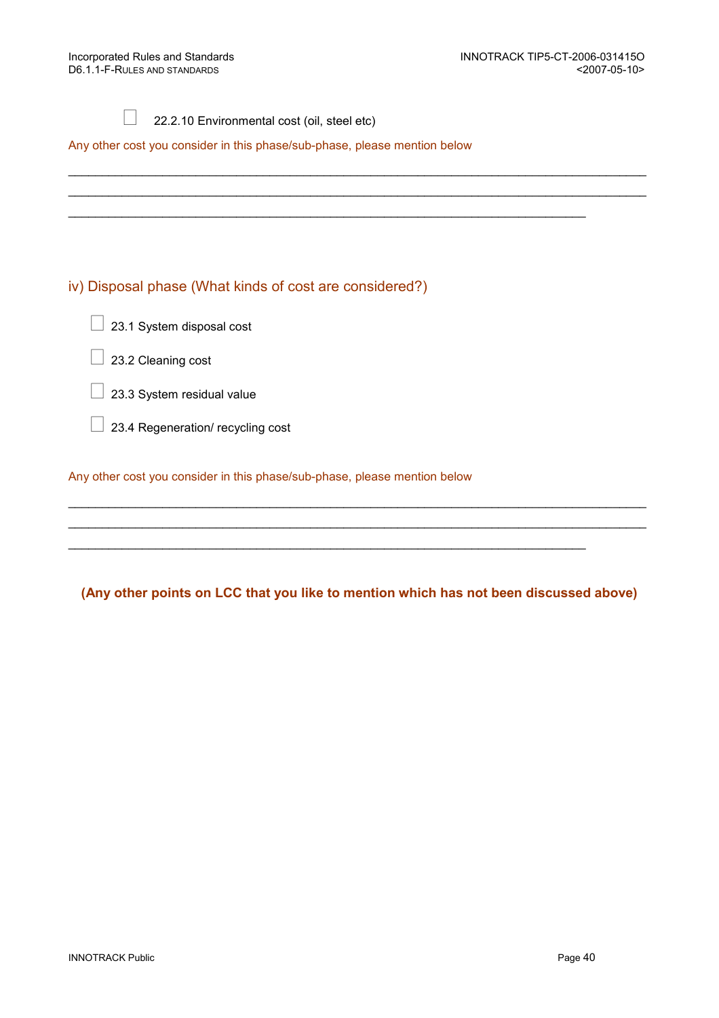## 22.2.10 Environmental cost (oil, steel etc)

Any other cost you consider in this phase/sub-phase, please mention below

## iv) Disposal phase (What kinds of cost are considered?)

- 23.1 System disposal cost
- 23.2 Cleaning cost
- 23.3 System residual value
- 23.4 Regeneration/ recycling cost

Any other cost you consider in this phase/sub-phase, please mention below

## (Any other points on LCC that you like to mention which has not been discussed above)

 $\_$  ,  $\_$  ,  $\_$  ,  $\_$  ,  $\_$  ,  $\_$  ,  $\_$  ,  $\_$  ,  $\_$  ,  $\_$  ,  $\_$  ,  $\_$  ,  $\_$  ,  $\_$  ,  $\_$  ,  $\_$  ,  $\_$  ,  $\_$  ,  $\_$  ,  $\_$  ,  $\_$  ,  $\_$  ,  $\_$  ,  $\_$  ,  $\_$  ,  $\_$  ,  $\_$  ,  $\_$  ,  $\_$  ,  $\_$  ,  $\_$  ,  $\_$  ,  $\_$  ,  $\_$  ,  $\_$  ,  $\_$  ,  $\_$  , \_\_\_\_\_\_\_\_\_\_\_\_\_\_\_\_\_\_\_\_\_\_\_\_\_\_\_\_\_\_\_\_\_\_\_\_\_\_\_\_\_\_\_\_\_\_\_\_\_\_\_\_\_\_\_\_\_\_\_\_\_\_\_\_\_\_\_\_\_\_\_\_\_\_\_\_\_\_\_\_\_\_\_\_\_\_

\_\_\_\_\_\_\_\_\_\_\_\_\_\_\_\_\_\_\_\_\_\_\_\_\_\_\_\_\_\_\_\_\_\_\_\_\_\_\_\_\_\_\_\_\_\_\_\_\_\_\_\_\_\_\_\_\_\_\_\_\_\_\_\_\_\_\_\_\_\_\_\_\_\_\_\_\_

\_\_\_\_\_\_\_\_\_\_\_\_\_\_\_\_\_\_\_\_\_\_\_\_\_\_\_\_\_\_\_\_\_\_\_\_\_\_\_\_\_\_\_\_\_\_\_\_\_\_\_\_\_\_\_\_\_\_\_\_\_\_\_\_\_\_\_\_\_\_\_\_\_\_\_\_\_\_\_\_\_\_\_\_\_\_  $\_$  ,  $\_$  ,  $\_$  ,  $\_$  ,  $\_$  ,  $\_$  ,  $\_$  ,  $\_$  ,  $\_$  ,  $\_$  ,  $\_$  ,  $\_$  ,  $\_$  ,  $\_$  ,  $\_$  ,  $\_$  ,  $\_$  ,  $\_$  ,  $\_$  ,  $\_$  ,  $\_$  ,  $\_$  ,  $\_$  ,  $\_$  ,  $\_$  ,  $\_$  ,  $\_$  ,  $\_$  ,  $\_$  ,  $\_$  ,  $\_$  ,  $\_$  ,  $\_$  ,  $\_$  ,  $\_$  ,  $\_$  ,  $\_$  ,

 $\mathcal{L}_\text{max} = \mathcal{L}_\text{max} = \mathcal{L}_\text{max} = \mathcal{L}_\text{max} = \mathcal{L}_\text{max} = \mathcal{L}_\text{max} = \mathcal{L}_\text{max} = \mathcal{L}_\text{max} = \mathcal{L}_\text{max} = \mathcal{L}_\text{max} = \mathcal{L}_\text{max} = \mathcal{L}_\text{max} = \mathcal{L}_\text{max} = \mathcal{L}_\text{max} = \mathcal{L}_\text{max} = \mathcal{L}_\text{max} = \mathcal{L}_\text{max} = \mathcal{L}_\text{max} = \mathcal{$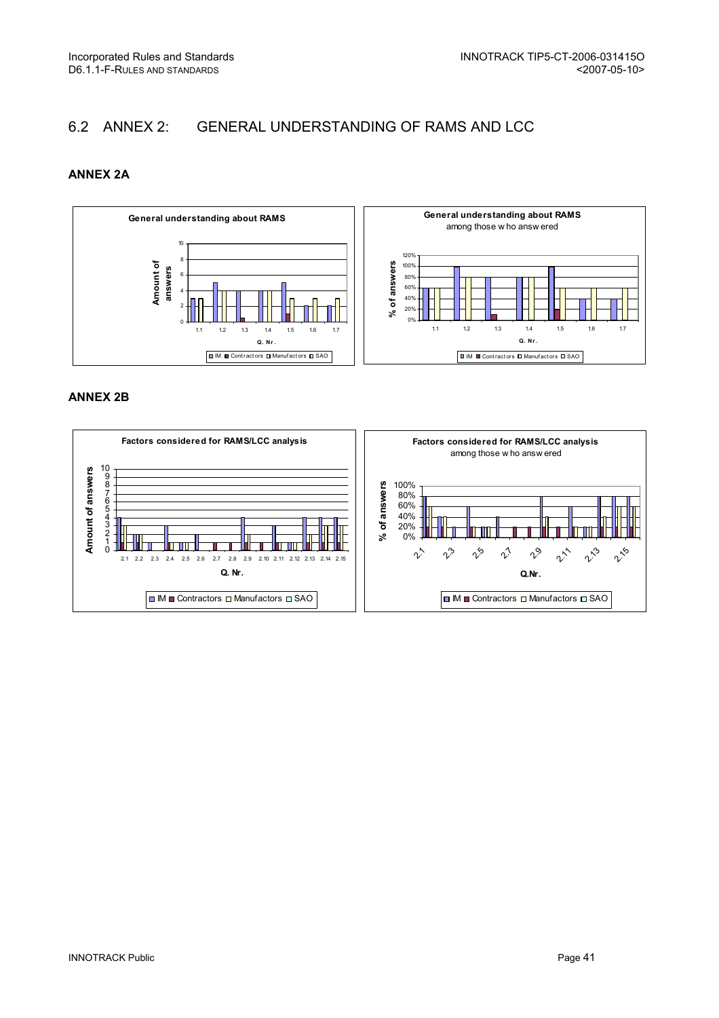## 6.2 ANNEX 2: GENERAL UNDERSTANDING OF RAMS AND LCC

## ANNEX 2A



#### ANNEX 2B

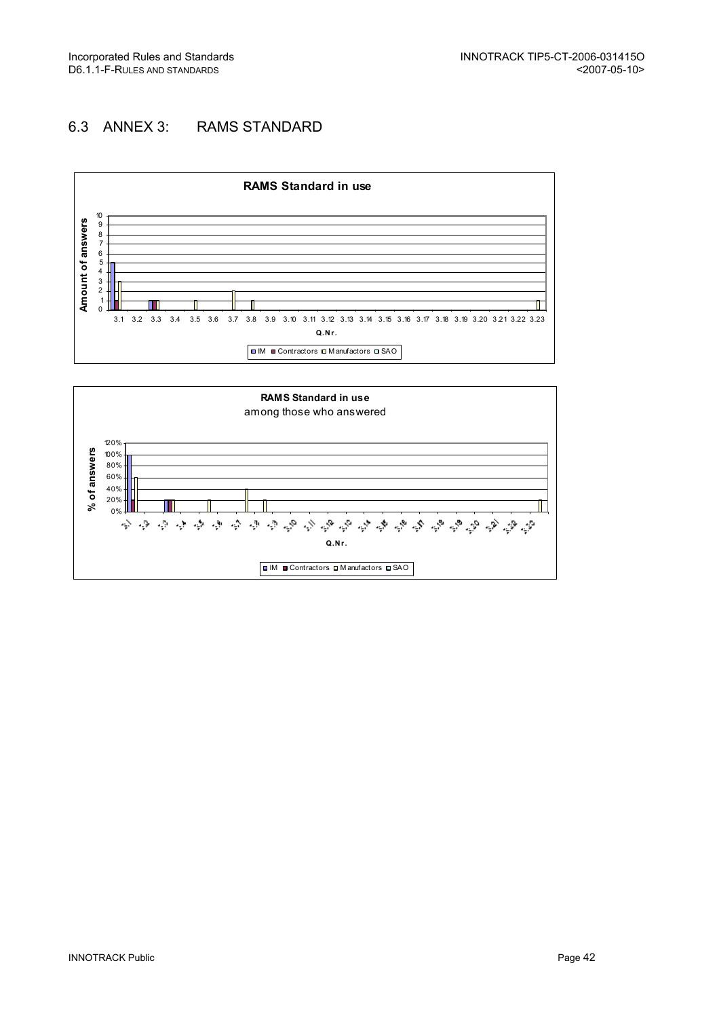## 6.3 ANNEX 3: RAMS STANDARD



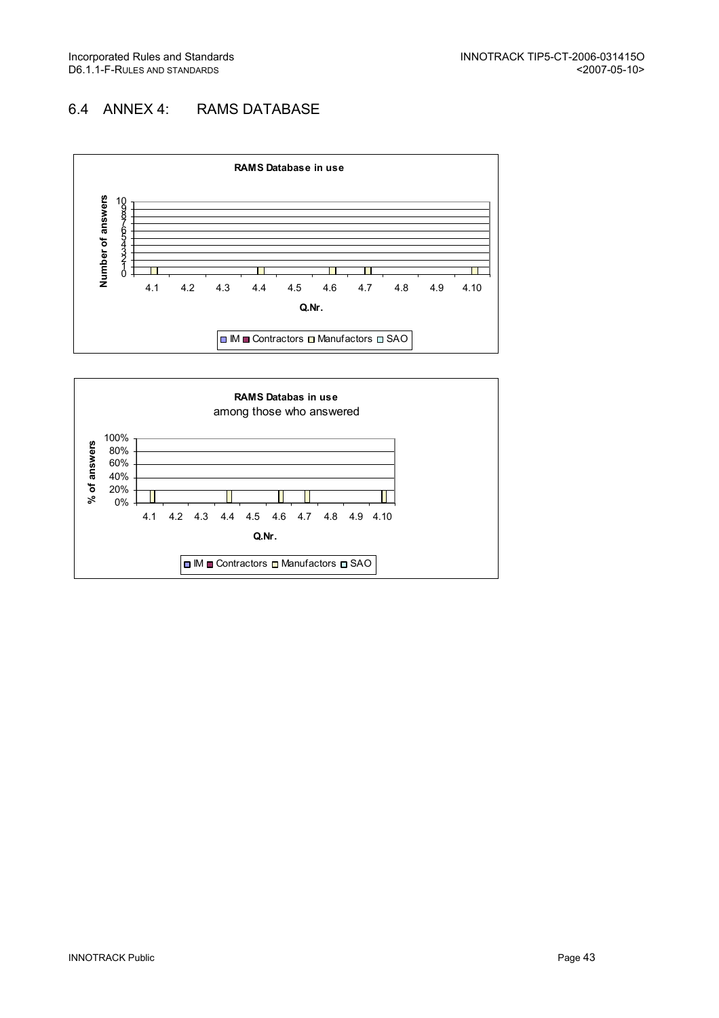## 6.4 ANNEX 4: RAMS DATABASE



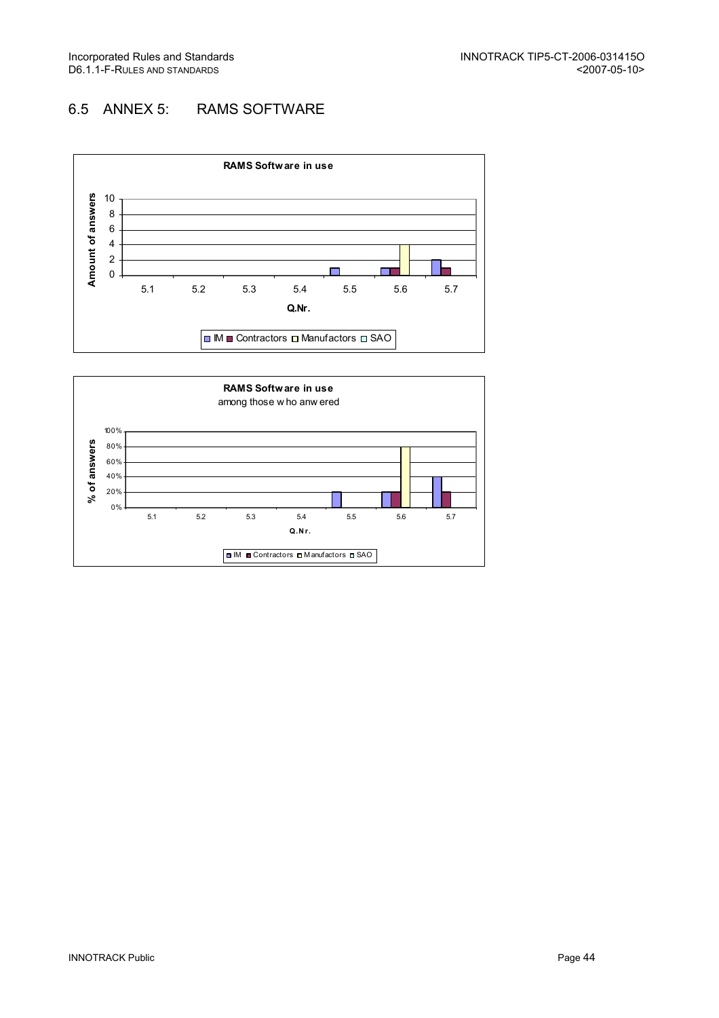## 6.5 ANNEX 5: RAMS SOFTWARE



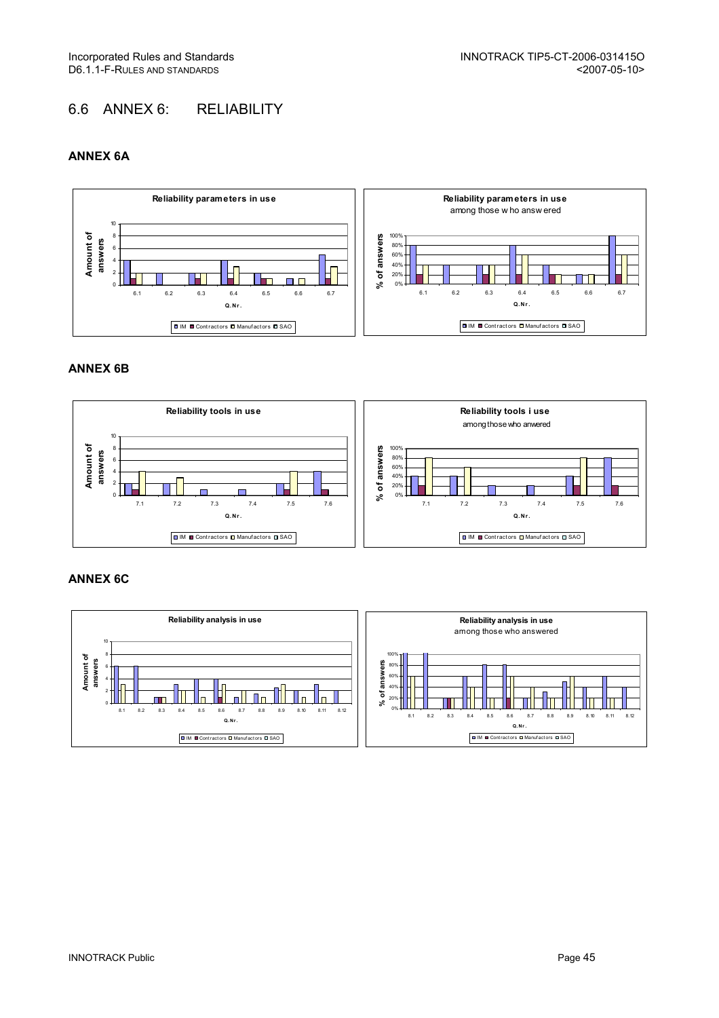## 6.6 ANNEX 6: RELIABILITY

## ANNEX 6A



#### ANNEX 6B



## ANNEX 6C

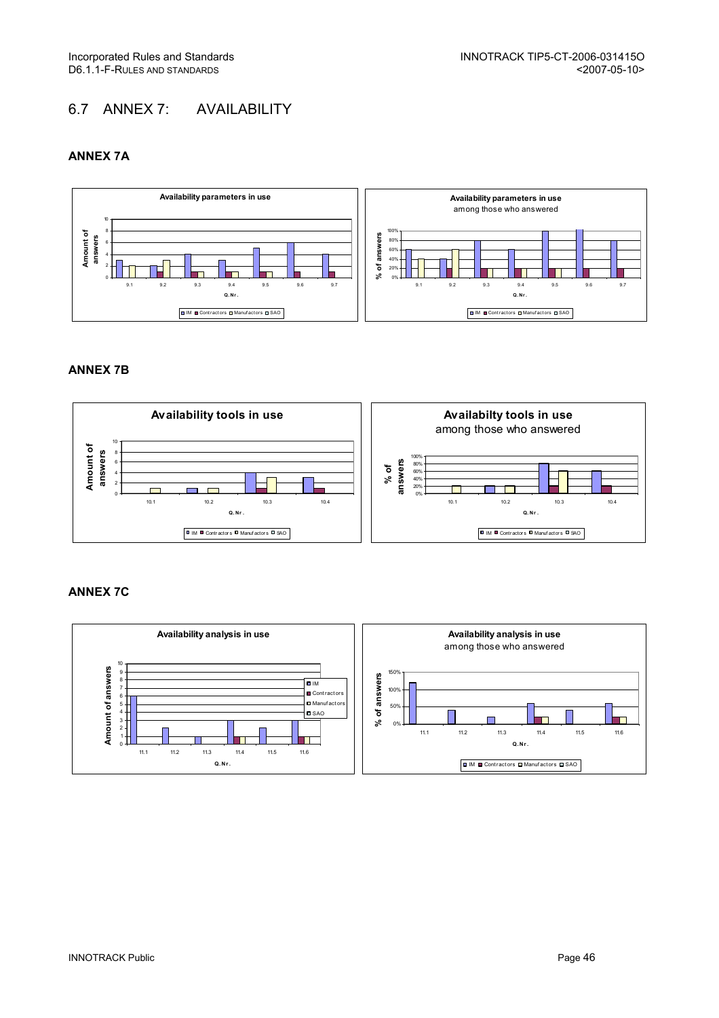## 6.7 ANNEX 7: AVAILABILITY

## ANNEX 7A



#### ANNEX 7B



#### ANNEX 7C

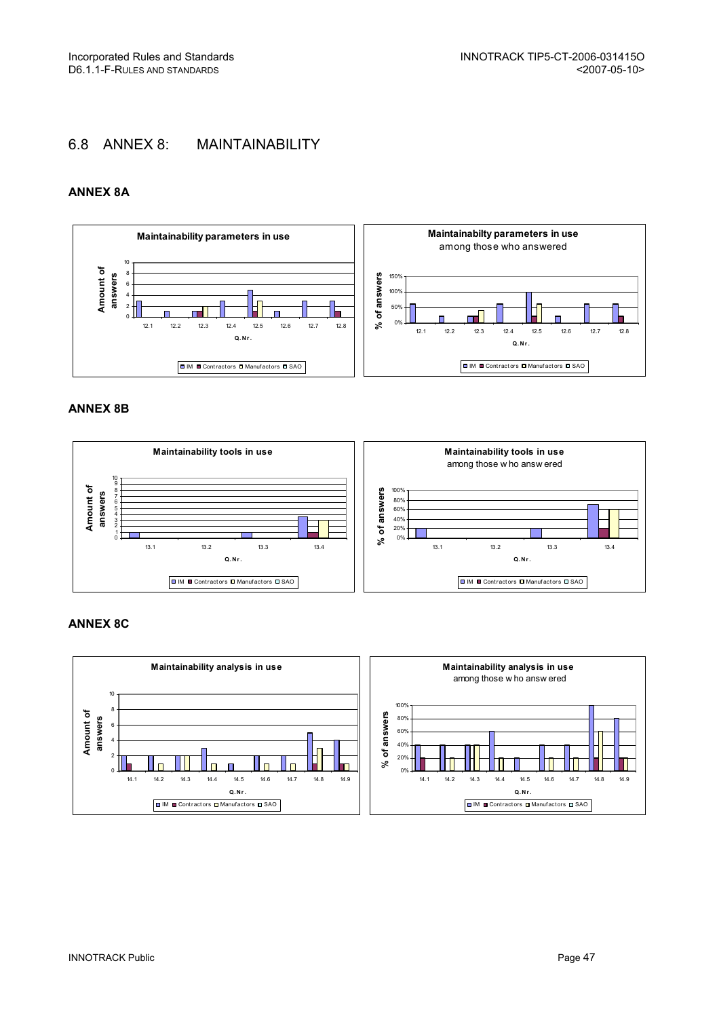## 6.8 ANNEX 8: MAINTAINABILITY

### ANNEX 8A



#### ANNEX 8B



#### ANNEX 8C

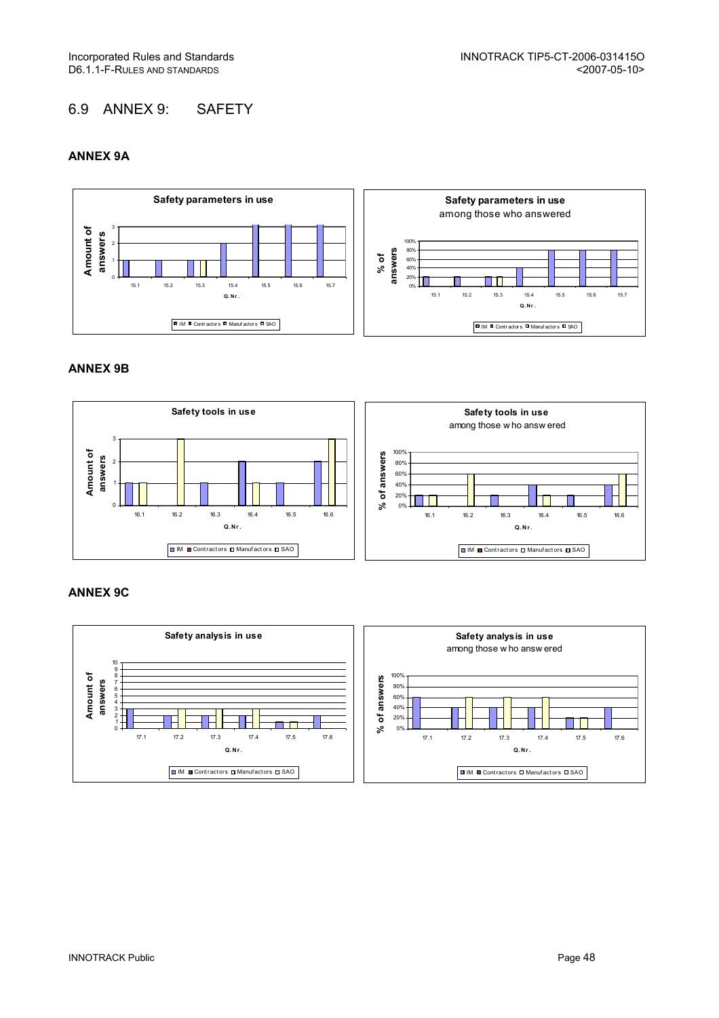## 6.9 ANNEX 9: SAFETY

### ANNEX 9A



#### ANNEX 9B



## ANNEX 9C

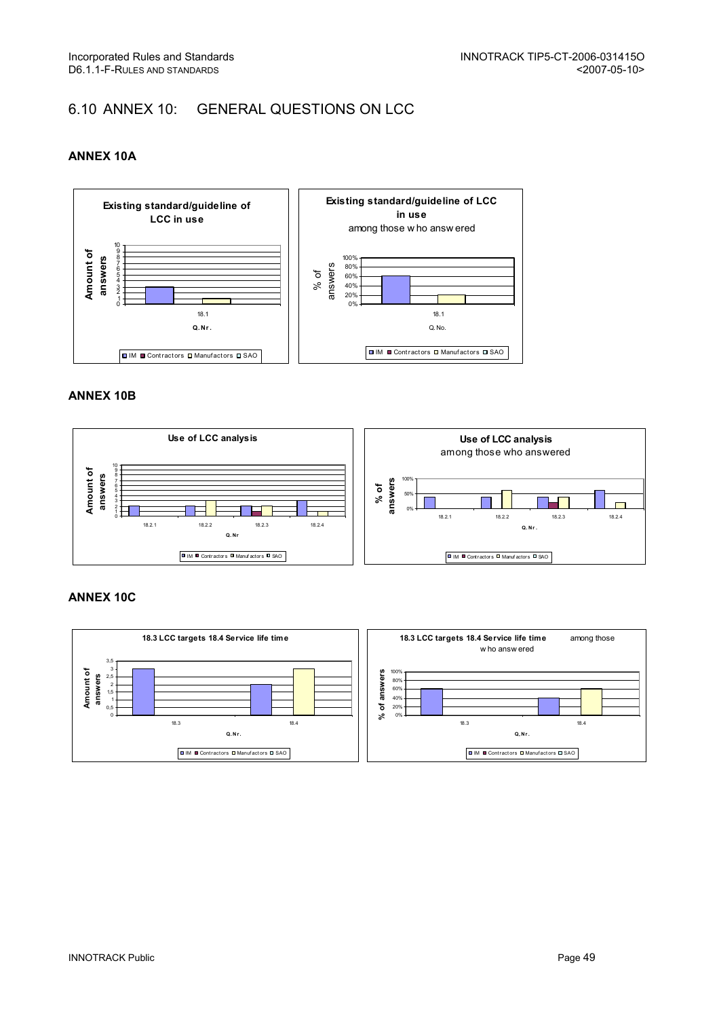## 6.10 ANNEX 10: GENERAL QUESTIONS ON LCC

## ANNEX 10A



### ANNEX 10B



#### ANNEX 10C

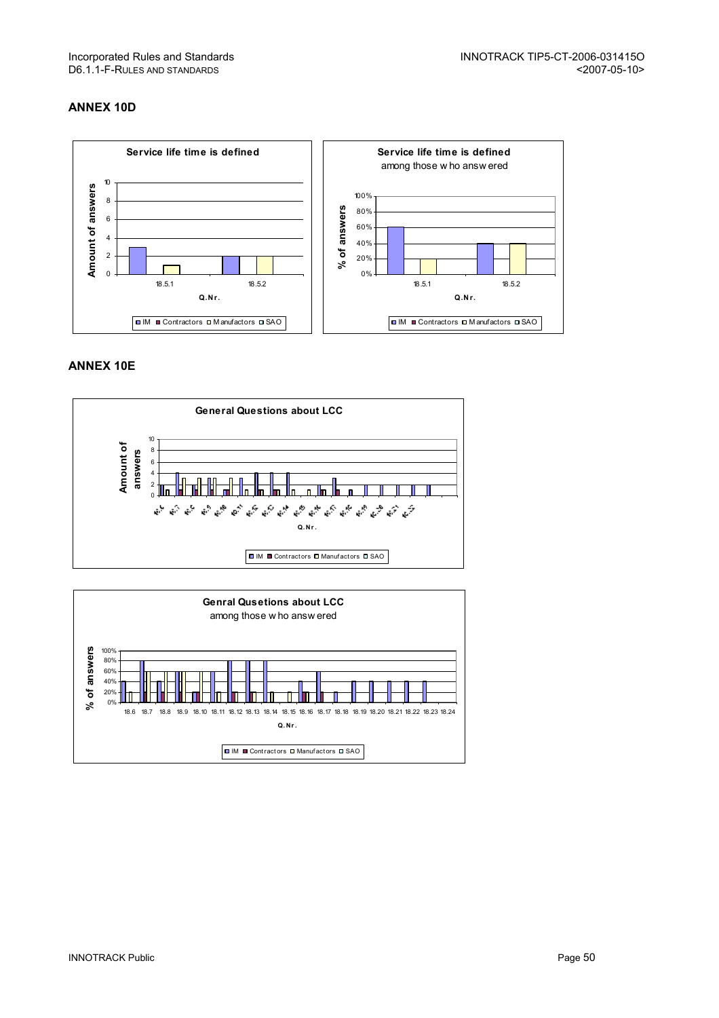## ANNEX 10D



## ANNEX 10E



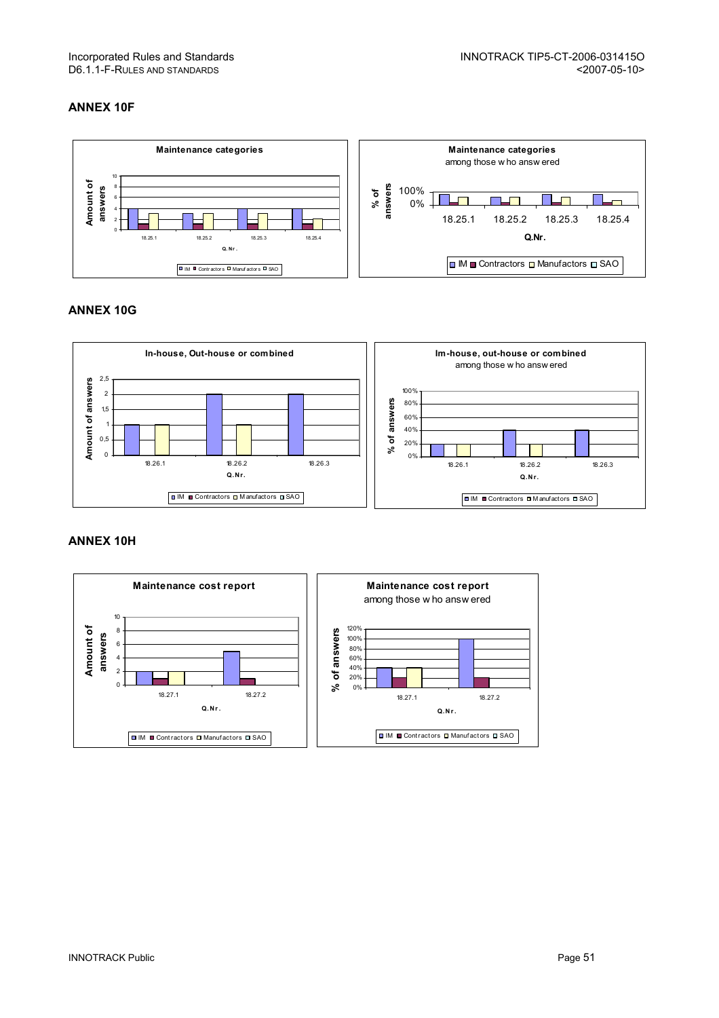## ANNEX 10F



## ANNEX 10G



#### ANNEX 10H

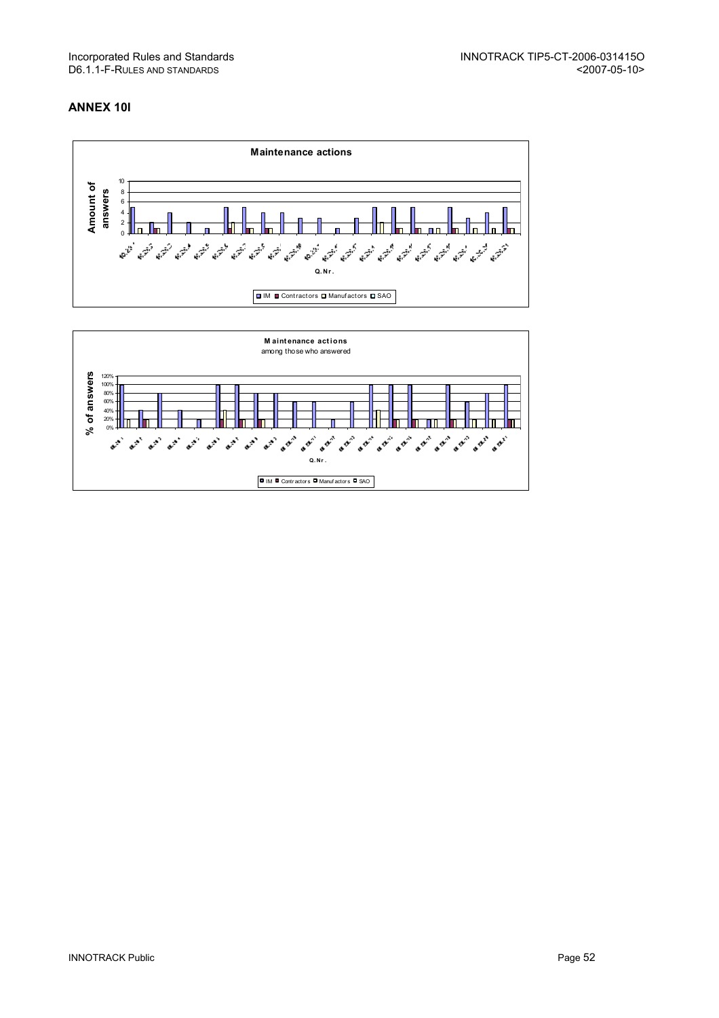## ANNEX 10I

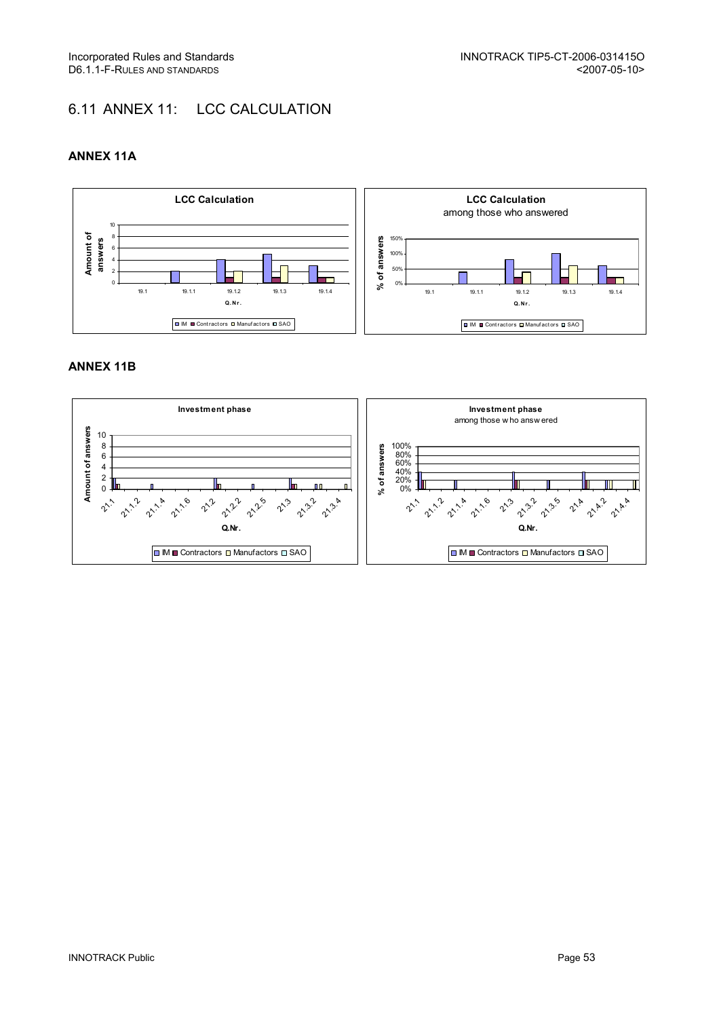## 6.11 ANNEX 11: LCC CALCULATION

## ANNEX 11A



### ANNEX 11B

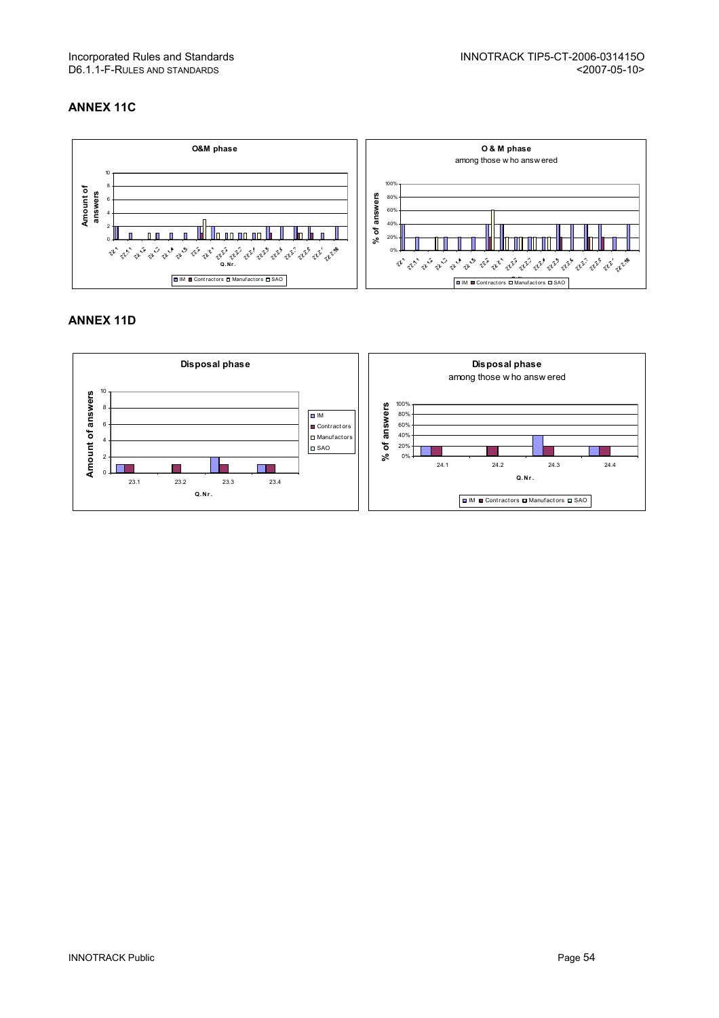# D6.1.1-F-RULES AND STANDARDS

## ANNEX 11C



#### ANNEX 11D

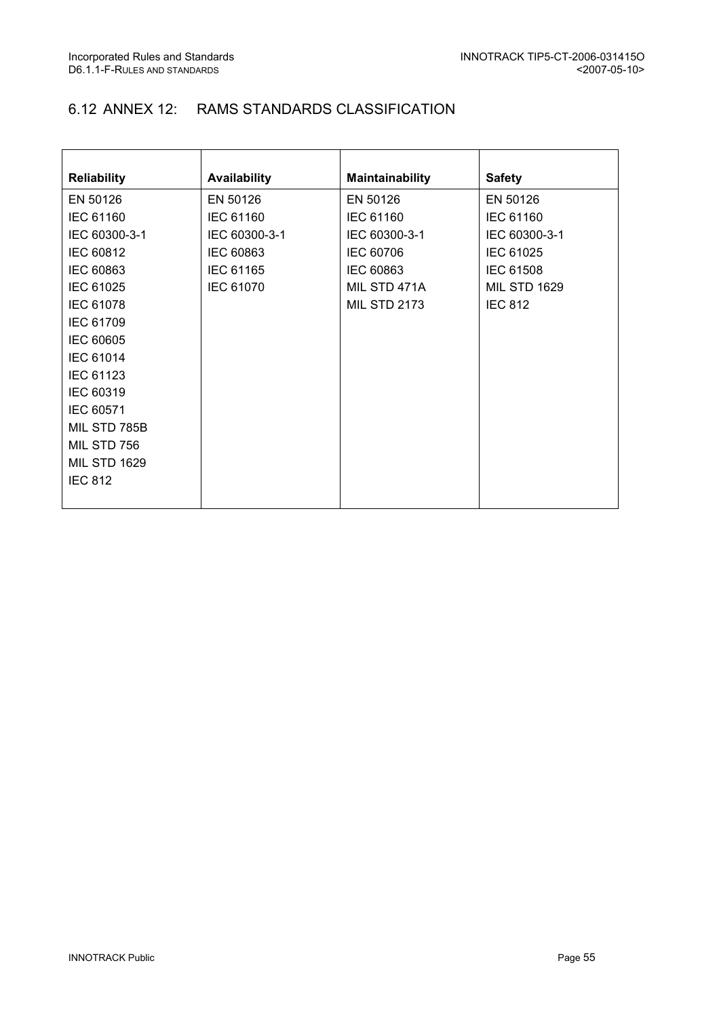## 6.12 ANNEX 12: RAMS STANDARDS CLASSIFICATION

| <b>Reliability</b>  | Availability     | <b>Maintainability</b> | <b>Safety</b>       |
|---------------------|------------------|------------------------|---------------------|
| EN 50126            | EN 50126         | EN 50126               | EN 50126            |
| IEC 61160           | IEC 61160        | IEC 61160              | IEC 61160           |
| IEC 60300-3-1       | IEC 60300-3-1    | IEC 60300-3-1          | IEC 60300-3-1       |
| IEC 60812           | IEC 60863        | IEC 60706              | IEC 61025           |
| IEC 60863           | IEC 61165        | IEC 60863              | <b>IEC 61508</b>    |
| IEC 61025           | <b>IEC 61070</b> | MIL STD 471A           | <b>MIL STD 1629</b> |
| IEC 61078           |                  | <b>MIL STD 2173</b>    | <b>IEC 812</b>      |
| IEC 61709           |                  |                        |                     |
| IEC 60605           |                  |                        |                     |
| <b>IEC 61014</b>    |                  |                        |                     |
| IEC 61123           |                  |                        |                     |
| IEC 60319           |                  |                        |                     |
| IEC 60571           |                  |                        |                     |
| MIL STD 785B        |                  |                        |                     |
| MIL STD 756         |                  |                        |                     |
| <b>MIL STD 1629</b> |                  |                        |                     |
| <b>IEC 812</b>      |                  |                        |                     |
|                     |                  |                        |                     |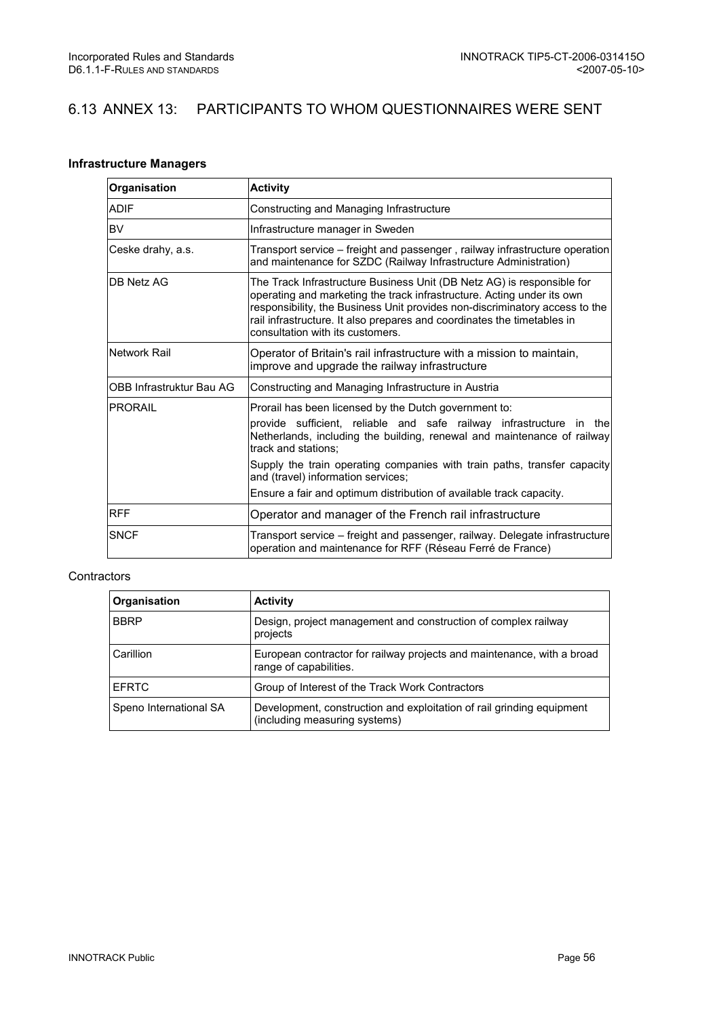## 6.13 ANNEX 13: PARTICIPANTS TO WHOM QUESTIONNAIRES WERE SENT

### Infrastructure Managers

| Organisation             | <b>Activity</b>                                                                                                                                                                                                                                                                                                                                                                                                         |
|--------------------------|-------------------------------------------------------------------------------------------------------------------------------------------------------------------------------------------------------------------------------------------------------------------------------------------------------------------------------------------------------------------------------------------------------------------------|
| <b>ADIF</b>              | Constructing and Managing Infrastructure                                                                                                                                                                                                                                                                                                                                                                                |
| <b>BV</b>                | Infrastructure manager in Sweden                                                                                                                                                                                                                                                                                                                                                                                        |
| Ceske drahy, a.s.        | Transport service – freight and passenger, railway infrastructure operation<br>and maintenance for SZDC (Railway Infrastructure Administration)                                                                                                                                                                                                                                                                         |
| <b>DB Netz AG</b>        | The Track Infrastructure Business Unit (DB Netz AG) is responsible for<br>operating and marketing the track infrastructure. Acting under its own<br>responsibility, the Business Unit provides non-discriminatory access to the<br>rail infrastructure. It also prepares and coordinates the timetables in<br>consultation with its customers.                                                                          |
| Network Rail             | Operator of Britain's rail infrastructure with a mission to maintain,<br>improve and upgrade the railway infrastructure                                                                                                                                                                                                                                                                                                 |
| OBB Infrastruktur Bau AG | Constructing and Managing Infrastructure in Austria                                                                                                                                                                                                                                                                                                                                                                     |
| <b>IPRORAIL</b>          | Prorail has been licensed by the Dutch government to:<br>provide sufficient, reliable and safe railway infrastructure in the<br>Netherlands, including the building, renewal and maintenance of railway<br>track and stations:<br>Supply the train operating companies with train paths, transfer capacity<br>and (travel) information services;<br>Ensure a fair and optimum distribution of available track capacity. |
| <b>RFF</b>               | Operator and manager of the French rail infrastructure                                                                                                                                                                                                                                                                                                                                                                  |
| <b>SNCF</b>              | Transport service – freight and passenger, railway. Delegate infrastructure<br>operation and maintenance for RFF (Réseau Ferré de France)                                                                                                                                                                                                                                                                               |

#### **Contractors**

| Organisation           | <b>Activity</b>                                                                                        |
|------------------------|--------------------------------------------------------------------------------------------------------|
| <b>BBRP</b>            | Design, project management and construction of complex railway<br>projects                             |
| Carillion              | European contractor for railway projects and maintenance, with a broad<br>range of capabilities.       |
| <b>EFRTC</b>           | Group of Interest of the Track Work Contractors                                                        |
| Speno International SA | Development, construction and exploitation of rail grinding equipment<br>(including measuring systems) |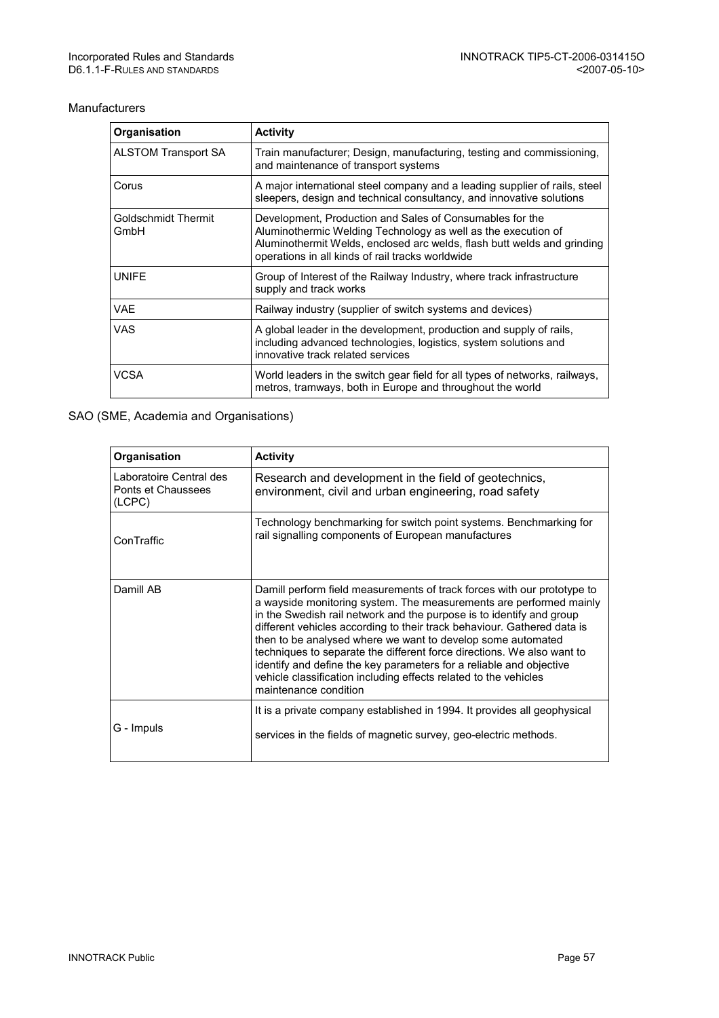#### Manufacturers

| Organisation                | <b>Activity</b>                                                                                                                                                                                                                                          |
|-----------------------------|----------------------------------------------------------------------------------------------------------------------------------------------------------------------------------------------------------------------------------------------------------|
| <b>ALSTOM Transport SA</b>  | Train manufacturer; Design, manufacturing, testing and commissioning,<br>and maintenance of transport systems                                                                                                                                            |
| Corus                       | A major international steel company and a leading supplier of rails, steel<br>sleepers, design and technical consultancy, and innovative solutions                                                                                                       |
| Goldschmidt Thermit<br>GmbH | Development, Production and Sales of Consumables for the<br>Aluminothermic Welding Technology as well as the execution of<br>Aluminothermit Welds, enclosed arc welds, flash butt welds and grinding<br>operations in all kinds of rail tracks worldwide |
| <b>UNIFE</b>                | Group of Interest of the Railway Industry, where track infrastructure<br>supply and track works                                                                                                                                                          |
| <b>VAE</b>                  | Railway industry (supplier of switch systems and devices)                                                                                                                                                                                                |
| VAS                         | A global leader in the development, production and supply of rails,<br>including advanced technologies, logistics, system solutions and<br>innovative track related services                                                                             |
| VCSA                        | World leaders in the switch gear field for all types of networks, railways,<br>metros, tramways, both in Europe and throughout the world                                                                                                                 |

### SAO (SME, Academia and Organisations)

| Organisation                                            | <b>Activity</b>                                                                                                                                                                                                                                                                                                                                                                                                                                                                                                                                                                                               |
|---------------------------------------------------------|---------------------------------------------------------------------------------------------------------------------------------------------------------------------------------------------------------------------------------------------------------------------------------------------------------------------------------------------------------------------------------------------------------------------------------------------------------------------------------------------------------------------------------------------------------------------------------------------------------------|
| Laboratoire Central des<br>Ponts et Chaussees<br>(LCPC) | Research and development in the field of geotechnics,<br>environment, civil and urban engineering, road safety                                                                                                                                                                                                                                                                                                                                                                                                                                                                                                |
| ConTraffic                                              | Technology benchmarking for switch point systems. Benchmarking for<br>rail signalling components of European manufactures                                                                                                                                                                                                                                                                                                                                                                                                                                                                                     |
| Damill AB                                               | Damill perform field measurements of track forces with our prototype to<br>a wayside monitoring system. The measurements are performed mainly<br>in the Swedish rail network and the purpose is to identify and group<br>different vehicles according to their track behaviour. Gathered data is<br>then to be analysed where we want to develop some automated<br>techniques to separate the different force directions. We also want to<br>identify and define the key parameters for a reliable and objective<br>vehicle classification including effects related to the vehicles<br>maintenance condition |
| G - Impuls                                              | It is a private company established in 1994. It provides all geophysical<br>services in the fields of magnetic survey, geo-electric methods.                                                                                                                                                                                                                                                                                                                                                                                                                                                                  |